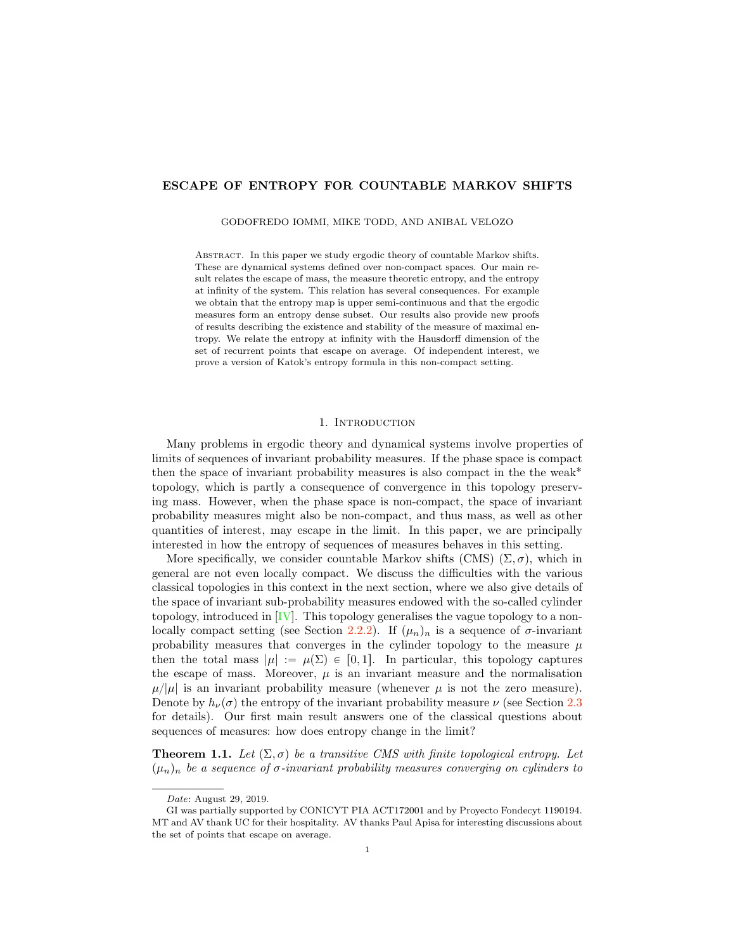## ESCAPE OF ENTROPY FOR COUNTABLE MARKOV SHIFTS

GODOFREDO IOMMI, MIKE TODD, AND ANIBAL VELOZO

Abstract. In this paper we study ergodic theory of countable Markov shifts. These are dynamical systems defined over non-compact spaces. Our main result relates the escape of mass, the measure theoretic entropy, and the entropy at infinity of the system. This relation has several consequences. For example we obtain that the entropy map is upper semi-continuous and that the ergodic measures form an entropy dense subset. Our results also provide new proofs of results describing the existence and stability of the measure of maximal entropy. We relate the entropy at infinity with the Hausdorff dimension of the set of recurrent points that escape on average. Of independent interest, we prove a version of Katok's entropy formula in this non-compact setting.

## 1. Introduction

Many problems in ergodic theory and dynamical systems involve properties of limits of sequences of invariant probability measures. If the phase space is compact then the space of invariant probability measures is also compact in the the weak˚ topology, which is partly a consequence of convergence in this topology preserving mass. However, when the phase space is non-compact, the space of invariant probability measures might also be non-compact, and thus mass, as well as other quantities of interest, may escape in the limit. In this paper, we are principally interested in how the entropy of sequences of measures behaves in this setting.

More specifically, we consider countable Markov shifts (CMS)  $(\Sigma, \sigma)$ , which in general are not even locally compact. We discuss the difficulties with the various classical topologies in this context in the next section, where we also give details of the space of invariant sub-probability measures endowed with the so-called cylinder topology, introduced in  $[V]$ . This topology generalises the vague topology to a non-locally compact setting (see Section [2.2.2\)](#page-6-0). If  $(\mu_n)_n$  is a sequence of  $\sigma$ -invariant probability measures that converges in the cylinder topology to the measure  $\mu$ then the total mass  $|\mu| := \mu(\Sigma) \in [0, 1]$ . In particular, this topology captures the escape of mass. Moreover,  $\mu$  is an invariant measure and the normalisation  $\mu/|\mu|$  is an invariant probability measure (whenever  $\mu$  is not the zero measure). Denote by  $h_{\nu}(\sigma)$  the entropy of the invariant probability measure  $\nu$  (see Section [2.3](#page-7-0)) for details). Our first main result answers one of the classical questions about sequences of measures: how does entropy change in the limit?

<span id="page-0-0"></span>**Theorem 1.1.** Let  $(\Sigma, \sigma)$  be a transitive CMS with finite topological entropy. Let  $(\mu_n)_n$  be a sequence of σ-invariant probability measures converging on cylinders to

Date: August 29, 2019.

GI was partially supported by CONICYT PIA ACT172001 and by Proyecto Fondecyt 1190194. MT and AV thank UC for their hospitality. AV thanks Paul Apisa for interesting discussions about the set of points that escape on average.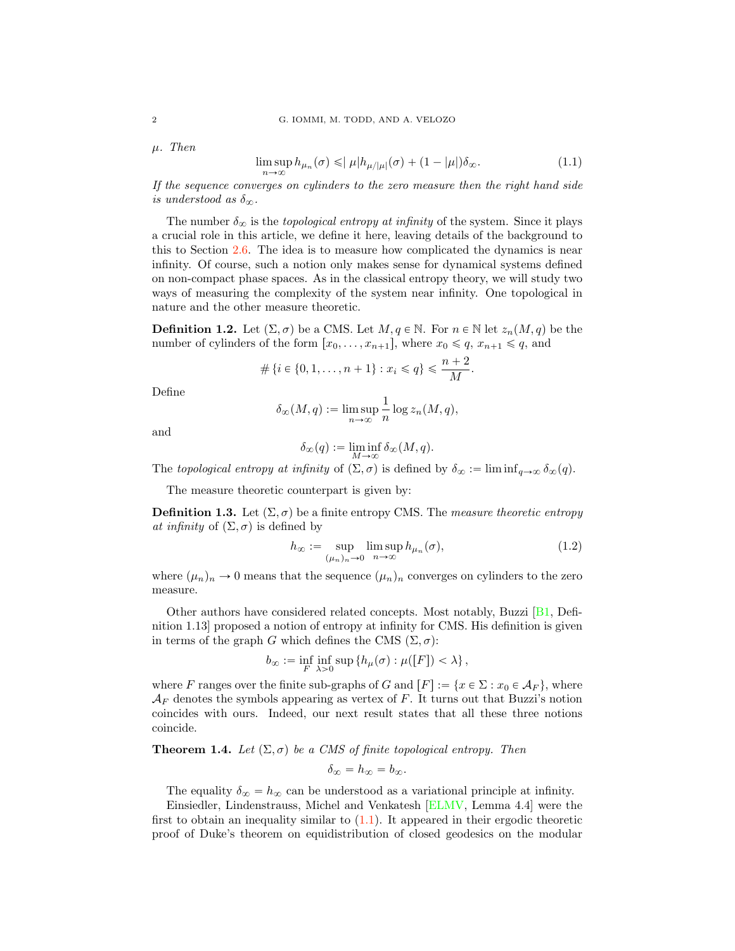$\mu$ . Then

<span id="page-1-0"></span>
$$
\limsup_{n \to \infty} h_{\mu_n}(\sigma) \leqslant |\mu| h_{\mu/|\mu|}(\sigma) + (1 - |\mu|) \delta_{\infty}.
$$
\n(1.1)

If the sequence converges on cylinders to the zero measure then the right hand side is understood as  $\delta_{\infty}$ .

The number  $\delta_{\infty}$  is the topological entropy at infinity of the system. Since it plays a crucial role in this article, we define it here, leaving details of the background to this to Section [2.6.](#page-10-0) The idea is to measure how complicated the dynamics is near infinity. Of course, such a notion only makes sense for dynamical systems defined on non-compact phase spaces. As in the classical entropy theory, we will study two ways of measuring the complexity of the system near infinity. One topological in nature and the other measure theoretic.

<span id="page-1-2"></span>**Definition 1.2.** Let  $(\Sigma, \sigma)$  be a CMS. Let  $M, q \in \mathbb{N}$ . For  $n \in \mathbb{N}$  let  $z_n(M, q)$  be the number of cylinders of the form  $[x_0, \ldots, x_{n+1}],$  where  $x_0 \leq q, x_{n+1} \leq q$ , and

$$
\#\{i \in \{0, 1, \dots, n+1\} : x_i \leqslant q\} \leqslant \frac{n+2}{M}.
$$

Define

$$
\delta_{\infty}(M, q) := \limsup_{n \to \infty} \frac{1}{n} \log z_n(M, q),
$$

and

$$
\delta_\infty(q) := \liminf_{M \to \infty} \delta_\infty(M, q).
$$

The topological entropy at infinity of  $(\Sigma, \sigma)$  is defined by  $\delta_{\infty} := \liminf_{q \to \infty} \delta_{\infty}(q)$ .

The measure theoretic counterpart is given by:

<span id="page-1-1"></span>**Definition 1.3.** Let  $(\Sigma, \sigma)$  be a finite entropy CMS. The measure theoretic entropy at infinity of  $(\Sigma, \sigma)$  is defined by

$$
h_{\infty} := \sup_{(\mu_n)_n \to 0} \limsup_{n \to \infty} h_{\mu_n}(\sigma), \tag{1.2}
$$

where  $(\mu_n)_n \to 0$  means that the sequence  $(\mu_n)_n$  converges on cylinders to the zero measure.

Other authors have considered related concepts. Most notably, Buzzi [\[B1,](#page-41-0) Definition 1.13] proposed a notion of entropy at infinity for CMS. His definition is given in terms of the graph G which defines the CMS  $(\Sigma, \sigma)$ :

$$
b_{\infty} := \inf_{F} \inf_{\lambda > 0} \sup \{ h_{\mu}(\sigma) : \mu([F]) < \lambda \},\
$$

where F ranges over the finite sub-graphs of G and  $[F] := \{x \in \Sigma : x_0 \in \mathcal{A}_F\}$ , where  $A_F$  denotes the symbols appearing as vertex of F. It turns out that Buzzi's notion coincides with ours. Indeed, our next result states that all these three notions coincide.

## <span id="page-1-3"></span>**Theorem 1.4.** Let  $(\Sigma, \sigma)$  be a CMS of finite topological entropy. Then

$$
\delta_{\infty}=h_{\infty}=b_{\infty}.
$$

The equality  $\delta_{\infty} = h_{\infty}$  can be understood as a variational principle at infinity.

Einsiedler, Lindenstrauss, Michel and Venkatesh [\[ELMV,](#page-41-1) Lemma 4.4] were the first to obtain an inequality similar to  $(1.1)$ . It appeared in their ergodic theoretic proof of Duke's theorem on equidistribution of closed geodesics on the modular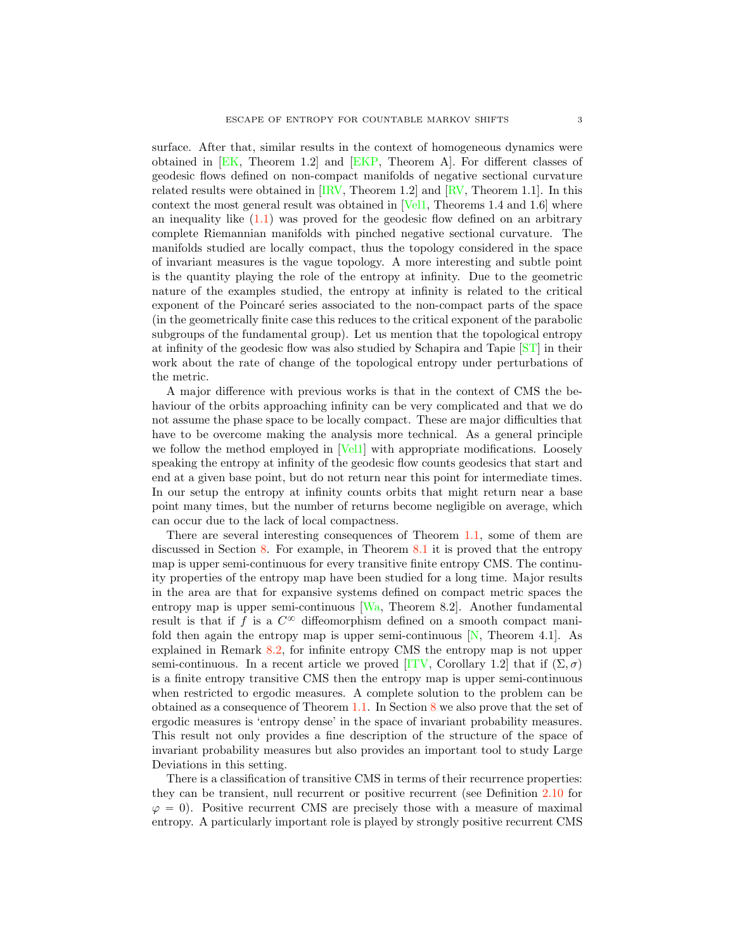surface. After that, similar results in the context of homogeneous dynamics were obtained in [\[EK,](#page-41-2) Theorem 1.2] and [\[EKP,](#page-41-3) Theorem A]. For different classes of geodesic flows defined on non-compact manifolds of negative sectional curvature related results were obtained in [\[IRV,](#page-42-1) Theorem 1.2] and [\[RV,](#page-42-2) Theorem 1.1]. In this context the most general result was obtained in [\[Vel1,](#page-43-0) Theorems 1.4 and 1.6] where an inequality like  $(1.1)$  was proved for the geodesic flow defined on an arbitrary complete Riemannian manifolds with pinched negative sectional curvature. The manifolds studied are locally compact, thus the topology considered in the space of invariant measures is the vague topology. A more interesting and subtle point is the quantity playing the role of the entropy at infinity. Due to the geometric nature of the examples studied, the entropy at infinity is related to the critical exponent of the Poincaré series associated to the non-compact parts of the space (in the geometrically finite case this reduces to the critical exponent of the parabolic subgroups of the fundamental group). Let us mention that the topological entropy at infinity of the geodesic flow was also studied by Schapira and Tapie [\[ST\]](#page-42-3) in their work about the rate of change of the topological entropy under perturbations of the metric.

A major difference with previous works is that in the context of CMS the behaviour of the orbits approaching infinity can be very complicated and that we do not assume the phase space to be locally compact. These are major difficulties that have to be overcome making the analysis more technical. As a general principle we follow the method employed in [\[Vel1\]](#page-43-0) with appropriate modifications. Loosely speaking the entropy at infinity of the geodesic flow counts geodesics that start and end at a given base point, but do not return near this point for intermediate times. In our setup the entropy at infinity counts orbits that might return near a base point many times, but the number of returns become negligible on average, which can occur due to the lack of local compactness.

There are several interesting consequences of Theorem [1.1,](#page-0-0) some of them are discussed in Section [8.](#page-33-0) For example, in Theorem [8.1](#page-33-1) it is proved that the entropy map is upper semi-continuous for every transitive finite entropy CMS. The continuity properties of the entropy map have been studied for a long time. Major results in the area are that for expansive systems defined on compact metric spaces the entropy map is upper semi-continuous [\[Wa,](#page-43-1) Theorem 8.2]. Another fundamental result is that if f is a  $C^{\infty}$  diffeomorphism defined on a smooth compact manifold then again the entropy map is upper semi-continuous  $[N,$  Theorem 4.1. explained in Remark [8.2,](#page-34-0) for infinite entropy CMS the entropy map is not upper semi-continuous. In a recent article we proved [\[ITV,](#page-42-5) Corollary 1.2] that if  $(\Sigma, \sigma)$ is a finite entropy transitive CMS then the entropy map is upper semi-continuous when restricted to ergodic measures. A complete solution to the problem can be obtained as a consequence of Theorem [1.1.](#page-0-0) In Section [8](#page-33-0) we also prove that the set of ergodic measures is 'entropy dense' in the space of invariant probability measures. This result not only provides a fine description of the structure of the space of invariant probability measures but also provides an important tool to study Large Deviations in this setting.

There is a classification of transitive CMS in terms of their recurrence properties: they can be transient, null recurrent or positive recurrent (see Definition [2.10](#page-8-0) for  $\varphi = 0$ . Positive recurrent CMS are precisely those with a measure of maximal entropy. A particularly important role is played by strongly positive recurrent CMS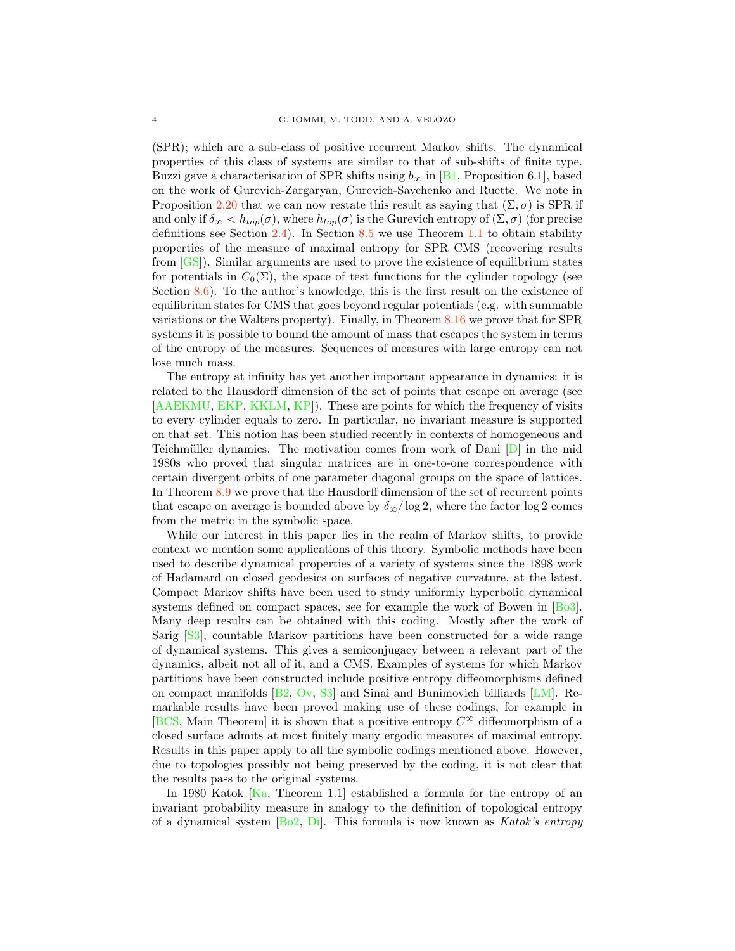(SPR); which are a sub-class of positive recurrent Markov shifts. The dynamical properties of this class of systems are similar to that of sub-shifts of finite type. Buzzi gave a characterisation of SPR shifts using  $b_{\infty}$  in [\[B1,](#page-41-0) Proposition 6.1], based on the work of Gurevich-Zargaryan, Gurevich-Savchenko and Ruette. We note in Proposition [2.20](#page-12-0) that we can now restate this result as saying that  $(\Sigma, \sigma)$  is SPR if and only if  $\delta_{\infty} < h_{top}(\sigma)$ , where  $h_{top}(\sigma)$  is the Gurevich entropy of  $(\Sigma, \sigma)$  (for precise definitions see Section [2.4\)](#page-8-1). In Section [8.5](#page-38-0) we use Theorem [1.1](#page-0-0) to obtain stability properties of the measure of maximal entropy for SPR CMS (recovering results from [\[GS\]](#page-41-5)). Similar arguments are used to prove the existence of equilibrium states for potentials in  $C_0(\Sigma)$ , the space of test functions for the cylinder topology (see Section [8.6\)](#page-39-0). To the author's knowledge, this is the first result on the existence of equilibrium states for CMS that goes beyond regular potentials (e.g. with summable variations or the Walters property). Finally, in Theorem [8.16](#page-40-0) we prove that for SPR systems it is possible to bound the amount of mass that escapes the system in terms of the entropy of the measures. Sequences of measures with large entropy can not lose much mass.

The entropy at infinity has yet another important appearance in dynamics: it is related to the Hausdorff dimension of the set of points that escape on average (see [\[AAEKMU,](#page-40-1) [EKP,](#page-41-3) [KKLM,](#page-42-6) [KP\]](#page-42-7)). These are points for which the frequency of visits to every cylinder equals to zero. In particular, no invariant measure is supported on that set. This notion has been studied recently in contexts of homogeneous and Teichmüller dynamics. The motivation comes from work of Dani  $[D]$  in the mid 1980s who proved that singular matrices are in one-to-one correspondence with certain divergent orbits of one parameter diagonal groups on the space of lattices. In Theorem [8.9](#page-36-0) we prove that the Hausdorff dimension of the set of recurrent points that escape on average is bounded above by  $\delta_{\infty}/\log 2$ , where the factor log 2 comes from the metric in the symbolic space.

While our interest in this paper lies in the realm of Markov shifts, to provide context we mention some applications of this theory. Symbolic methods have been used to describe dynamical properties of a variety of systems since the 1898 work of Hadamard on closed geodesics on surfaces of negative curvature, at the latest. Compact Markov shifts have been used to study uniformly hyperbolic dynamical systems defined on compact spaces, see for example the work of Bowen in [\[Bo3\]](#page-41-7). Many deep results can be obtained with this coding. Mostly after the work of Sarig [\[S3\]](#page-42-8), countable Markov partitions have been constructed for a wide range of dynamical systems. This gives a semiconjugacy between a relevant part of the dynamics, albeit not all of it, and a CMS. Examples of systems for which Markov partitions have been constructed include positive entropy diffeomorphisms defined on compact manifolds [\[B2,](#page-41-8) [Ov,](#page-42-9) [S3\]](#page-42-8) and Sinai and Bunimovich billiards [\[LM\]](#page-42-10). Remarkable results have been proved making use of these codings, for example in [\[BCS,](#page-41-9) Main Theorem] it is shown that a positive entropy  $C^{\infty}$  diffeomorphism of a closed surface admits at most finitely many ergodic measures of maximal entropy. Results in this paper apply to all the symbolic codings mentioned above. However, due to topologies possibly not being preserved by the coding, it is not clear that the results pass to the original systems.

In 1980 Katok  $[Ka,$  Theorem 1.1 established a formula for the entropy of an invariant probability measure in analogy to the definition of topological entropy of a dynamical system  $[B_02, D_i]$ . This formula is now known as *Katok's entropy*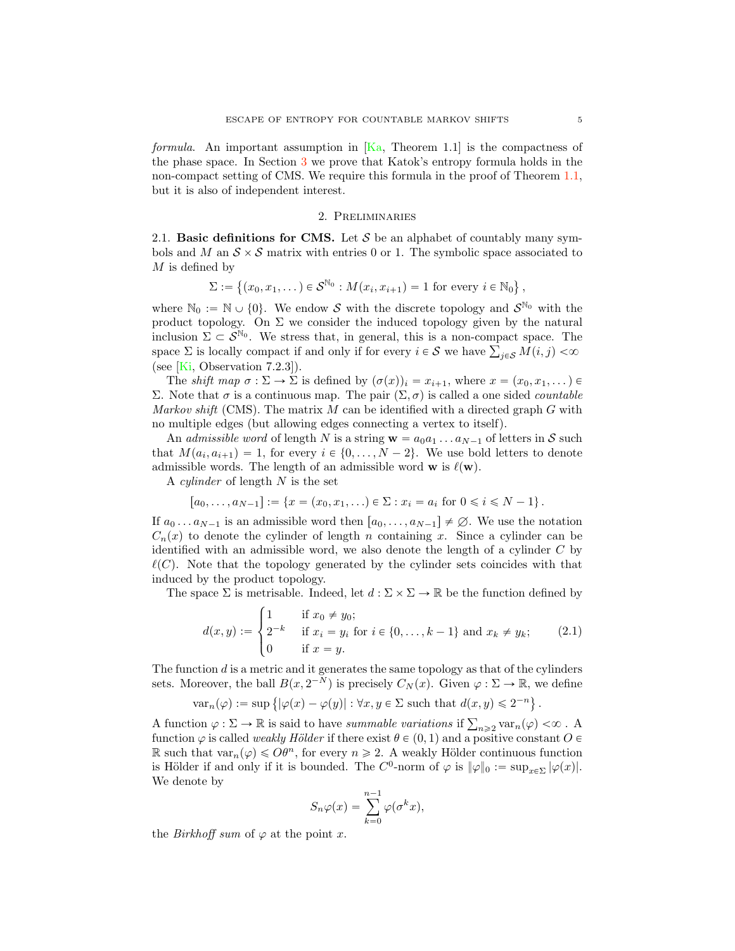formula. An important assumption in  $[Ka,$  Theorem 1.1 is the compactness of the phase space. In Section [3](#page-12-1) we prove that Katok's entropy formula holds in the non-compact setting of CMS. We require this formula in the proof of Theorem [1.1,](#page-0-0) but it is also of independent interest.

## 2. Preliminaries

2.1. **Basic definitions for CMS.** Let  $S$  be an alphabet of countably many symbols and M an  $S \times S$  matrix with entries 0 or 1. The symbolic space associated to  $M$  is defined by

$$
\Sigma := \{(x_0, x_1, \dots) \in S^{\mathbb{N}_0} : M(x_i, x_{i+1}) = 1 \text{ for every } i \in \mathbb{N}_0\},\
$$

where  $\mathbb{N}_0 := \mathbb{N} \cup \{0\}$ . We endow *S* with the discrete topology and  $S^{\mathbb{N}_0}$  with the product topology. On  $\Sigma$  we consider the induced topology given by the natural inclusion  $\Sigma \subset \mathcal{S}^{\mathbb{N}_0}$ . We stress that, in general, this is a non-compact space. The space  $\Sigma$  is locally compact if and only if for every  $i \in S$  we have  $\sum_{j \in S} M(i, j) < \infty$ (see [\[Ki,](#page-42-12) Observation 7.2.3]).

The shift map  $\sigma : \Sigma \to \Sigma$  is defined by  $(\sigma(x))_i = x_{i+1}$ , where  $x = (x_0, x_1, \dots)$ Σ. Note that  $\sigma$  is a continuous map. The pair  $(\Sigma, \sigma)$  is called a one sided *countable* Markov shift (CMS). The matrix  $M$  can be identified with a directed graph  $G$  with no multiple edges (but allowing edges connecting a vertex to itself).

An *admissible word* of length N is a string  $\mathbf{w} = a_0 a_1 \dots a_{N-1}$  of letters in *S* such that  $M(a_i, a_{i+1}) = 1$ , for every  $i \in \{0, ..., N-2\}$ . We use bold letters to denote admissible words. The length of an admissible word **w** is  $\ell(\mathbf{w})$ .

A *cylinder* of length  $N$  is the set

$$
[a_0, \ldots, a_{N-1}] := \{ x = (x_0, x_1, \ldots) \in \Sigma : x_i = a_i \text{ for } 0 \le i \le N-1 \}.
$$

If  $a_0 \dots a_{N-1}$  is an admissible word then  $[a_0, \dots, a_{N-1}] \neq \emptyset$ . We use the notation  $C_n(x)$  to denote the cylinder of length n containing x. Since a cylinder can be identified with an admissible word, we also denote the length of a cylinder  $C$  by  $\ell(C)$ . Note that the topology generated by the cylinder sets coincides with that induced by the product topology.

The space  $\Sigma$  is metrisable. Indeed, let  $d : \Sigma \times \Sigma \to \mathbb{R}$  be the function defined by

<span id="page-4-0"></span>
$$
d(x,y) := \begin{cases} 1 & \text{if } x_0 \neq y_0; \\ 2^{-k} & \text{if } x_i = y_i \text{ for } i \in \{0, \dots, k-1\} \text{ and } x_k \neq y_k; \\ 0 & \text{if } x = y. \end{cases}
$$
(2.1)

The function  $d$  is a metric and it generates the same topology as that of the cylinders sets. Moreover, the ball  $B(x, 2^{-N})$  is precisely  $C_N(x)$ . Given  $\varphi : \Sigma \to \mathbb{R}$ , we define

$$
\text{var}_n(\varphi) := \sup \left\{ |\varphi(x) - \varphi(y)| : \forall x, y \in \Sigma \text{ such that } d(x,y) \leqslant 2^{-n} \right\}.
$$

A function  $\varphi : \Sigma \to \mathbb{R}$  is said to have summable variations if  $\sum_{n\geq 2} \text{var}_n(\varphi) < \infty$ . function  $\varphi$  is called *weakly Hölder* if there exist  $\theta \in (0, 1)$  and a positive constant  $O \in$ R such that  $var_n(\varphi) \leq \Omega \theta^n$ , for every  $n \geq 2$ . A weakly Hölder continuous function is Hölder if and only if it is bounded. The  $C^0$ -norm of  $\varphi$  is  $\|\varphi\|_0 := \sup_{x \in \Sigma} |\varphi(x)|$ . We denote by

$$
S_n\varphi(x) = \sum_{k=0}^{n-1} \varphi(\sigma^k x),
$$

the *Birkhoff* sum of  $\varphi$  at the point x.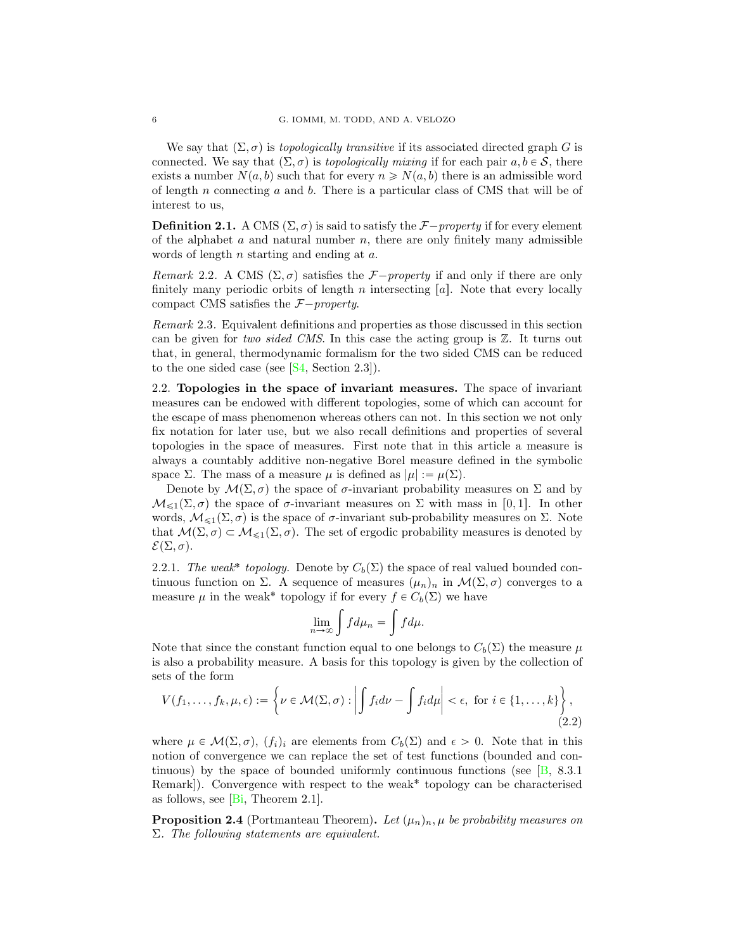We say that  $(\Sigma, \sigma)$  is topologically transitive if its associated directed graph G is connected. We say that  $(\Sigma, \sigma)$  is topologically mixing if for each pair  $a, b \in S$ , there exists a number  $N(a, b)$  such that for every  $n \ge N(a, b)$  there is an admissible word of length  $n$  connecting  $a$  and  $b$ . There is a particular class of CMS that will be of interest to us,

<span id="page-5-0"></span>**Definition 2.1.** A CMS  $(\Sigma, \sigma)$  is said to satisfy the *F* $-property$  if for every element of the alphabet  $a$  and natural number  $n$ , there are only finitely many admissible words of length *n* starting and ending at *a*.

*Remark* 2.2. A CMS  $(\Sigma, \sigma)$  satisfies the *F* $-property$  if and only if there are only finitely many periodic orbits of length  $n$  intersecting  $[a]$ . Note that every locally compact CMS satisfies the  $F$ <sup>-</sup>property.

Remark 2.3. Equivalent definitions and properties as those discussed in this section can be given for two sided CMS. In this case the acting group is  $\mathbb{Z}$ . It turns out that, in general, thermodynamic formalism for the two sided CMS can be reduced to the one sided case (see  $[S4, Section 2.3]$  $[S4, Section 2.3]$ ).

2.2. Topologies in the space of invariant measures. The space of invariant measures can be endowed with different topologies, some of which can account for the escape of mass phenomenon whereas others can not. In this section we not only fix notation for later use, but we also recall definitions and properties of several topologies in the space of measures. First note that in this article a measure is always a countably additive non-negative Borel measure defined in the symbolic space Σ. The mass of a measure  $\mu$  is defined as  $|\mu| := \mu(\Sigma)$ .

Denote by  $\mathcal{M}(\Sigma, \sigma)$  the space of  $\sigma$ -invariant probability measures on  $\Sigma$  and by  $\mathcal{M}_{\leq 1}(\Sigma, \sigma)$  the space of  $\sigma$ -invariant measures on  $\Sigma$  with mass in [0, 1]. In other words,  $\mathcal{M}_{\leq 1}(\Sigma, \sigma)$  is the space of σ-invariant sub-probability measures on Σ. Note that  $\mathcal{M}(\Sigma, \sigma) \subset \mathcal{M}_{\leq 1}(\Sigma, \sigma)$ . The set of ergodic probability measures is denoted by  $\mathcal{E}(\Sigma, \sigma)$ .

<span id="page-5-2"></span>2.2.1. The weak\* topology. Denote by  $C_b(\Sigma)$  the space of real valued bounded continuous function on Σ. A sequence of measures  $(\mu_n)_n$  in  $\mathcal{M}(\Sigma, \sigma)$  converges to a measure  $\mu$  in the weak<sup>\*</sup> topology if for every  $f \in C_b(\Sigma)$  we have

<span id="page-5-1"></span>
$$
\lim_{n \to \infty} \int f d\mu_n = \int f d\mu.
$$

Note that since the constant function equal to one belongs to  $C_b(\Sigma)$  the measure  $\mu$ is also a probability measure. A basis for this topology is given by the collection of sets of the form

$$
V(f_1,\ldots,f_k,\mu,\epsilon) := \left\{\nu \in \mathcal{M}(\Sigma,\sigma) : \left| \int f_i d\nu - \int f_i d\mu \right| < \epsilon, \text{ for } i \in \{1,\ldots,k\} \right\},\tag{2.2}
$$

where  $\mu \in \mathcal{M}(\Sigma, \sigma)$ ,  $(f_i)_i$  are elements from  $C_b(\Sigma)$  and  $\epsilon > 0$ . Note that in this notion of convergence we can replace the set of test functions (bounded and continuous) by the space of bounded uniformly continuous functions (see  $[B, 8.3.1]$  $[B, 8.3.1]$ ) Remark]). Convergence with respect to the weak<sup>\*</sup> topology can be characterised as follows, see  $[B_i,$  Theorem 2.1].

**Proposition 2.4** (Portmanteau Theorem). Let  $(\mu_n)_n$ ,  $\mu$  be probability measures on  $\Sigma$ . The following statements are equivalent.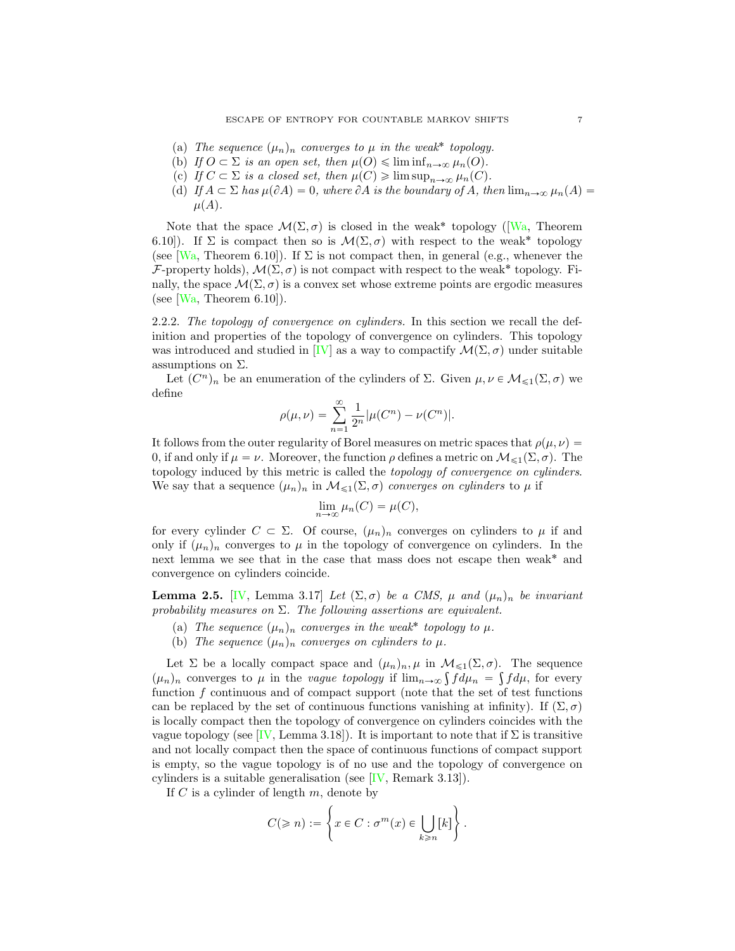- (a) The sequence  $(\mu_n)_n$  converges to  $\mu$  in the weak<sup>\*</sup> topology.
- (b) If  $O \subset \Sigma$  is an open set, then  $\mu(O) \leq \liminf_{n \to \infty} \mu_n(O)$ .
- (c) If  $C \subset \Sigma$  is a closed set, then  $\mu(C) \geq \limsup_{n \to \infty} \mu_n(C)$ .
- (d) If  $A \subset \Sigma$  has  $\mu(\partial A) = 0$ , where  $\partial A$  is the boundary of A, then  $\lim_{n\to\infty} \mu_n(A) =$  $\mu(A)$ .

Note that the space  $\mathcal{M}(\Sigma, \sigma)$  is closed in the weak<sup>\*</sup> topology ([\[Wa,](#page-43-1) Theorem 6.10]). If  $\Sigma$  is compact then so is  $\mathcal{M}(\Sigma, \sigma)$  with respect to the weak<sup>\*</sup> topology (see [\[Wa,](#page-43-1) Theorem 6.10]). If  $\Sigma$  is not compact then, in general (e.g., whenever the *F*-property holds),  $\mathcal{M}(\Sigma, \sigma)$  is not compact with respect to the weak<sup>\*</sup> topology. Finally, the space  $\mathcal{M}(\Sigma, \sigma)$  is a convex set whose extreme points are ergodic measures (see  $[Wa, Theorem 6.10]$  $[Wa, Theorem 6.10]$ ).

<span id="page-6-0"></span>2.2.2. The topology of convergence on cylinders. In this section we recall the definition and properties of the topology of convergence on cylinders. This topology was introduced and studied in [\[IV\]](#page-42-0) as a way to compactify  $\mathcal{M}(\Sigma, \sigma)$  under suitable assumptions on  $\Sigma$ .

Let  $(C^n)_n$  be an enumeration of the cylinders of  $\Sigma$ . Given  $\mu, \nu \in \mathcal{M}_{\leq 1}(\Sigma, \sigma)$  we define

$$
\rho(\mu, \nu) = \sum_{n=1}^{\infty} \frac{1}{2^n} |\mu(C^n) - \nu(C^n)|.
$$

It follows from the outer regularity of Borel measures on metric spaces that  $\rho(\mu, \nu)$ 0, if and only if  $\mu = \nu$ . Moreover, the function  $\rho$  defines a metric on  $\mathcal{M}_{\leq 1}(\Sigma, \sigma)$ . The topology induced by this metric is called the topology of convergence on cylinders. We say that a sequence  $(\mu_n)_n$  in  $\mathcal{M}_{\leq 1}(\Sigma, \sigma)$  converges on cylinders to  $\mu$  if

$$
\lim_{n \to \infty} \mu_n(C) = \mu(C),
$$

for every cylinder  $C \subset \Sigma$ . Of course,  $(\mu_n)_n$  converges on cylinders to  $\mu$  if and only if  $(\mu_n)_n$  converges to  $\mu$  in the topology of convergence on cylinders. In the next lemma we see that in the case that mass does not escape then weak˚ and convergence on cylinders coincide.

<span id="page-6-1"></span>**Lemma 2.5.** [\[IV,](#page-42-0) Lemma 3.17] Let  $(\Sigma, \sigma)$  be a CMS,  $\mu$  and  $(\mu_n)_n$  be invariant probability measures on  $\Sigma$ . The following assertions are equivalent.

- (a) The sequence  $(\mu_n)_n$  converges in the weak\* topology to  $\mu$ .
- (b) The sequence  $(\mu_n)_n$  converges on cylinders to  $\mu$ .

Let  $\Sigma$  be a locally compact space and  $(\mu_n)_n, \mu$  in  $\mathcal{M}_{\leq 1}(\Sigma, \sigma)$ . The sequence  $(\mu_n)_n$  converges to  $\mu$  in the vague topology if  $\lim_{n\to\infty} \int f d\mu_n = \int f d\mu$ , for every function  $f$  continuous and of compact support (note that the set of test functions can be replaced by the set of continuous functions vanishing at infinity). If  $(\Sigma, \sigma)$ is locally compact then the topology of convergence on cylinders coincides with the vague topology (see [\[IV,](#page-42-0) Lemma 3.18]). It is important to note that if  $\Sigma$  is transitive and not locally compact then the space of continuous functions of compact support is empty, so the vague topology is of no use and the topology of convergence on cylinders is a suitable generalisation (see [\[IV,](#page-42-0) Remark 3.13]).

If  $C$  is a cylinder of length  $m$ , denote by

$$
C(\geqslant n):=\left\{x\in C:\sigma^m(x)\in \bigcup_{k\geqslant n}\llbracket k\rrbracket\right\}.
$$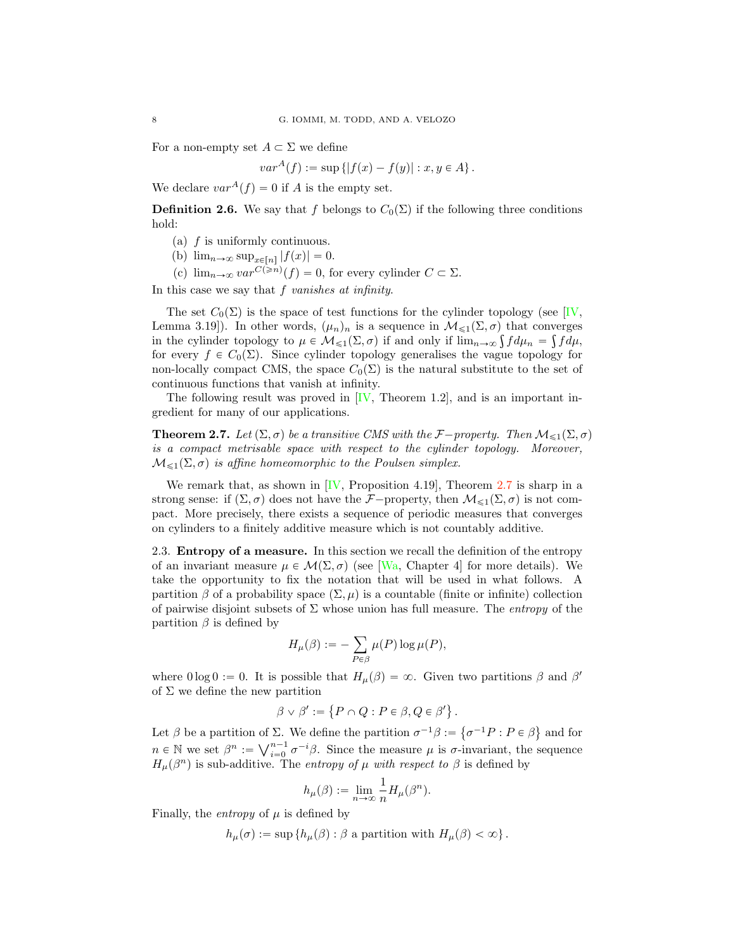For a non-empty set  $A \subset \Sigma$  we define

$$
var^{A}(f) := \sup \{|f(x) - f(y)| : x, y \in A\}.
$$

We declare  $var^A(f) = 0$  if A is the empty set.

<span id="page-7-2"></span>**Definition 2.6.** We say that f belongs to  $C_0(\Sigma)$  if the following three conditions hold:

- (a) f is uniformly continuous.
- (b)  $\lim_{n\to\infty} \sup_{x\in[n]} |f(x)| = 0.$
- (c)  $\lim_{n\to\infty} var^{C(\geq n)}(f) = 0$ , for every cylinder  $C \subset \Sigma$ .

In this case we say that  $f$  vanishes at infinity.

The set  $C_0(\Sigma)$  is the space of test functions for the cylinder topology (see [\[IV,](#page-42-0) Lemma 3.19]). In other words,  $(\mu_n)_n$  is a sequence in  $\mathcal{M}_{\leq 1}(\Sigma, \sigma)$  that converges in the cylinder topology to  $\mu \in \mathcal{M}_{\leq 1}(\Sigma, \sigma)$  if and only if  $\lim_{n\to\infty} \int f d\mu_n = \int f d\mu$ , for every  $f \in C_0(\Sigma)$ . Since cylinder topology generalises the vague topology for non-locally compact CMS, the space  $C_0(\Sigma)$  is the natural substitute to the set of continuous functions that vanish at infinity.

The following result was proved in  $[IV, Theorem 1.2]$  $[IV, Theorem 1.2]$ , and is an important ingredient for many of our applications.

<span id="page-7-1"></span>**Theorem 2.7.** Let  $(\Sigma, \sigma)$  be a transitive CMS with the *F*<sup>-</sup>property. Then  $M_{\leq 1}(\Sigma, \sigma)$ is a compact metrisable space with respect to the cylinder topology. Moreover,  $M_{\leq 1}(\Sigma, \sigma)$  is affine homeomorphic to the Poulsen simplex.

We remark that, as shown in  $[IV,$  Proposition 4.19], Theorem [2.7](#page-7-1) is sharp in a strong sense: if  $(\Sigma, \sigma)$  does not have the *F*<sup>{-property}</sup>, then  $\mathcal{M}_{\leq 1}(\Sigma, \sigma)$  is not compact. More precisely, there exists a sequence of periodic measures that converges on cylinders to a finitely additive measure which is not countably additive.

<span id="page-7-0"></span>2.3. Entropy of a measure. In this section we recall the definition of the entropy of an invariant measure  $\mu \in \mathcal{M}(\Sigma, \sigma)$  (see [\[Wa,](#page-43-1) Chapter 4] for more details). We take the opportunity to fix the notation that will be used in what follows. A partition  $\beta$  of a probability space  $(\Sigma, \mu)$  is a countable (finite or infinite) collection of pairwise disjoint subsets of  $\Sigma$  whose union has full measure. The *entropy* of the partition  $\beta$  is defined by

$$
H_{\mu}(\beta) := -\sum_{P \in \beta} \mu(P) \log \mu(P),
$$

where  $0 \log 0 := 0$ . It is possible that  $H_u(\beta) = \infty$ . Given two partitions  $\beta$  and  $\beta'$ of  $\Sigma$  we define the new partition

$$
\beta \vee \beta' := \{ P \cap Q : P \in \beta, Q \in \beta' \}.
$$

Let  $\beta$  be a partition of  $\Sigma$ . We define the partition  $\sigma^{-1}\beta := \{ \sigma^{-1}P : P \in \beta \}$  and for  $n \in \mathbb{N}$  we set  $\beta^n := \bigvee_{i=0}^{n-1} \sigma^{-i}\beta$ . Since the measure  $\mu$  is  $\sigma$ -invariant, the sequence  $H_{\mu}(\beta^n)$  is sub-additive. The entropy of  $\mu$  with respect to  $\beta$  is defined by

$$
h_\mu(\beta) := \lim_{n \to \infty} \frac{1}{n} H_\mu(\beta^n).
$$

Finally, the *entropy* of  $\mu$  is defined by

 $h_{\mu}(\sigma) := \sup \{ h_{\mu}(\beta) : \beta \text{ a partition with } H_{\mu}(\beta) < \infty \}.$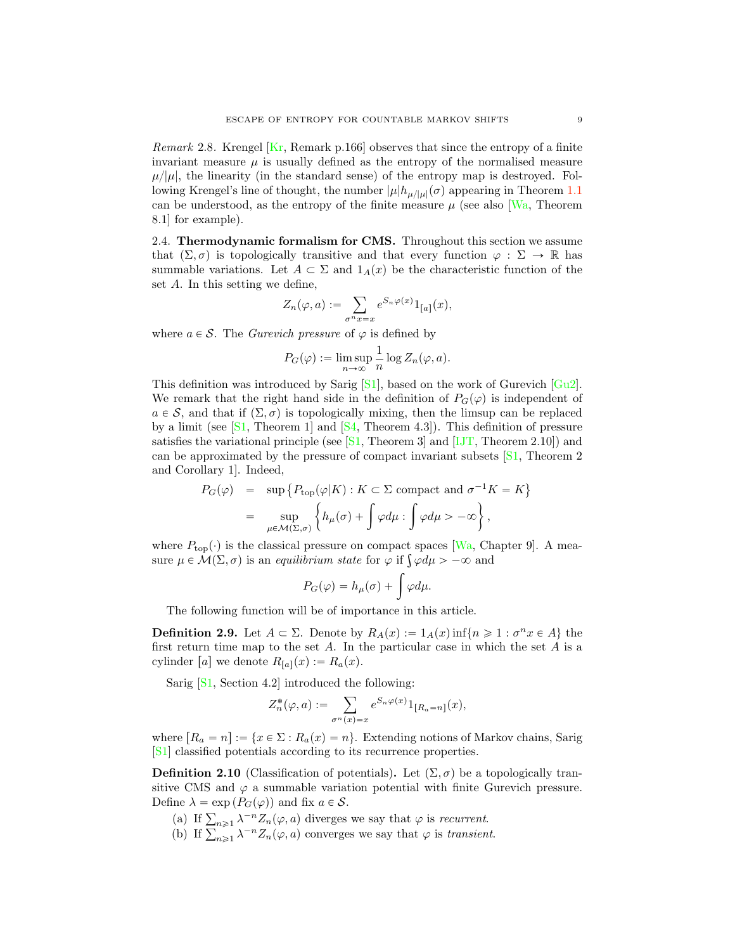*Remark* 2.8. Krengel  $\overline{Kr}$ , Remark p.166 observes that since the entropy of a finite invariant measure  $\mu$  is usually defined as the entropy of the normalised measure  $\mu/|\mu|$ , the linearity (in the standard sense) of the entropy map is destroyed. Following Krengel's line of thought, the number  $|\mu|h_{\mu/|\mu|}(\sigma)$  appearing in Theorem [1.1](#page-0-0) can be understood, as the entropy of the finite measure  $\mu$  (see also [\[Wa,](#page-43-1) Theorem 8.1] for example).

<span id="page-8-1"></span>2.4. Thermodynamic formalism for CMS. Throughout this section we assume that  $(\Sigma, \sigma)$  is topologically transitive and that every function  $\varphi : \Sigma \to \mathbb{R}$  has summable variations. Let  $A \subset \Sigma$  and  $1_A(x)$  be the characteristic function of the set A. In this setting we define,

$$
Z_n(\varphi, a) := \sum_{\sigma^n x = x} e^{S_n \varphi(x)} 1_{[a]}(x),
$$

where  $a \in \mathcal{S}$ . The *Gurevich pressure* of  $\varphi$  is defined by

$$
P_G(\varphi) := \limsup_{n \to \infty} \frac{1}{n} \log Z_n(\varphi, a).
$$

This definition was introduced by Sarig  $[S_1]$ , based on the work of Gurevich  $[G_1]$ . We remark that the right hand side in the definition of  $P_G(\varphi)$  is independent of  $a \in S$ , and that if  $(\Sigma, \sigma)$  is topologically mixing, then the limsup can be replaced by a limit (see  $[51,$  Theorem 1] and  $[54,$  Theorem 4.3]). This definition of pressure satisfies the variational principle (see  $[S1,$  Theorem 3] and  $[IJT,$  Theorem 2.10]) and can be approximated by the pressure of compact invariant subsets [\[S1,](#page-42-14) Theorem 2 and Corollary 1]. Indeed,

$$
P_G(\varphi) = \sup \{ P_{\text{top}}(\varphi | K) : K \subset \Sigma \text{ compact and } \sigma^{-1} K = K \}
$$
  
= 
$$
\sup_{\mu \in \mathcal{M}(\Sigma, \sigma)} \left\{ h_{\mu}(\sigma) + \int \varphi d\mu : \int \varphi d\mu > -\infty \right\},
$$

where  $P_{\text{top}}(\cdot)$  is the classical pressure on compact spaces [\[Wa,](#page-43-1) Chapter 9]. A measure  $\mu \in \mathcal{M}(\Sigma, \sigma)$  is an *equilibrium state* for  $\varphi$  if  $\int \varphi d\mu > -\infty$  and

$$
P_G(\varphi) = h_\mu(\sigma) + \int \varphi d\mu.
$$

The following function will be of importance in this article.

<span id="page-8-2"></span>**Definition 2.9.** Let  $A \subset \Sigma$ . Denote by  $R_A(x) := 1_A(x) \inf\{n \geq 1 : \sigma^n x \in A\}$  the first return time map to the set  $A$ . In the particular case in which the set  $A$  is a cylinder [a] we denote  $R_{[a]}(x) := R_a(x)$ .

Sarig [\[S1,](#page-42-14) Section 4.2] introduced the following:

$$
Z_n^*(\varphi, a) := \sum_{\sigma^n(x) = x} e^{S_n \varphi(x)} 1_{[R_a = n]}(x),
$$

where  $[R_a = n] := \{x \in \Sigma : R_a(x) = n\}$ . Extending notions of Markov chains, Sarig [\[S1\]](#page-42-14) classified potentials according to its recurrence properties.

<span id="page-8-0"></span>**Definition 2.10** (Classification of potentials). Let  $(\Sigma, \sigma)$  be a topologically transitive CMS and  $\varphi$  a summable variation potential with finite Gurevich pressure. Define  $\lambda = \exp(P_G(\varphi))$  and fix  $a \in \mathcal{S}$ .

- (a) If  $\sum_{n\geq 1} \lambda^{-n} Z_n(\varphi, a)$  diverges we say that  $\varphi$  is recurrent.
- (b) If  $\sum_{n\geq 1} \lambda^{-n} Z_n(\varphi, a)$  converges we say that  $\varphi$  is transient.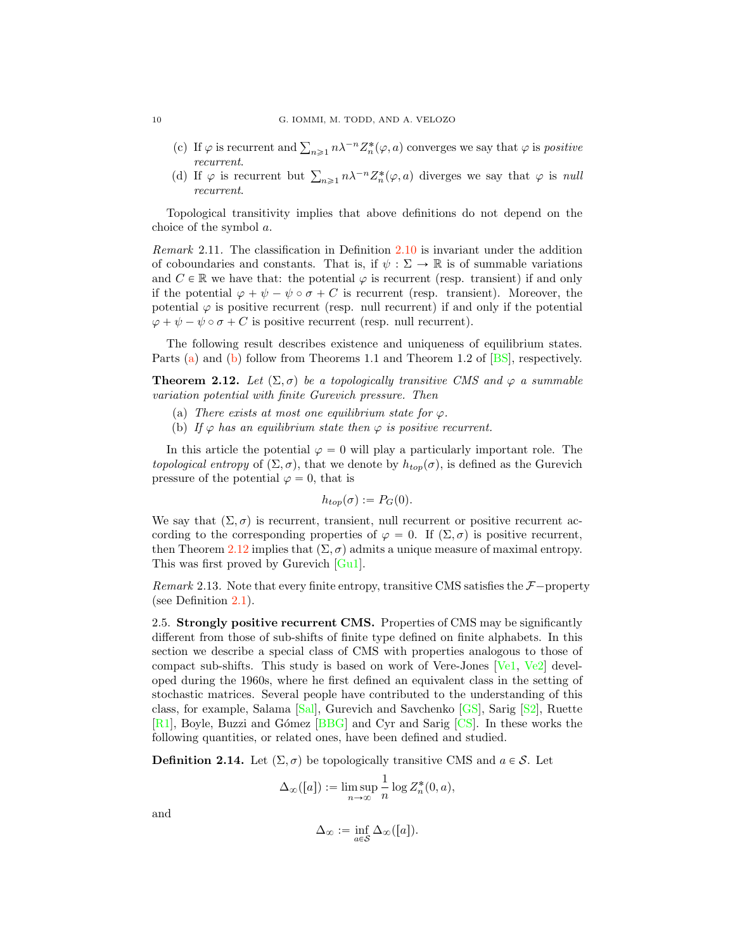- (c) If  $\varphi$  is recurrent and  $\sum_{n\geq 1} n\lambda^{-n} Z_n^*(\varphi, a)$  converges we say that  $\varphi$  is *positive* recurrent.
- (d) If  $\varphi$  is recurrent but  $\sum_{n\geq 1} n\lambda^{-n} Z_n^*(\varphi, a)$  diverges we say that  $\varphi$  is null recurrent.

Topological transitivity implies that above definitions do not depend on the choice of the symbol a.

Remark 2.11. The classification in Definition [2.10](#page-8-0) is invariant under the addition of coboundaries and constants. That is, if  $\psi : \Sigma \to \mathbb{R}$  is of summable variations and  $C \in \mathbb{R}$  we have that: the potential  $\varphi$  is recurrent (resp. transient) if and only if the potential  $\varphi + \psi - \psi \circ \sigma + C$  is recurrent (resp. transient). Moreover, the potential  $\varphi$  is positive recurrent (resp. null recurrent) if and only if the potential  $\varphi + \psi - \psi \circ \sigma + C$  is positive recurrent (resp. null recurrent).

The following result describes existence and uniqueness of equilibrium states. Parts [\(a\)](#page-9-0) and [\(b\)](#page-9-1) follow from Theorems 1.1 and Theorem 1.2 of [\[BS\]](#page-41-15), respectively.

<span id="page-9-2"></span>**Theorem 2.12.** Let  $(\Sigma, \sigma)$  be a topologically transitive CMS and  $\varphi$  a summable variation potential with finite Gurevich pressure. Then

- <span id="page-9-0"></span>(a) There exists at most one equilibrium state for  $\varphi$ .
- <span id="page-9-1"></span>(b) If  $\varphi$  has an equilibrium state then  $\varphi$  is positive recurrent.

In this article the potential  $\varphi = 0$  will play a particularly important role. The topological entropy of  $(\Sigma, \sigma)$ , that we denote by  $h_{top}(\sigma)$ , is defined as the Gurevich pressure of the potential  $\varphi = 0$ , that is

$$
h_{top}(\sigma) := P_G(0).
$$

We say that  $(\Sigma, \sigma)$  is recurrent, transient, null recurrent or positive recurrent according to the corresponding properties of  $\varphi = 0$ . If  $(\Sigma, \sigma)$  is positive recurrent, then Theorem [2.12](#page-9-2) implies that  $(\Sigma, \sigma)$  admits a unique measure of maximal entropy. This was first proved by Gurevich [\[Gu1\]](#page-41-16).

*Remark* 2.13. Note that every finite entropy, transitive CMS satisfies the  $\mathcal{F}-$ property (see Definition [2.1\)](#page-5-0).

2.5. Strongly positive recurrent CMS. Properties of CMS may be significantly different from those of sub-shifts of finite type defined on finite alphabets. In this section we describe a special class of CMS with properties analogous to those of compact sub-shifts. This study is based on work of Vere-Jones [\[Ve1,](#page-43-2) [Ve2\]](#page-43-3) developed during the 1960s, where he first defined an equivalent class in the setting of stochastic matrices. Several people have contributed to the understanding of this class, for example, Salama [\[Sal\]](#page-42-17), Gurevich and Savchenko [\[GS\]](#page-41-5), Sarig [\[S2\]](#page-42-18), Ruette [\[R1\]](#page-42-19), Boyle, Buzzi and G´omez [\[BBG\]](#page-41-17) and Cyr and Sarig [\[CS\]](#page-41-14). In these works the following quantities, or related ones, have been defined and studied.

**Definition 2.14.** Let  $(\Sigma, \sigma)$  be topologically transitive CMS and  $a \in \mathcal{S}$ . Let

$$
\Delta_{\infty}([a]):=\limsup_{n\to\infty}\frac{1}{n}\log Z_n^*(0,a),
$$

and

$$
\Delta_{\infty} := \inf_{a \in \mathcal{S}} \Delta_{\infty}([a]).
$$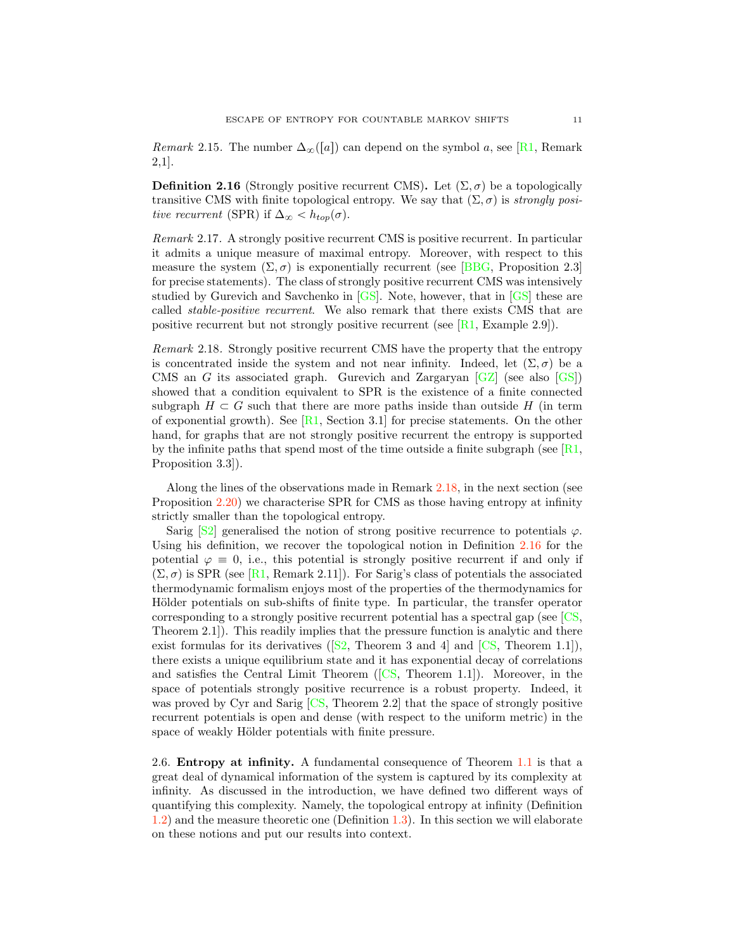*Remark* 2.15. The number  $\Delta_{\infty}([a])$  can depend on the symbol a, see [\[R1,](#page-42-19) Remark 2,1].

<span id="page-10-2"></span>**Definition 2.16** (Strongly positive recurrent CMS). Let  $(\Sigma, \sigma)$  be a topologically transitive CMS with finite topological entropy. We say that  $(\Sigma, \sigma)$  is strongly positive recurrent (SPR) if  $\Delta_{\infty} < h_{top}(\sigma)$ .

<span id="page-10-3"></span>Remark 2.17. A strongly positive recurrent CMS is positive recurrent. In particular it admits a unique measure of maximal entropy. Moreover, with respect to this measure the system  $(\Sigma, \sigma)$  is exponentially recurrent (see [\[BBG,](#page-41-17) Proposition 2.3] for precise statements). The class of strongly positive recurrent CMS was intensively studied by Gurevich and Savchenko in [\[GS\]](#page-41-5). Note, however, that in [\[GS\]](#page-41-5) these are called stable-positive recurrent. We also remark that there exists CMS that are positive recurrent but not strongly positive recurrent (see  $[R1, Example 2.9]$  $[R1, Example 2.9]$ ).

<span id="page-10-1"></span>Remark 2.18. Strongly positive recurrent CMS have the property that the entropy is concentrated inside the system and not near infinity. Indeed, let  $(\Sigma, \sigma)$  be a CMS an G its associated graph. Gurevich and Zargaryan  $[GZ]$  (see also  $[GS]$ ) showed that a condition equivalent to SPR is the existence of a finite connected subgraph  $H \subset G$  such that there are more paths inside than outside H (in term of exponential growth). See  $[R1, Section 3.1]$  $[R1, Section 3.1]$  for precise statements. On the other hand, for graphs that are not strongly positive recurrent the entropy is supported by the infinite paths that spend most of the time outside a finite subgraph (see [\[R1,](#page-42-19) Proposition 3.3]).

Along the lines of the observations made in Remark [2.18,](#page-10-1) in the next section (see Proposition [2.20\)](#page-12-0) we characterise SPR for CMS as those having entropy at infinity strictly smaller than the topological entropy.

Sarig  $[S2]$  generalised the notion of strong positive recurrence to potentials  $\varphi$ . Using his definition, we recover the topological notion in Definition [2.16](#page-10-2) for the potential  $\varphi \equiv 0$ , i.e., this potential is strongly positive recurrent if and only if  $(\Sigma, \sigma)$  is SPR (see [\[R1,](#page-42-19) Remark 2.11]). For Sarig's class of potentials the associated thermodynamic formalism enjoys most of the properties of the thermodynamics for Hölder potentials on sub-shifts of finite type. In particular, the transfer operator corresponding to a strongly positive recurrent potential has a spectral gap (see [\[CS,](#page-41-14) Theorem 2.1]). This readily implies that the pressure function is analytic and there exist formulas for its derivatives ( $[52,$  Theorem 3 and 4 and  $[CS,$  Theorem 1.1]), there exists a unique equilibrium state and it has exponential decay of correlations and satisfies the Central Limit Theorem  $(\sqrt{CS}$ , Theorem 1.1.). Moreover, in the space of potentials strongly positive recurrence is a robust property. Indeed, it was proved by Cyr and Sarig [\[CS,](#page-41-14) Theorem 2.2] that the space of strongly positive recurrent potentials is open and dense (with respect to the uniform metric) in the space of weakly Hölder potentials with finite pressure.

<span id="page-10-0"></span>2.6. Entropy at infinity. A fundamental consequence of Theorem [1.1](#page-0-0) is that a great deal of dynamical information of the system is captured by its complexity at infinity. As discussed in the introduction, we have defined two different ways of quantifying this complexity. Namely, the topological entropy at infinity (Definition [1.2\)](#page-1-2) and the measure theoretic one (Definition [1.3\)](#page-1-1). In this section we will elaborate on these notions and put our results into context.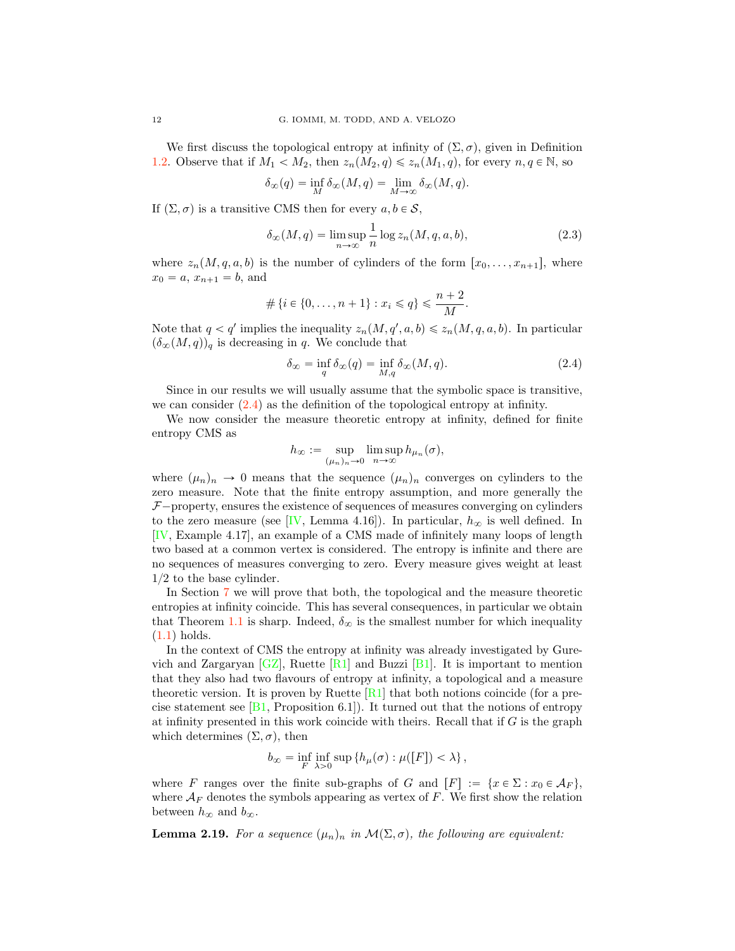We first discuss the topological entropy at infinity of  $(\Sigma, \sigma)$ , given in Definition [1.2.](#page-1-2) Observe that if  $M_1 < M_2$ , then  $z_n(M_2, q) \leq z_n(M_1, q)$ , for every  $n, q \in \mathbb{N}$ , so

$$
\delta_{\infty}(q) = \inf_{M} \delta_{\infty}(M, q) = \lim_{M \to \infty} \delta_{\infty}(M, q).
$$

If  $(\Sigma, \sigma)$  is a transitive CMS then for every  $a, b \in \mathcal{S}$ ,

$$
\delta_{\infty}(M, q) = \limsup_{n \to \infty} \frac{1}{n} \log z_n(M, q, a, b), \tag{2.3}
$$

where  $z_n(M, q, a, b)$  is the number of cylinders of the form  $[x_0, \ldots, x_{n+1}],$  where  $x_0 = a, x_{n+1} = b$ , and

$$
\#\{i \in \{0, \dots, n+1\} : x_i \leqslant q\} \leqslant \frac{n+2}{M}.
$$

Note that  $q < q'$  implies the inequality  $z_n(M, q', a, b) \leq z_n(M, q, a, b)$ . In particular  $(\delta_{\infty}(M, q))_q$  is decreasing in q. We conclude that

<span id="page-11-0"></span>
$$
\delta_{\infty} = \inf_{q} \delta_{\infty}(q) = \inf_{M,q} \delta_{\infty}(M,q). \tag{2.4}
$$

Since in our results we will usually assume that the symbolic space is transitive, we can consider  $(2.4)$  as the definition of the topological entropy at infinity.

We now consider the measure theoretic entropy at infinity, defined for finite entropy CMS as

$$
h_{\infty} := \sup_{(\mu_n)_n \to 0} \limsup_{n \to \infty} h_{\mu_n}(\sigma),
$$

where  $(\mu_n)_n \to 0$  means that the sequence  $(\mu_n)_n$  converges on cylinders to the zero measure. Note that the finite entropy assumption, and more generally the  $F$ <sup>-</sup>property, ensures the existence of sequences of measures converging on cylinders to the zero measure (see [\[IV,](#page-42-0) Lemma 4.16]). In particular,  $h_{\infty}$  is well defined. In [\[IV,](#page-42-0) Example 4.17], an example of a CMS made of infinitely many loops of length two based at a common vertex is considered. The entropy is infinite and there are no sequences of measures converging to zero. Every measure gives weight at least  $1/2$  to the base cylinder.

In Section [7](#page-30-0) we will prove that both, the topological and the measure theoretic entropies at infinity coincide. This has several consequences, in particular we obtain that Theorem [1.1](#page-0-0) is sharp. Indeed,  $\delta_{\infty}$  is the smallest number for which inequality  $(1.1)$  holds.

In the context of CMS the entropy at infinity was already investigated by Gurevich and Zargaryan  $[GZ]$ , Ruette  $[R1]$  and Buzzi  $[B1]$ . It is important to mention that they also had two flavours of entropy at infinity, a topological and a measure theoretic version. It is proven by Ruette  $[R1]$  that both notions coincide (for a precise statement see  $[B1,$  Proposition 6.1]). It turned out that the notions of entropy at infinity presented in this work coincide with theirs. Recall that if  $G$  is the graph which determines  $(\Sigma, \sigma)$ , then

$$
b_{\infty} = \inf_{F} \inf_{\lambda > 0} \sup \{ h_{\mu}(\sigma) : \mu([F]) < \lambda \},\
$$

where F ranges over the finite sub-graphs of G and  $[F] := \{x \in \Sigma : x_0 \in \mathcal{A}_F \}$ , where  $A_F$  denotes the symbols appearing as vertex of F. We first show the relation between  $h_{\infty}$  and  $b_{\infty}$ .

<span id="page-11-1"></span>**Lemma 2.19.** For a sequence  $(\mu_n)_n$  in  $\mathcal{M}(\Sigma, \sigma)$ , the following are equivalent: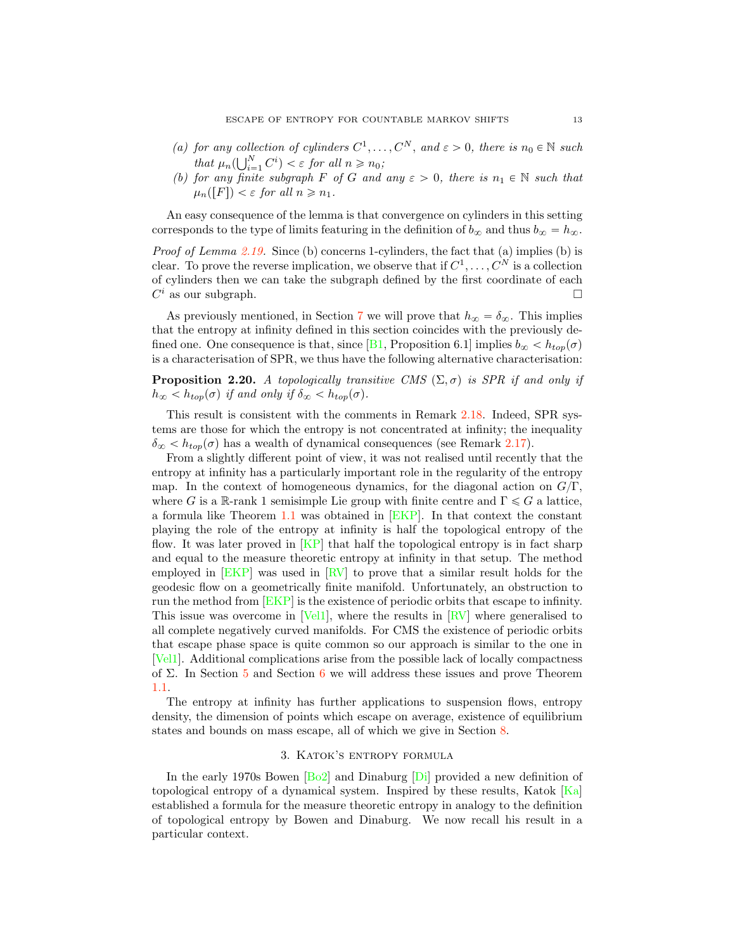- (a) for any collection of cylinders  $C^1, \ldots, C^N$ , and  $\varepsilon > 0$ , there is  $n_0 \in \mathbb{N}$  such that  $\mu_n(\bigcup_{i=1}^N C^i) < \varepsilon$  for all  $n \geq n_0$ ;
- (b) for any finite subgraph F of G and any  $\varepsilon > 0$ , there is  $n_1 \in \mathbb{N}$  such that  $\mu_n([F]) < \varepsilon$  for all  $n \geq n_1$ .

An easy consequence of the lemma is that convergence on cylinders in this setting corresponds to the type of limits featuring in the definition of  $b_{\infty}$  and thus  $b_{\infty} = h_{\infty}$ .

*Proof of Lemma*  $2.19$ *.* Since (b) concerns 1-cylinders, the fact that (a) implies (b) is clear. To prove the reverse implication, we observe that if  $C^1, \ldots, C^N$  is a collection of cylinders then we can take the subgraph defined by the first coordinate of each  $C<sup>i</sup>$  as our subgraph.

As previously mentioned, in Section [7](#page-30-0) we will prove that  $h_{\infty} = \delta_{\infty}$ . This implies that the entropy at infinity defined in this section coincides with the previously de-fined one. One consequence is that, since [\[B1,](#page-41-0) Proposition 6.1] implies  $b_{\infty} < h_{top}(\sigma)$ is a characterisation of SPR, we thus have the following alternative characterisation:

<span id="page-12-0"></span>**Proposition 2.20.** A topologically transitive CMS  $(\Sigma, \sigma)$  is SPR if and only if  $h_{\infty} < h_{top}(\sigma)$  if and only if  $\delta_{\infty} < h_{top}(\sigma)$ .

This result is consistent with the comments in Remark [2.18.](#page-10-1) Indeed, SPR systems are those for which the entropy is not concentrated at infinity; the inequality  $\delta_{\infty} < h_{top}(\sigma)$  has a wealth of dynamical consequences (see Remark [2.17\)](#page-10-3).

From a slightly different point of view, it was not realised until recently that the entropy at infinity has a particularly important role in the regularity of the entropy map. In the context of homogeneous dynamics, for the diagonal action on  $G/\Gamma$ , where G is a R-rank 1 semisimple Lie group with finite centre and  $\Gamma \leqslant G$  a lattice, a formula like Theorem [1.1](#page-0-0) was obtained in [\[EKP\]](#page-41-3). In that context the constant playing the role of the entropy at infinity is half the topological entropy of the flow. It was later proved in [\[KP\]](#page-42-7) that half the topological entropy is in fact sharp and equal to the measure theoretic entropy at infinity in that setup. The method employed in [\[EKP\]](#page-41-3) was used in [\[RV\]](#page-42-2) to prove that a similar result holds for the geodesic flow on a geometrically finite manifold. Unfortunately, an obstruction to run the method from [\[EKP\]](#page-41-3) is the existence of periodic orbits that escape to infinity. This issue was overcome in [\[Vel1\]](#page-43-0), where the results in [\[RV\]](#page-42-2) where generalised to all complete negatively curved manifolds. For CMS the existence of periodic orbits that escape phase space is quite common so our approach is similar to the one in [\[Vel1\]](#page-43-0). Additional complications arise from the possible lack of locally compactness of  $\Sigma$ . In Section [5](#page-20-0) and Section [6](#page-27-0) we will address these issues and prove Theorem [1.1.](#page-0-0)

The entropy at infinity has further applications to suspension flows, entropy density, the dimension of points which escape on average, existence of equilibrium states and bounds on mass escape, all of which we give in Section [8.](#page-33-0)

## 3. Katok's entropy formula

<span id="page-12-1"></span>In the early 1970s Bowen [\[Bo2\]](#page-41-10) and Dinaburg [\[Di\]](#page-41-4) provided a new definition of topological entropy of a dynamical system. Inspired by these results, Katok  $[Ka]$ established a formula for the measure theoretic entropy in analogy to the definition of topological entropy by Bowen and Dinaburg. We now recall his result in a particular context.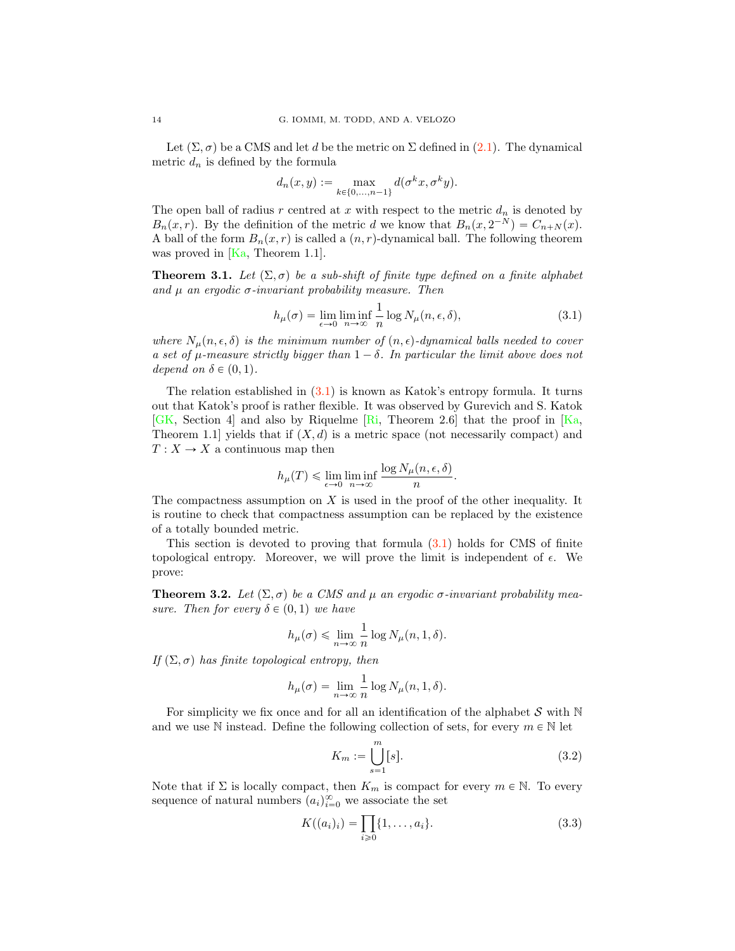Let  $(\Sigma, \sigma)$  be a CMS and let d be the metric on  $\Sigma$  defined in [\(2.1\)](#page-4-0). The dynamical metric  $d_n$  is defined by the formula

$$
d_n(x, y) := \max_{k \in \{0, ..., n-1\}} d(\sigma^k x, \sigma^k y).
$$

The open ball of radius r centred at x with respect to the metric  $d_n$  is denoted by  $B_n(x, r)$ . By the definition of the metric d we know that  $B_n(x, 2^{-N}) = C_{n+N}(x)$ . A ball of the form  $B_n(x, r)$  is called a  $(n, r)$ -dynamical ball. The following theorem was proved in  $[Ka, Theorem 1.1].$  $[Ka, Theorem 1.1].$ 

**Theorem 3.1.** Let  $(\Sigma, \sigma)$  be a sub-shift of finite type defined on a finite alphabet and  $\mu$  an ergodic  $\sigma$ -invariant probability measure. Then

<span id="page-13-0"></span>
$$
h_{\mu}(\sigma) = \lim_{\epsilon \to 0} \liminf_{n \to \infty} \frac{1}{n} \log N_{\mu}(n, \epsilon, \delta), \tag{3.1}
$$

where  $N_{\mu}(n, \epsilon, \delta)$  is the minimum number of  $(n, \epsilon)$ -dynamical balls needed to cover a set of  $\mu$ -measure strictly bigger than  $1 - \delta$ . In particular the limit above does not depend on  $\delta \in (0, 1)$ .

The relation established in  $(3.1)$  is known as Katok's entropy formula. It turns out that Katok's proof is rather flexible. It was observed by Gurevich and S. Katok [\[GK,](#page-41-19) Section 4] and also by Riquelme [\[Ri,](#page-42-20) Theorem 2.6] that the proof in [\[Ka,](#page-42-11) Theorem 1.1 yields that if  $(X, d)$  is a metric space (not necessarily compact) and  $T: X \to X$  a continuous map then

$$
h_{\mu}(T) \leq \lim_{\epsilon \to 0} \liminf_{n \to \infty} \frac{\log N_{\mu}(n, \epsilon, \delta)}{n}.
$$

The compactness assumption on  $X$  is used in the proof of the other inequality. It is routine to check that compactness assumption can be replaced by the existence of a totally bounded metric.

This section is devoted to proving that formula [\(3.1\)](#page-13-0) holds for CMS of finite topological entropy. Moreover, we will prove the limit is independent of  $\epsilon$ . We prove:

<span id="page-13-1"></span>**Theorem 3.2.** Let  $(\Sigma, \sigma)$  be a CMS and  $\mu$  an ergodic  $\sigma$ -invariant probability measure. Then for every  $\delta \in (0, 1)$  we have

$$
h_{\mu}(\sigma) \leq \lim_{n \to \infty} \frac{1}{n} \log N_{\mu}(n, 1, \delta).
$$

If  $(\Sigma, \sigma)$  has finite topological entropy, then

$$
h_{\mu}(\sigma) = \lim_{n \to \infty} \frac{1}{n} \log N_{\mu}(n, 1, \delta).
$$

For simplicity we fix once and for all an identification of the alphabet  $S$  with  $N$ and we use N instead. Define the following collection of sets, for every  $m \in \mathbb{N}$  let

<span id="page-13-2"></span>
$$
K_m := \bigcup_{s=1}^m [s].\tag{3.2}
$$

Note that if  $\Sigma$  is locally compact, then  $K_m$  is compact for every  $m \in \mathbb{N}$ . To every sequence of natural numbers  $(a_i)_{i=0}^{\infty}$  we associate the set

<span id="page-13-3"></span>
$$
K((a_i)_i) = \prod_{i \ge 0} \{1, \dots, a_i\}.
$$
 (3.3)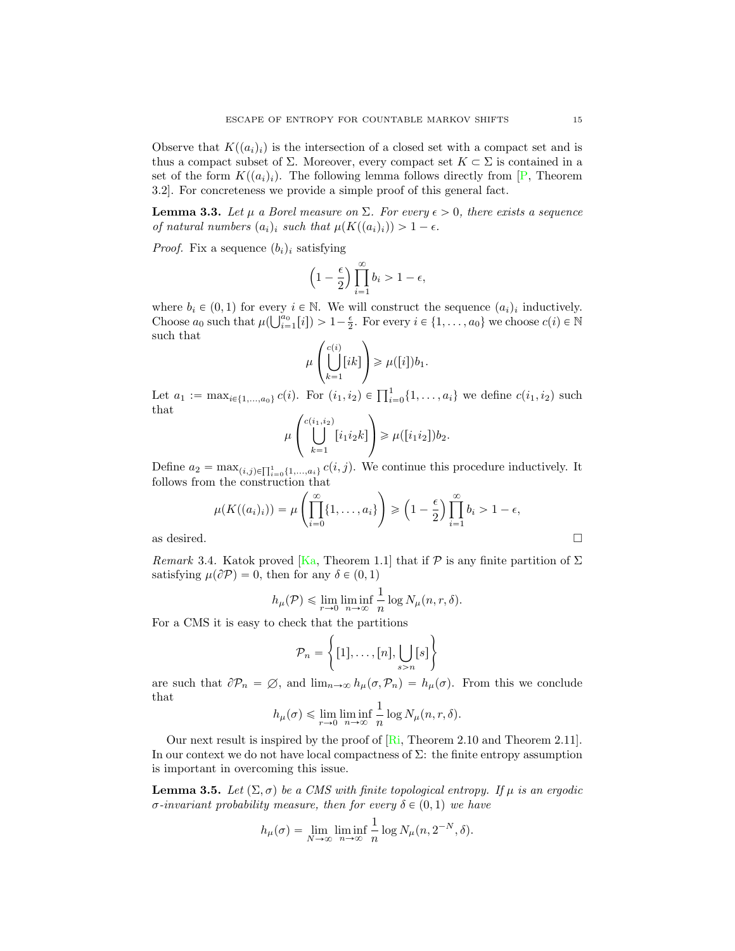Observe that  $K((a_i)_i)$  is the intersection of a closed set with a compact set and is thus a compact subset of  $\Sigma$ . Moreover, every compact set  $K \subset \Sigma$  is contained in a set of the form  $K((a_i)_i)$ . The following lemma follows directly from [\[P,](#page-42-21) Theorem 3.2]. For concreteness we provide a simple proof of this general fact.

<span id="page-14-0"></span>**Lemma 3.3.** Let  $\mu$  a Borel measure on  $\Sigma$ . For every  $\epsilon > 0$ , there exists a sequence of natural numbers  $(a_i)_i$  such that  $\mu(K((a_i)_i)) > 1 - \epsilon$ .

*Proof.* Fix a sequence  $(b_i)_i$  satisfying

$$
\left(1 - \frac{\epsilon}{2}\right) \prod_{i=1}^{\infty} b_i > 1 - \epsilon,
$$

where  $b_i \in (0, 1)$  for every  $i \in \mathbb{N}$ . We will construct the sequence  $(a_i)_i$  inductively. Choose  $a_0$  such that  $\mu(\bigcup_{i=1}^{a_0} [i]) > 1 - \frac{\epsilon}{2}$ . For every  $i \in \{1, \ldots, a_0\}$  we choose  $c(i) \in \mathbb{N}$ such that

$$
\mu\left(\bigcup_{k=1}^{c(i)}[ik]\right)\geqslant\mu([i])b_1.
$$

Let  $a_1 := \max_{i \in \{1, ..., a_0\}} c(i)$ . For  $(i_1, i_2) \in \prod_{i=0}^1 \{1, ..., a_i\}$  we define  $c(i_1, i_2)$  such that

$$
\mu\left(\bigcup_{k=1}^{c(i_1,i_2)}[i_1i_2k]\right) \geq \mu([i_1i_2])b_2.
$$

Define  $a_2 = \max_{(i,j)\in\prod_{i=0}^1\{1,\ldots,a_i\}} c(i,j)$ . We continue this procedure inductively. It follows from the construction that

$$
\mu(K((a_i)_i)) = \mu\left(\prod_{i=0}^{\infty} \{1, \dots, a_i\}\right) \ge \left(1 - \frac{\epsilon}{2}\right) \prod_{i=1}^{\infty} b_i > 1 - \epsilon,
$$
 as desired.

<span id="page-14-1"></span>*Remark* 3.4. Katok proved [\[Ka,](#page-42-11) Theorem 1.1] that if  $P$  is any finite partition of  $\Sigma$ satisfying  $\mu(\partial P) = 0$ , then for any  $\delta \in (0, 1)$ 

$$
h_{\mu}(\mathcal{P}) \leq \lim_{r \to 0} \liminf_{n \to \infty} \frac{1}{n} \log N_{\mu}(n, r, \delta).
$$

For a CMS it is easy to check that the partitions

$$
\mathcal{P}_n = \left\{ [1], \dots, [n], \bigcup_{s > n} [s] \right\}
$$

are such that  $\partial P_n = \emptyset$ , and  $\lim_{n\to\infty} h_\mu(\sigma, P_n) = h_\mu(\sigma)$ . From this we conclude that

$$
h_{\mu}(\sigma) \leq \lim_{r \to 0} \liminf_{n \to \infty} \frac{1}{n} \log N_{\mu}(n, r, \delta).
$$

Our next result is inspired by the proof of [\[Ri,](#page-42-20) Theorem 2.10 and Theorem 2.11]. In our context we do not have local compactness of  $\Sigma$ : the finite entropy assumption is important in overcoming this issue.

<span id="page-14-2"></span>**Lemma 3.5.** Let  $(\Sigma, \sigma)$  be a CMS with finite topological entropy. If  $\mu$  is an ergodic σ-invariant probability measure, then for every  $\delta \in (0, 1)$  we have

$$
h_{\mu}(\sigma) = \lim_{N \to \infty} \liminf_{n \to \infty} \frac{1}{n} \log N_{\mu}(n, 2^{-N}, \delta).
$$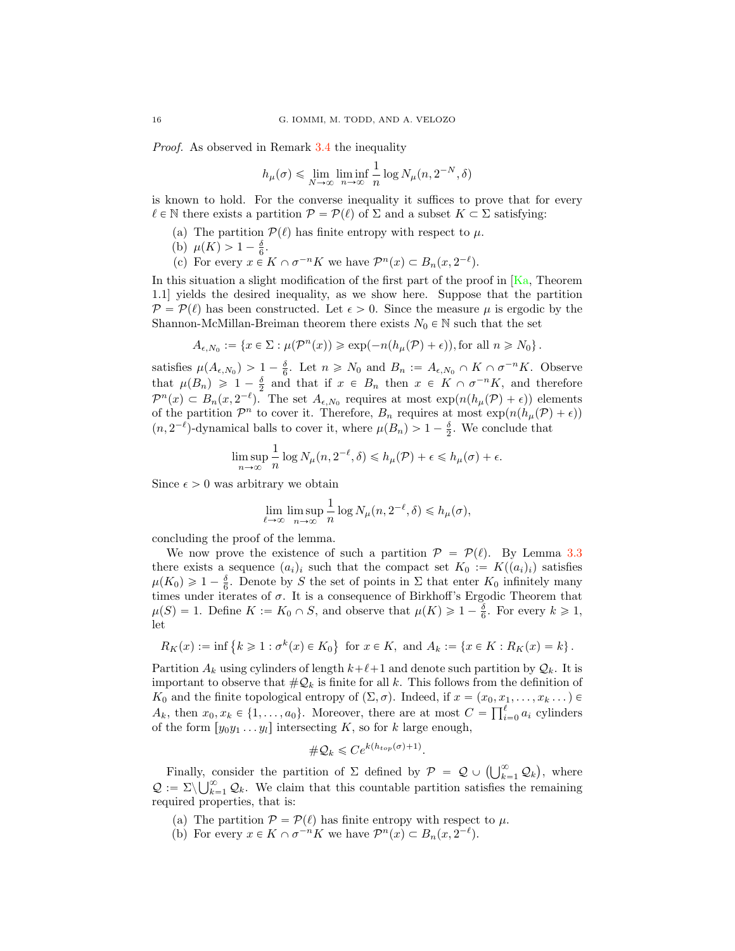Proof. As observed in Remark [3.4](#page-14-1) the inequality

$$
h_\mu(\sigma) \leqslant \lim_{N \to \infty} \liminf_{n \to \infty} \frac{1}{n} \log N_\mu(n, 2^{-N}, \delta)
$$

is known to hold. For the converse inequality it suffices to prove that for every  $\ell \in \mathbb{N}$  there exists a partition  $\mathcal{P} = \mathcal{P}(\ell)$  of  $\Sigma$  and a subset  $K \subset \Sigma$  satisfying:

- (a) The partition  $\mathcal{P}(\ell)$  has finite entropy with respect to  $\mu$ .
- (b)  $\mu(K) > 1 \frac{\delta}{6}$ .
- (c) For every  $x \in K \cap \sigma^{-n}K$  we have  $\mathcal{P}^n(x) \subset B_n(x, 2^{-\ell}).$

In this situation a slight modification of the first part of the proof in  $[Ka]$ , Theorem 1.1] yields the desired inequality, as we show here. Suppose that the partition  $P = P(\ell)$  has been constructed. Let  $\epsilon > 0$ . Since the measure  $\mu$  is ergodic by the Shannon-McMillan-Breiman theorem there exists  $N_0 \in \mathbb{N}$  such that the set

$$
A_{\epsilon,N_0} := \{ x \in \Sigma : \mu(\mathcal{P}^n(x)) \geq \exp(-n(h_\mu(\mathcal{P}) + \epsilon)), \text{for all } n \geq N_0 \}.
$$

satisfies  $\mu(A_{\epsilon,N_0}) > 1 - \frac{\delta}{6}$ . Let  $n \ge N_0$  and  $B_n := A_{\epsilon,N_0} \cap K \cap \sigma^{-n}K$ . Observe that  $\mu(B_n) \geq 1 - \frac{\delta}{2}$  and that if  $x \in B_n$  then  $x \in K \cap \sigma^{-n}K$ , and therefore  $\mathcal{P}^n(x) \subset B_n(x, 2^{-\ell})$ . The set  $A_{\epsilon, N_0}$  requires at most  $\exp(n(h_\mu(\mathcal{P}) + \epsilon))$  elements of the partition  $\mathcal{P}^n$  to cover it. Therefore,  $B_n$  requires at most  $\exp(n(h_\mu(\mathcal{P}) + \epsilon))$  $(n, 2^{-\ell})$ -dynamical balls to cover it, where  $\mu(B_n) > 1 - \frac{\delta}{2}$ . We conclude that

$$
\limsup_{n \to \infty} \frac{1}{n} \log N_{\mu}(n, 2^{-\ell}, \delta) \le h_{\mu}(\mathcal{P}) + \epsilon \le h_{\mu}(\sigma) + \epsilon.
$$

Since  $\epsilon > 0$  was arbitrary we obtain

$$
\lim_{\ell \to \infty} \limsup_{n \to \infty} \frac{1}{n} \log N_{\mu}(n, 2^{-\ell}, \delta) \le h_{\mu}(\sigma),
$$

concluding the proof of the lemma.

We now prove the existence of such a partition  $P = P(\ell)$ . By Lemma [3.3](#page-14-0) there exists a sequence  $(a_i)_i$  such that the compact set  $K_0 := K((a_i)_i)$  satisfies  $\mu(K_0) \geq 1 - \frac{\delta}{6}$ . Denote by S the set of points in  $\Sigma$  that enter  $K_0$  infinitely many times under iterates of  $\sigma$ . It is a consequence of Birkhoff's Ergodic Theorem that  $\mu(S) = 1$ . Define  $K := K_0 \cap S$ , and observe that  $\mu(K) \geq 1 - \frac{\delta}{6}$ . For every  $k \geq 1$ , let

$$
R_K(x) := \inf \{ k \ge 1 : \sigma^k(x) \in K_0 \} \text{ for } x \in K, \text{ and } A_k := \{ x \in K : R_K(x) = k \}.
$$

Partition  $A_k$  using cylinders of length  $k+\ell+1$  and denote such partition by  $\mathcal{Q}_k$ . It is important to observe that  $\#\mathcal{Q}_k$  is finite for all k. This follows from the definition of  $K_0$  and the finite topological entropy of  $(\Sigma, \sigma)$ . Indeed, if  $x = (x_0, x_1, \ldots, x_k \ldots)$  $A_k$ , then  $x_0, x_k \in \{1, ..., a_0\}$ . Moreover, there are at most  $C = \prod_{i=0}^{\ell} a_i$  cylinders of the form  $[y_0y_1 \t ... y_l]$  intersecting K, so for k large enough,

$$
\#\mathcal{Q}_k \leqslant Ce^{k(h_{top}(\sigma)+1)}.
$$

Finally, consider the partition of  $\Sigma$  defined by  $\mathcal{P} = \mathcal{Q} \cup \left( \bigcup_{k=1}^{\infty} \mathcal{Q}_k \right)$ , where  $\mathcal{Q} := \Sigma \setminus \bigcup_{k=1}^{\infty} \mathcal{Q}_k$ . We claim that this countable partition satisfies the remaining required properties, that is:

- (a) The partition  $P = P(\ell)$  has finite entropy with respect to  $\mu$ .
- (b) For every  $x \in K \cap \sigma^{-n}K$  we have  $\mathcal{P}^n(x) \subset B_n(x, 2^{-\ell}).$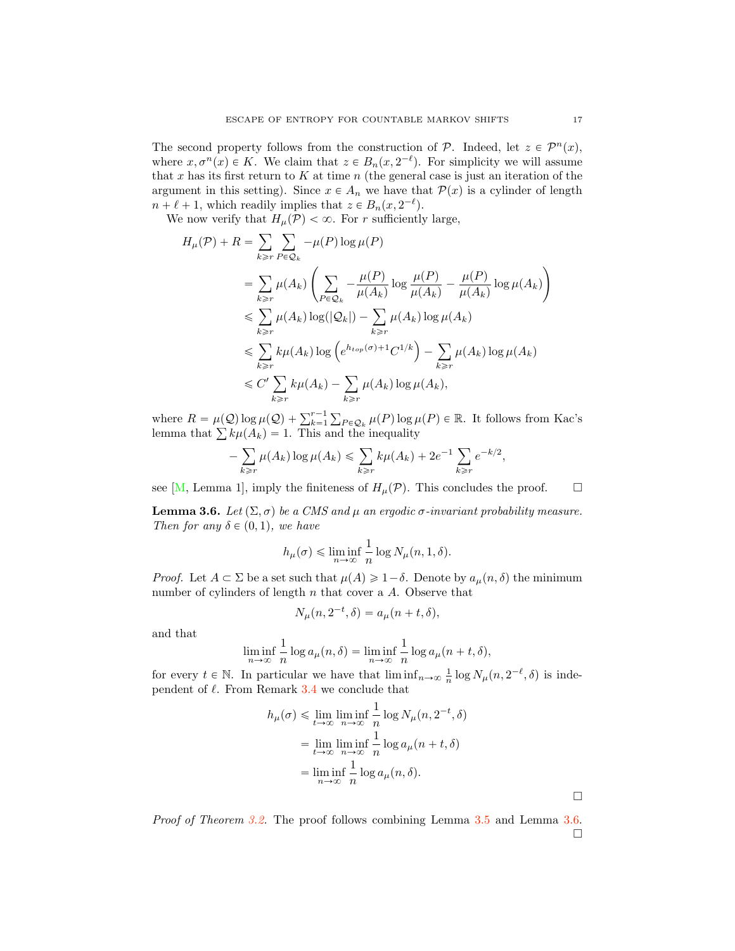The second property follows from the construction of  $P$ . Indeed, let  $z \in \mathcal{P}^n(x)$ , where  $x, \sigma^n(x) \in K$ . We claim that  $z \in B_n(x, 2^{-\ell})$ . For simplicity we will assume that x has its first return to  $K$  at time  $n$  (the general case is just an iteration of the argument in this setting). Since  $x \in A_n$  we have that  $\mathcal{P}(x)$  is a cylinder of length  $n + \ell + 1$ , which readily implies that  $z \in B_n(x, 2^{-\ell})$ .

We now verify that  $H_{\mu}(\mathcal{P}) < \infty$ . For r sufficiently large,

$$
H_{\mu}(\mathcal{P}) + R = \sum_{k \geq r} \sum_{P \in \mathcal{Q}_k} -\mu(P) \log \mu(P)
$$
  
\n
$$
= \sum_{k \geq r} \mu(A_k) \left( \sum_{P \in \mathcal{Q}_k} -\frac{\mu(P)}{\mu(A_k)} \log \frac{\mu(P)}{\mu(A_k)} - \frac{\mu(P)}{\mu(A_k)} \log \mu(A_k) \right)
$$
  
\n
$$
\leq \sum_{k \geq r} \mu(A_k) \log(|\mathcal{Q}_k|) - \sum_{k \geq r} \mu(A_k) \log \mu(A_k)
$$
  
\n
$$
\leq \sum_{k \geq r} k \mu(A_k) \log \left( e^{h_{top}(\sigma) + 1} C^{1/k} \right) - \sum_{k \geq r} \mu(A_k) \log \mu(A_k)
$$
  
\n
$$
\leq C' \sum_{k \geq r} k \mu(A_k) - \sum_{k \geq r} \mu(A_k) \log \mu(A_k),
$$

where  $R = \mu(Q) \log \mu(Q) + \sum_{k=1}^{r-1} \sum_{P \in \mathcal{Q}_k} \mu(P) \log \mu(P) \in \mathbb{R}$ . It follows from Kac's lemma that  $\sum k\mu(A_k) = 1$ . This and the inequality

$$
-\sum_{k\geq r}\mu(A_k)\log\mu(A_k)\leq \sum_{k\geq r}k\mu(A_k)+2e^{-1}\sum_{k\geq r}e^{-k/2},
$$

see [\[M,](#page-42-22) Lemma 1], imply the finiteness of  $H_{\mu}(\mathcal{P})$ . This concludes the proof.  $\Box$ 

<span id="page-16-0"></span>**Lemma 3.6.** Let  $(\Sigma, \sigma)$  be a CMS and  $\mu$  an ergodic  $\sigma$ -invariant probability measure. Then for any  $\delta \in (0, 1)$ , we have

$$
h_{\mu}(\sigma) \leqslant \liminf_{n \to \infty} \frac{1}{n} \log N_{\mu}(n, 1, \delta).
$$

*Proof.* Let  $A \subset \Sigma$  be a set such that  $\mu(A) \geq 1-\delta$ . Denote by  $a_{\mu}(n, \delta)$  the minimum number of cylinders of length  $n$  that cover a  $A$ . Observe that

$$
N_{\mu}(n, 2^{-t}, \delta) = a_{\mu}(n+t, \delta),
$$

and that

$$
\liminf_{n \to \infty} \frac{1}{n} \log a_{\mu}(n, \delta) = \liminf_{n \to \infty} \frac{1}{n} \log a_{\mu}(n + t, \delta),
$$

for every  $t \in \mathbb{N}$ . In particular we have that  $\liminf_{n\to\infty} \frac{1}{n} \log N_{\mu}(n, 2^{-\ell}, \delta)$  is independent of  $\ell$ . From Remark [3.4](#page-14-1) we conclude that

$$
h_{\mu}(\sigma) \leq \lim_{t \to \infty} \liminf_{n \to \infty} \frac{1}{n} \log N_{\mu}(n, 2^{-t}, \delta)
$$
  
= 
$$
\lim_{t \to \infty} \liminf_{n \to \infty} \frac{1}{n} \log a_{\mu}(n + t, \delta)
$$
  
= 
$$
\liminf_{n \to \infty} \frac{1}{n} \log a_{\mu}(n, \delta).
$$

Proof of Theorem [3.2.](#page-13-1) The proof follows combining Lemma [3.5](#page-14-2) and Lemma [3.6.](#page-16-0)  $\Box$ 

 $\Box$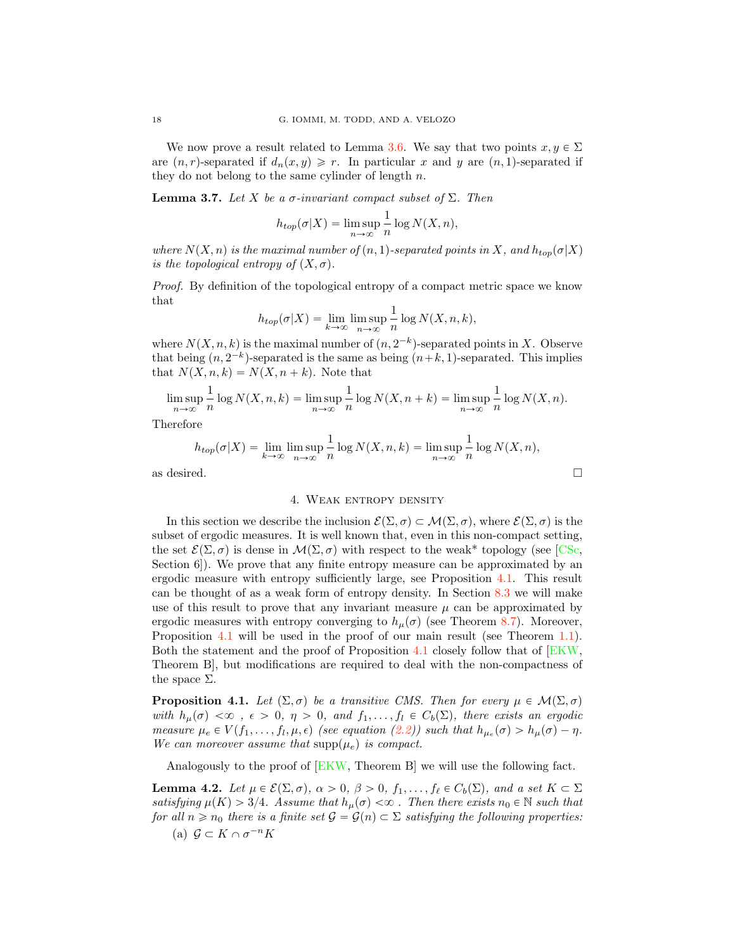We now prove a result related to Lemma [3.6.](#page-16-0) We say that two points  $x, y \in \Sigma$ are  $(n, r)$ -separated if  $d_n(x, y) \geq r$ . In particular x and y are  $(n, 1)$ -separated if they do not belong to the same cylinder of length  $n$ .

<span id="page-17-3"></span>**Lemma 3.7.** Let X be a  $\sigma$ -invariant compact subset of  $\Sigma$ . Then

$$
h_{top}(\sigma|X) = \limsup_{n \to \infty} \frac{1}{n} \log N(X, n),
$$

where  $N(X, n)$  is the maximal number of  $(n, 1)$ -separated points in X, and  $h_{top}(\sigma|X)$ is the topological entropy of  $(X, \sigma)$ .

Proof. By definition of the topological entropy of a compact metric space we know that

$$
h_{top}(\sigma|X) = \lim_{k \to \infty} \limsup_{n \to \infty} \frac{1}{n} \log N(X, n, k),
$$

where  $N(X, n, k)$  is the maximal number of  $(n, 2^{-k})$ -separated points in X. Observe that being  $(n, 2^{-k})$ -separated is the same as being  $(n+k, 1)$ -separated. This implies that  $N(X, n, k) = N(X, n + k)$ . Note that

$$
\limsup_{n \to \infty} \frac{1}{n} \log N(X, n, k) = \limsup_{n \to \infty} \frac{1}{n} \log N(X, n + k) = \limsup_{n \to \infty} \frac{1}{n} \log N(X, n).
$$

Therefore

$$
h_{top}(\sigma|X) = \lim_{k \to \infty} \limsup_{n \to \infty} \frac{1}{n} \log N(X, n, k) = \limsup_{n \to \infty} \frac{1}{n} \log N(X, n),
$$

as desired.  $\hfill \square$ 

## 4. WEAK ENTROPY DENSITY

In this section we describe the inclusion  $\mathcal{E}(\Sigma, \sigma) \subset \mathcal{M}(\Sigma, \sigma)$ , where  $\mathcal{E}(\Sigma, \sigma)$  is the subset of ergodic measures. It is well known that, even in this non-compact setting, the set  $\mathcal{E}(\Sigma, \sigma)$  is dense in  $\mathcal{M}(\Sigma, \sigma)$  with respect to the weak\* topology (see [\[CSc,](#page-41-21) Section 6]). We prove that any finite entropy measure can be approximated by an ergodic measure with entropy sufficiently large, see Proposition [4.1.](#page-17-0) This result can be thought of as a weak form of entropy density. In Section [8.3](#page-35-0) we will make use of this result to prove that any invariant measure  $\mu$  can be approximated by ergodic measures with entropy converging to  $h_\mu(\sigma)$  (see Theorem [8.7\)](#page-36-1). Moreover, Proposition [4.1](#page-17-0) will be used in the proof of our main result (see Theorem [1.1\)](#page-0-0). Both the statement and the proof of Proposition [4.1](#page-17-0) closely follow that of [\[EKW,](#page-41-20) Theorem B], but modifications are required to deal with the non-compactness of the space  $\Sigma$ .

<span id="page-17-0"></span>**Proposition 4.1.** Let  $(\Sigma, \sigma)$  be a transitive CMS. Then for every  $\mu \in \mathcal{M}(\Sigma, \sigma)$ with  $h_\mu(\sigma) < \infty$ ,  $\epsilon > 0$ ,  $\eta > 0$ , and  $f_1, \ldots, f_l \in C_b(\Sigma)$ , there exists an ergodic measure  $\mu_e \in V(f_1, \ldots, f_l, \mu, \epsilon)$  (see equation [\(2.2\)](#page-5-1)) such that  $h_{\mu_e}(\sigma) > h_{\mu}(\sigma) - \eta$ . We can moreover assume that  $\text{supp}(\mu_e)$  is compact.

Analogously to the proof of [\[EKW,](#page-41-20) Theorem B] we will use the following fact.

<span id="page-17-2"></span><span id="page-17-1"></span>**Lemma 4.2.** Let  $\mu \in \mathcal{E}(\Sigma, \sigma)$ ,  $\alpha > 0$ ,  $\beta > 0$ ,  $f_1, \ldots, f_\ell \in C_b(\Sigma)$ , and a set  $K \subset \Sigma$ satisfying  $\mu(K) > 3/4$ . Assume that  $h_{\mu}(\sigma) < \infty$ . Then there exists  $n_0 \in \mathbb{N}$  such that for all  $n \geq n_0$  there is a finite set  $\mathcal{G} = \mathcal{G}(n) \subset \Sigma$  satisfying the following properties: (a)  $\mathcal{G} \subset K \cap \sigma^{-n}K$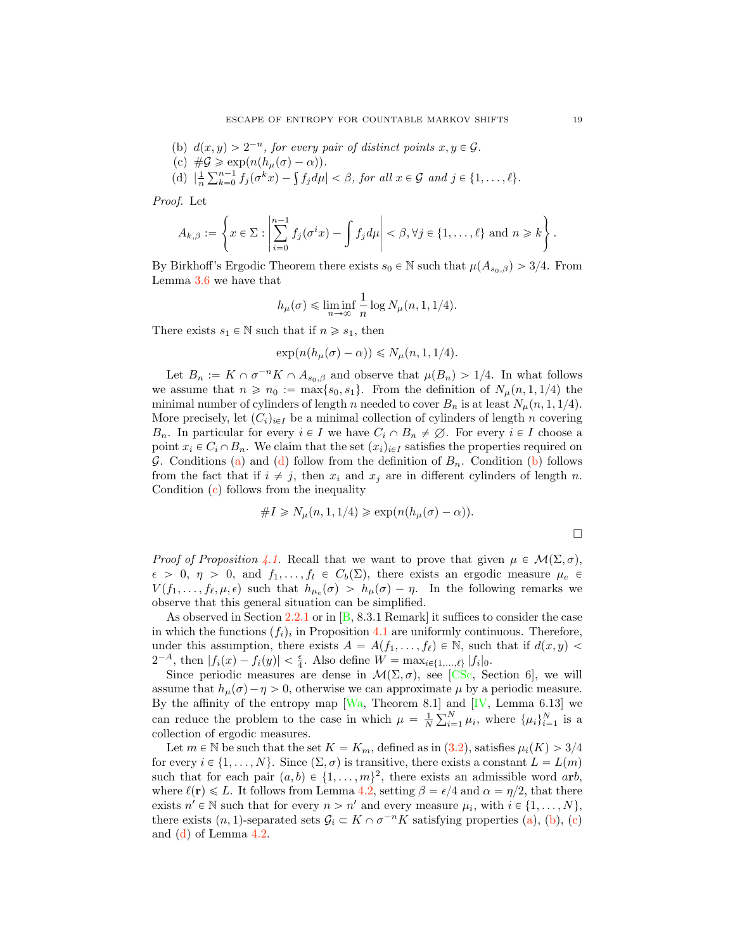- <span id="page-18-1"></span>(b)  $d(x, y) > 2^{-n}$ , for every pair of distinct points  $x, y \in \mathcal{G}$ .
- <span id="page-18-2"></span>(c)  $\#\mathcal{G} \geq \exp(n(h_\mu(\sigma) - \alpha)).$
- <span id="page-18-0"></span>(d)  $\left| \frac{1}{n} \sum_{k=0}^{n-1} f_j(\sigma^k x) - \int f_j d\mu \right| < \beta$ , for all  $x \in \mathcal{G}$  and  $j \in \{1, ..., \ell\}$ .

Proof. Let

$$
A_{k,\beta}:=\left\{x\in\Sigma:\left|\sum_{i=0}^{n-1}f_j(\sigma^ix)-\int f_jd\mu\right|<\beta,\forall j\in\{1,\ldots,\ell\}\text{ and }n\geqslant k\right\}.
$$

By Birkhoff's Ergodic Theorem there exists  $s_0 \in \mathbb{N}$  such that  $\mu(A_{s_0,\beta}) > 3/4$ . From Lemma [3.6](#page-16-0) we have that

$$
h_{\mu}(\sigma) \leq \liminf_{n \to \infty} \frac{1}{n} \log N_{\mu}(n, 1, 1/4).
$$

There exists  $s_1 \in \mathbb{N}$  such that if  $n \geq s_1$ , then

$$
\exp(n(h_{\mu}(\sigma)-\alpha)) \leq N_{\mu}(n, 1, 1/4).
$$

Let  $B_n := K \cap \sigma^{-n}K \cap A_{s_0,\beta}$  and observe that  $\mu(B_n) > 1/4$ . In what follows we assume that  $n \ge n_0 := \max\{s_0, s_1\}$ . From the definition of  $N_\mu(n, 1, 1/4)$  the minimal number of cylinders of length n needed to cover  $B_n$  is at least  $N_\mu(n, 1, 1/4)$ . More precisely, let  $(C_i)_{i\in I}$  be a minimal collection of cylinders of length n covering  $B_n$ . In particular for every  $i \in I$  we have  $C_i \cap B_n \neq \emptyset$ . For every  $i \in I$  choose a point  $x_i \in C_i \cap B_n$ . We claim that the set  $(x_i)_{i \in I}$  satisfies the properties required on  $G$ . Conditions [\(a\)](#page-17-2) and [\(d\)](#page-18-0) follow from the definition of  $B_n$ . Condition [\(b\)](#page-18-1) follows from the fact that if  $i \neq j$ , then  $x_i$  and  $x_j$  are in different cylinders of length n. Condition [\(c\)](#page-18-2) follows from the inequality

$$
#I \ge N_{\mu}(n, 1, 1/4) \ge \exp(n(h_{\mu}(\sigma) - \alpha)).
$$

*Proof of Proposition [4.1.](#page-17-0)* Recall that we want to prove that given  $\mu \in \mathcal{M}(\Sigma, \sigma)$ ,  $\epsilon > 0, \eta > 0$ , and  $f_1, \ldots, f_l \in C_b(\Sigma)$ , there exists an ergodic measure  $\mu_e \in$  $V(f_1, \ldots, f_\ell, \mu, \epsilon)$  such that  $h_{\mu_\epsilon}(\sigma) > h_{\mu}(\sigma) - \eta$ . In the following remarks we observe that this general situation can be simplified.

As observed in Section [2.2.1](#page-5-2) or in  $[B, 8.3.1$  $[B, 8.3.1$  Remark it suffices to consider the case in which the functions  $(f_i)_i$  in Proposition [4.1](#page-17-0) are uniformly continuous. Therefore, under this assumption, there exists  $A = A(f_1, \ldots, f_\ell) \in \mathbb{N}$ , such that if  $d(x, y)$  $2^{-A}$ , then  $|f_i(x) - f_i(y)| < \frac{\epsilon}{4}$ . Also define  $W = \max_{i \in \{1, ..., \ell\}} |f_i|_0$ .

Since periodic measures are dense in  $\mathcal{M}(\Sigma, \sigma)$ , see [\[CSc,](#page-41-21) Section 6], we will assume that  $h_\mu(\sigma) - \eta > 0$ , otherwise we can approximate  $\mu$  by a periodic measure. By the affinity of the entropy map  $[Wa,$  Theorem 8.1] and  $[V,$  Lemma 6.13] we can reduce the problem to the case in which  $\mu = \frac{1}{N} \sum_{i=1}^{N} \mu_i$ , where  $\{\mu_i\}_{i=1}^{N}$  is a collection of ergodic measures.

Let  $m \in \mathbb{N}$  be such that the set  $K = K_m$ , defined as in  $(3.2)$ , satisfies  $\mu_i(K) > 3/4$ for every  $i \in \{1, ..., N\}$ . Since  $(\Sigma, \sigma)$  is transitive, there exists a constant  $L = L(m)$ such that for each pair  $(a, b) \in \{1, ..., m\}^2$ , there exists an admissible word arb, where  $\ell(\mathbf{r}) \leq L$ . It follows from Lemma [4.2,](#page-17-1) setting  $\beta = \epsilon/4$  and  $\alpha = \eta/2$ , that there exists  $n' \in \mathbb{N}$  such that for every  $n > n'$  and every measure  $\mu_i$ , with  $i \in \{1, ..., N\}$ , there exists  $(n, 1)$ -separated sets  $\mathcal{G}_i \subset K \cap \sigma^{-n}K$  satisfying properties [\(a\)](#page-17-2), [\(b\)](#page-18-1), [\(c\)](#page-18-2) and [\(d\)](#page-18-0) of Lemma [4.2.](#page-17-1)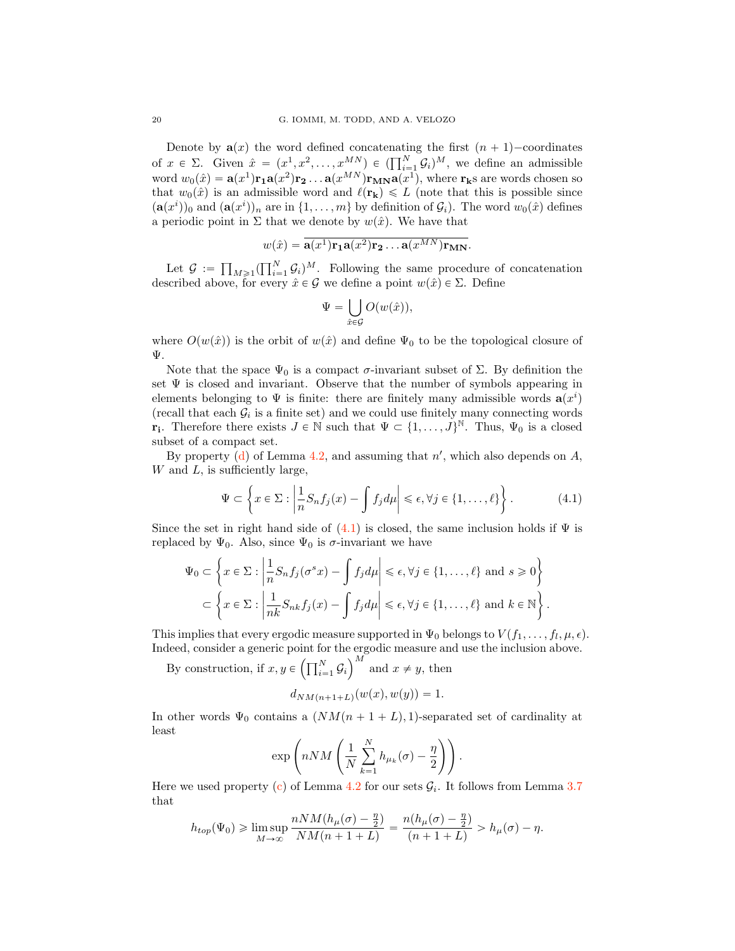Denote by  $a(x)$  the word defined concatenating the first  $(n + 1)$ -coordinates of  $x \in \Sigma$ . Given  $\hat{x} = (x^1, x^2, \dots, x^{MN}) \in \left(\prod_{i=1}^N \mathcal{G}_i\right)^M$ , we define an admissible word  $w_0(\hat{x}) = \mathbf{a}(x^1)\mathbf{r_1}\mathbf{a}(x^2)\mathbf{r_2} \ldots \mathbf{a}(x^{MN})\mathbf{r_{MN}}\mathbf{a}(x^1)$ , where  $\mathbf{r_k}$ s are words chosen so that  $w_0(\hat{x})$  is an admissible word and  $\ell(\mathbf{r_k}) \leq L$  (note that this is possible since  $(\mathbf{a}(x^i))_0$  and  $(\mathbf{a}(x^i))_n$  are in  $\{1, \ldots, m\}$  by definition of  $\mathcal{G}_i$ ). The word  $w_0(\hat{x})$  defines a periodic point in  $\Sigma$  that we denote by  $w(\hat{x})$ . We have that

$$
w(\hat{x}) = \overline{\mathbf{a}(x^1)\mathbf{r_1}\mathbf{a}(x^2)\mathbf{r_2}\dots\mathbf{a}(x^{MN})\mathbf{r_{MN}}}.
$$

Let  $\mathcal{G} := \prod_{M \geq 1} (\prod_{i=1}^N \mathcal{G}_i)^M$ . Following the same procedure of concatenation described above, for every  $\hat{x} \in \mathcal{G}$  we define a point  $w(\hat{x}) \in \Sigma$ . Define

<span id="page-19-0"></span>
$$
\Psi = \bigcup_{\hat{x} \in \mathcal{G}} O(w(\hat{x})),
$$

where  $O(w(\hat{x}))$  is the orbit of  $w(\hat{x})$  and define  $\Psi_0$  to be the topological closure of Ψ.

Note that the space  $\Psi_0$  is a compact  $\sigma$ -invariant subset of  $\Sigma$ . By definition the set  $\Psi$  is closed and invariant. Observe that the number of symbols appearing in elements belonging to  $\Psi$  is finite: there are finitely many admissible words  $\mathbf{a}(x^i)$ (recall that each  $\mathcal{G}_i$  is a finite set) and we could use finitely many connecting words **r**<sub>i</sub>. Therefore there exists  $J \in \mathbb{N}$  such that  $\Psi \subset \{1, \ldots, J\}^{\mathbb{N}}$ . Thus,  $\Psi_0$  is a closed subset of a compact set.

By property [\(d\)](#page-18-0) of Lemma [4.2,](#page-17-1) and assuming that  $n'$ , which also depends on  $A$ ,  $W$  and  $L$ , is sufficiently large,

$$
\Psi \subset \left\{ x \in \Sigma : \left| \frac{1}{n} S_n f_j(x) - \int f_j d\mu \right| \leq \epsilon, \forall j \in \{1, \dots, \ell\} \right\}.
$$
 (4.1)

Since the set in right hand side of  $(4.1)$  is closed, the same inclusion holds if  $\Psi$  is replaced by  $\Psi_0$ . Also, since  $\Psi_0$  is  $\sigma$ -invariant we have

$$
\Psi_0 \subset \left\{ x \in \Sigma : \left| \frac{1}{n} S_n f_j(\sigma^s x) - \int f_j d\mu \right| \leq \epsilon, \forall j \in \{1, ..., \ell\} \text{ and } s \geq 0 \right\}
$$

$$
\subset \left\{ x \in \Sigma : \left| \frac{1}{nk} S_{nk} f_j(x) - \int f_j d\mu \right| \leq \epsilon, \forall j \in \{1, ..., \ell\} \text{ and } k \in \mathbb{N} \right\}.
$$

This implies that every ergodic measure supported in  $\Psi_0$  belongs to  $V(f_1, \ldots, f_l, \mu, \epsilon)$ . Indeed, consider a generic point for the ergodic measure and use the inclusion above.

By construction, if  $x, y \in \left(\prod_{i=1}^{N} \mathcal{G}_i\right)$  $\big)^M$  and  $x \neq y$ , then

$$
d_{NM(n+1+L)}(w(x), w(y)) = 1.
$$

In other words  $\Psi_0$  contains a  $(NM(n + 1 + L), 1)$ -separated set of cardinality at least

$$
\exp\left(nNM\left(\frac{1}{N}\sum_{k=1}^Nh_{\mu_k}(\sigma)-\frac{\eta}{2}\right)\right).
$$

Here we used property  $(c)$  of Lemma [4.2](#page-17-1) for our sets  $\mathcal{G}_i$ . It follows from Lemma [3.7](#page-17-3) that

$$
h_{top}(\Psi_0) \geq \limsup_{M \to \infty} \frac{nNM(h_\mu(\sigma) - \frac{\eta}{2})}{NM(n+1+L)} = \frac{n(h_\mu(\sigma) - \frac{\eta}{2})}{(n+1+L)} > h_\mu(\sigma) - \eta.
$$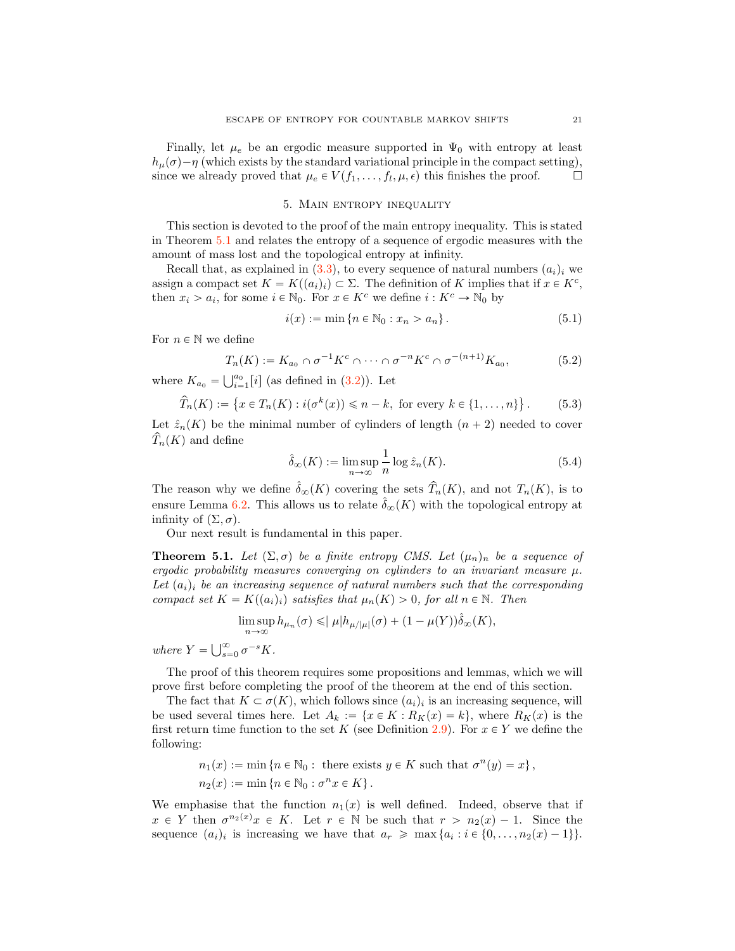Finally, let  $\mu_e$  be an ergodic measure supported in  $\Psi_0$  with entropy at least  $h_{\mu}(\sigma) - \eta$  (which exists by the standard variational principle in the compact setting), since we already proved that  $\mu_{\epsilon} \in V(f_1, \ldots, f_l, \mu, \epsilon)$  this finishes the proof. since we already proved that  $\mu_e \in V(f_1, \ldots, f_l, \mu, \epsilon)$  this finishes the proof.

## 5. Main entropy inequality

<span id="page-20-0"></span>This section is devoted to the proof of the main entropy inequality. This is stated in Theorem [5.1](#page-20-1) and relates the entropy of a sequence of ergodic measures with the amount of mass lost and the topological entropy at infinity.

Recall that, as explained in  $(3.3)$ , to every sequence of natural numbers  $(a_i)_i$  we assign a compact set  $K = K((a_i)_i) \subset \Sigma$ . The definition of K implies that if  $x \in K^c$ , then  $x_i > a_i$ , for some  $i \in \mathbb{N}_0$ . For  $x \in K^c$  we define  $i : K^c \to \mathbb{N}_0$  by

<span id="page-20-3"></span>
$$
i(x) := \min \{ n \in \mathbb{N}_0 : x_n > a_n \}.
$$
 (5.1)

For  $n \in \mathbb{N}$  we define

<span id="page-20-4"></span>
$$
T_n(K) := K_{a_0} \cap \sigma^{-1} K^c \cap \dots \cap \sigma^{-n} K^c \cap \sigma^{-(n+1)} K_{a_0},
$$
 (5.2)

where  $K_{a_0} = \bigcup_{i=1}^{a_0} [i]$  (as defined in  $(3.2)$ ). Let

<span id="page-20-5"></span>
$$
\widehat{T}_n(K) := \left\{ x \in T_n(K) : i(\sigma^k(x)) \leq n - k, \text{ for every } k \in \{1, \dots, n\} \right\}.
$$
 (5.3)

Let  $\hat{z}_n(K)$  be the minimal number of cylinders of length  $(n + 2)$  needed to cover  $T_n(K)$  and define

<span id="page-20-2"></span>
$$
\hat{\delta}_{\infty}(K) := \limsup_{n \to \infty} \frac{1}{n} \log \hat{z}_n(K). \tag{5.4}
$$

The reason why we define  $\hat{\delta}_{\infty}(K)$  covering the sets  $\hat{T}_n(K)$ , and not  $T_n(K)$ , is to ensure Lemma [6.2.](#page-28-0) This allows us to relate  $\hat{\delta}_{\infty}(K)$  with the topological entropy at infinity of  $(\Sigma, \sigma)$ .

Our next result is fundamental in this paper.

<span id="page-20-1"></span>**Theorem 5.1.** Let  $(\Sigma, \sigma)$  be a finite entropy CMS. Let  $(\mu_n)_n$  be a sequence of ergodic probability measures converging on cylinders to an invariant measure  $\mu$ . Let  $(a_i)_i$  be an increasing sequence of natural numbers such that the corresponding compact set  $K = K((a_i)_i)$  satisfies that  $\mu_n(K) > 0$ , for all  $n \in \mathbb{N}$ . Then

$$
\limsup_{n \to \infty} h_{\mu_n}(\sigma) \leqslant |\mu| h_{\mu/|\mu|}(\sigma) + (1 - \mu(Y)) \hat{\delta}_{\infty}(K),
$$

where  $Y = \bigcup_{s=0}^{\infty} \sigma^{-s} K$ .

The proof of this theorem requires some propositions and lemmas, which we will prove first before completing the proof of the theorem at the end of this section.

The fact that  $K \subset \sigma(K)$ , which follows since  $(a_i)_i$  is an increasing sequence, will be used several times here. Let  $A_k := \{x \in K : R_K(x) = k\}$ , where  $R_K(x)$  is the first return time function to the set K (see Definition [2.9\)](#page-8-2). For  $x \in Y$  we define the following:

$$
n_1(x) := \min \left\{ n \in \mathbb{N}_0 : \text{ there exists } y \in K \text{ such that } \sigma^n(y) = x \right\},
$$
  

$$
n_2(x) := \min \left\{ n \in \mathbb{N}_0 : \sigma^n x \in K \right\}.
$$

We emphasise that the function  $n_1(x)$  is well defined. Indeed, observe that if  $x \in Y$  then  $\sigma^{n_2(x)}x \in K$ . Let  $r \in \mathbb{N}$  be such that  $r > n_2(x) - 1$ . Since the sequence  $(a_i)_i$  is increasing we have that  $a_r \geqslant \max\{a_i : i \in \{0, \ldots, n_2(x) - 1\}\}.$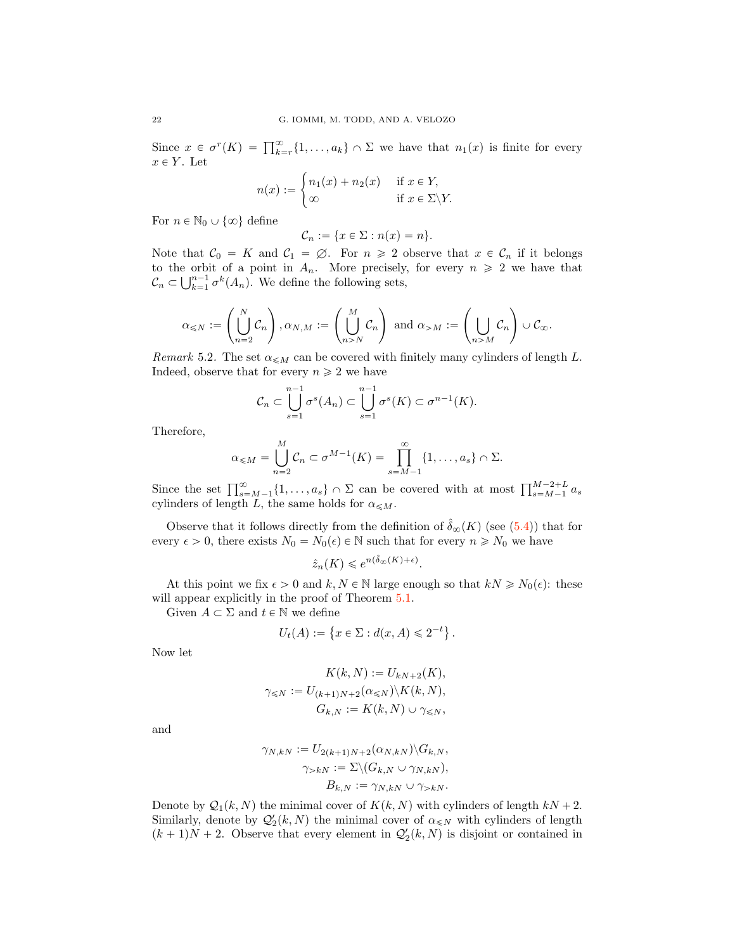Since  $x \in \sigma^r(K) = \prod_{k=r}^{\infty} \{1, \ldots, a_k\} \cap \Sigma$  we have that  $n_1(x)$  is finite for every  $x \in Y$ . Let

$$
n(x) := \begin{cases} n_1(x) + n_2(x) & \text{if } x \in Y, \\ \infty & \text{if } x \in \Sigma \backslash Y. \end{cases}
$$

For  $n \in \mathbb{N}_0 \cup \{\infty\}$  define

$$
\mathcal{C}_n := \{ x \in \Sigma : n(x) = n \}.
$$

Note that  $C_0 = K$  and  $C_1 = \emptyset$ . For  $n \ge 2$  observe that  $x \in C_n$  if it belongs to the orbit of a point in  $A_n$ . More precisely, for every  $n \geq 2$  we have that  $\mathcal{C}_n \subset \bigcup_{k=1}^{n-1} \sigma^k(A_n)$ . We define the following sets,

$$
\alpha_{\leqslant N} := \left(\bigcup_{n=2}^N \mathcal{C}_n\right), \alpha_{N,M} := \left(\bigcup_{n>N}^M \mathcal{C}_n\right) \text{ and } \alpha_{>M} := \left(\bigcup_{n>M} \mathcal{C}_n\right) \cup \mathcal{C}_{\infty}.
$$

Remark 5.2. The set  $\alpha_{\leqslant M}$  can be covered with finitely many cylinders of length L. Indeed, observe that for every  $n \geq 2$  we have

$$
\mathcal{C}_n \subset \bigcup_{s=1}^{n-1} \sigma^s(A_n) \subset \bigcup_{s=1}^{n-1} \sigma^s(K) \subset \sigma^{n-1}(K).
$$

Therefore,

$$
\alpha_{\leqslant M}=\bigcup_{n=2}^M\mathcal{C}_n\subset \sigma^{M-1}(K)=\prod_{s=M-1}^\infty\{1,\ldots,a_s\}\cap\Sigma.
$$

Since the set  $\prod_{s=M-1}^{\infty} \{1,\ldots,a_s\} \cap \Sigma$  can be covered with at most  $\prod_{s=M-1}^{M-2+L} a_s$ cylinders of length L, the same holds for  $\alpha_{\leq M}$ .

Observe that it follows directly from the definition of  $\hat{\delta}_{\infty}(K)$  (see [\(5.4\)](#page-20-2)) that for every  $\epsilon > 0$ , there exists  $N_0 = N_0(\epsilon) \in \mathbb{N}$  such that for every  $n \ge N_0$  we have

$$
\hat{z}_n(K) \leqslant e^{n(\hat{\delta}_{\infty}(K) + \epsilon)}.
$$

At this point we fix  $\epsilon > 0$  and  $k, N \in \mathbb{N}$  large enough so that  $kN \ge N_0(\epsilon)$ : these will appear explicitly in the proof of Theorem [5.1.](#page-20-1)

Given  $A \subset \Sigma$  and  $t \in \mathbb{N}$  we define

$$
U_t(A) := \{ x \in \Sigma : d(x, A) \leq 2^{-t} \}.
$$

Now let

$$
K(k, N) := U_{kN+2}(K),
$$
  

$$
\gamma_{\leq N} := U_{(k+1)N+2}(\alpha_{\leq N})\backslash K(k, N),
$$
  

$$
G_{k,N} := K(k, N) \cup \gamma_{\leq N},
$$

and

$$
\gamma_{N,kN} := U_{2(k+1)N+2}(\alpha_{N,kN})\backslash G_{k,N},
$$
  

$$
\gamma_{>kN} := \sum \backslash (G_{k,N} \cup \gamma_{N,kN}),
$$
  

$$
B_{k,N} := \gamma_{N,kN} \cup \gamma_{>kN}.
$$

Denote by  $\mathcal{Q}_1(k, N)$  the minimal cover of  $K(k, N)$  with cylinders of length  $kN + 2$ . Similarly, denote by  $\mathcal{Q}'_2(k, N)$  the minimal cover of  $\alpha_{\leq N}$  with cylinders of length  $(k + 1)N + 2$ . Observe that every element in  $\mathcal{Q}'_2(k, N)$  is disjoint or contained in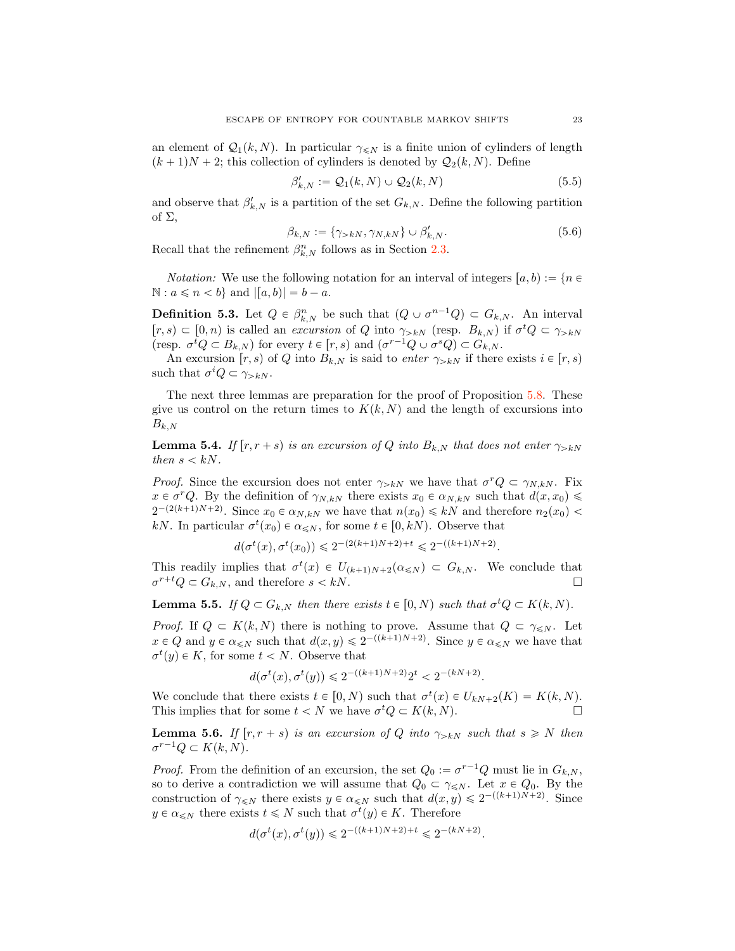an element of  $\mathcal{Q}_1(k, N)$ . In particular  $\gamma_{\leq N}$  is a finite union of cylinders of length  $(k + 1)N + 2$ ; this collection of cylinders is denoted by  $\mathcal{Q}_2(k, N)$ . Define

$$
\beta'_{k,N} := \mathcal{Q}_1(k,N) \cup \mathcal{Q}_2(k,N) \tag{5.5}
$$

and observe that  $\beta'_{k,N}$  is a partition of the set  $G_{k,N}$ . Define the following partition of Σ,

<span id="page-22-1"></span>
$$
\beta_{k,N} := \{ \gamma_{>kN}, \gamma_{N,kN} \} \cup \beta'_{k,N}.
$$
\n(5.6)

Recall that the refinement  $\beta_{k,N}^n$  follows as in Section [2.3.](#page-7-0)

*Notation:* We use the following notation for an interval of integers  $[a, b) := \{n \in \mathbb{R} : |f| \leq 1\}$  $\mathbb{N}: a \leqslant n < b$  and  $|[a, b]| = b - a$ .

**Definition 5.3.** Let  $Q \in \beta_{k,N}^n$  be such that  $(Q \cup \sigma^{n-1}Q) \subset G_{k,N}$ . An interval  $[r, s) \subset [0, n)$  is called an excursion of Q into  $\gamma_{> kN}$  (resp.  $B_{k,N}$ ) if  $\sigma^t Q \subset \gamma_{> kN}$ (resp.  $\sigma^t Q \subset B_{k,N}$ ) for every  $t \in [r, s)$  and  $(\sigma^{r-1} Q \cup \sigma^s Q) \subset G_{k,N}$ .

An excursion  $[r, s)$  of Q into  $B_{k,N}$  is said to enter  $\gamma_{>kN}$  if there exists  $i \in [r, s)$ such that  $\sigma^i Q \subset \gamma_{>k}N$ .

The next three lemmas are preparation for the proof of Proposition [5.8.](#page-23-0) These give us control on the return times to  $K(k, N)$  and the length of excursions into  $B_{k,N}$ 

<span id="page-22-0"></span>**Lemma 5.4.** If  $[r, r + s]$  is an excursion of Q into  $B_{k,N}$  that does not enter  $\gamma_{>kN}$ then  $s < kN$ .

*Proof.* Since the excursion does not enter  $\gamma_{>k}N$  we have that  $\sigma^r Q \subset \gamma_{N,k}N$ . Fix  $x \in \sigma^r Q$ . By the definition of  $\gamma_{N,k,N}$  there exists  $x_0 \in \alpha_{N,k,N}$  such that  $d(x, x_0) \leq$  $2^{-(2(k+1)N+2)}$ . Since  $x_0 \in \alpha_{N,kN}$  we have that  $n(x_0) \leq kN$  and therefore  $n_2(x_0)$ kN. In particular  $\sigma^t(x_0) \in \alpha_{\leq N}$ , for some  $t \in [0, k)$ . Observe that

$$
d(\sigma^t(x), \sigma^t(x_0)) \leq 2^{-(2(k+1)N+2)+t} \leq 2^{-(k+1)N+2)}.
$$

This readily implies that  $\sigma^t(x) \in U_{(k+1)N+2}(\alpha_{\leq N}) \subset G_{k,N}$ . We conclude that  $\sigma^{r+t}Q \subset G_{k,N}$ , and therefore  $s < kN$ .

<span id="page-22-3"></span>**Lemma 5.5.** If  $Q \subset G_{k,N}$  then there exists  $t \in [0, N)$  such that  $\sigma^t Q \subset K(k, N)$ .

*Proof.* If  $Q \subset K(k, N)$  there is nothing to prove. Assume that  $Q \subset \gamma_{\leq N}$ . Let  $x \in Q$  and  $y \in \alpha \le N$  such that  $d(x, y) \le 2^{-(k+1)N+2}$ . Since  $y \in \alpha \le N$  we have that  $\sigma^t(y) \in K$ , for some  $t < N$ . Observe that

$$
d(\sigma^t(x), \sigma^t(y)) \leq 2^{-((k+1)N+2)} 2^t < 2^{-(kN+2)}.
$$

We conclude that there exists  $t \in [0, N)$  such that  $\sigma^t(x) \in U_{kN+2}(K) = K(k, N)$ . This implies that for some  $t < N$  we have  $\sigma^t Q \subset K(k, N)$ .

<span id="page-22-2"></span>**Lemma 5.6.** If  $[r, r + s]$  is an excursion of Q into  $\gamma_{> kN}$  such that  $s \geq N$  then  $\sigma^{r-1}Q \subset K(k, N).$ 

*Proof.* From the definition of an excursion, the set  $Q_0 := \sigma^{r-1}Q$  must lie in  $G_{k,N}$ , so to derive a contradiction we will assume that  $Q_0 \subset \gamma \leq N$ . Let  $x \in Q_0$ . By the construction of  $\gamma_{\leq N}$  there exists  $y \in \alpha_{\leq N}$  such that  $d(x, y) \leq 2^{-(k+1)N+2}$ . Since  $y \in \alpha_{\leq N}$  there exists  $t \leq N$  such that  $\sigma^t(y) \in K$ . Therefore

$$
d(\sigma^t(x), \sigma^t(y)) \leq 2^{-((k+1)N+2)+t} \leq 2^{-(kN+2)}.
$$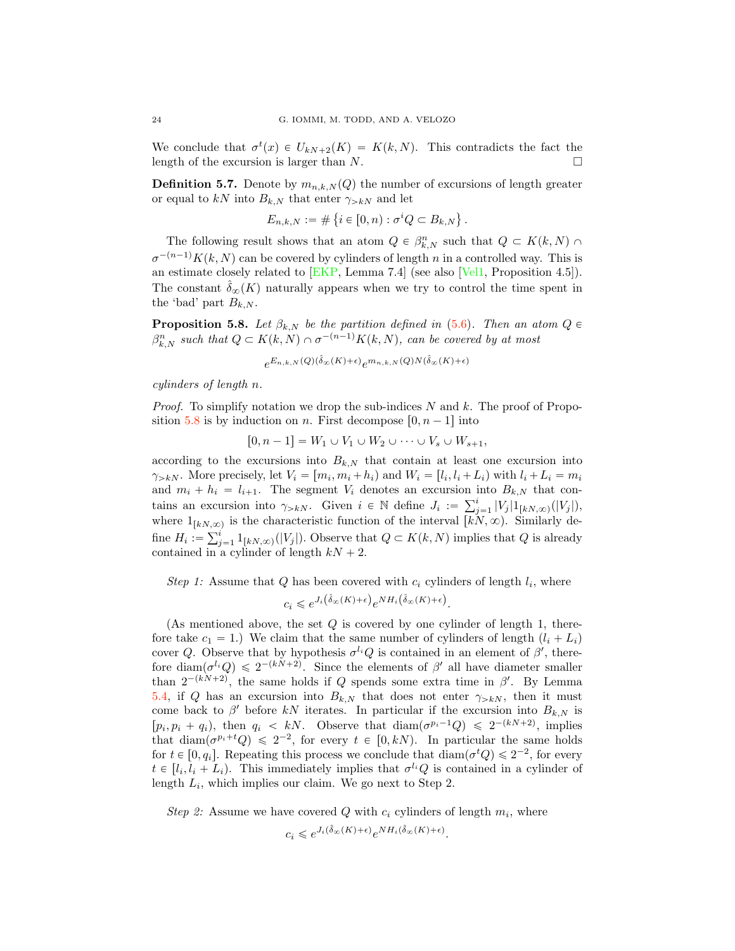We conclude that  $\sigma^t(x) \in U_{kN+2}(K) = K(k, N)$ . This contradicts the fact the length of the excursion is larger than  $N$ .  $\Box$ 

**Definition 5.7.** Denote by  $m_{n,k,N}(Q)$  the number of excursions of length greater or equal to kN into  $B_{k,N}$  that enter  $\gamma_{>k}$  and let

$$
E_{n,k,N} := \# \left\{ i \in [0,n) : \sigma^i Q \subset B_{k,N} \right\}.
$$

The following result shows that an atom  $Q \in \beta_{k,N}^n$  such that  $Q \subset K(k,N) \cap$  $\sigma^{-(n-1)}K(k, N)$  can be covered by cylinders of length n in a controlled way. This is an estimate closely related to [\[EKP,](#page-41-3) Lemma 7.4] (see also [\[Vel1,](#page-43-0) Proposition 4.5]). The constant  $\delta_{\infty}(K)$  naturally appears when we try to control the time spent in the 'bad' part  $B_{k,N}$ .

<span id="page-23-0"></span>**Proposition 5.8.** Let  $\beta_{k,N}$  be the partition defined in [\(5.6\)](#page-22-1). Then an atom  $Q \in$  $\beta_{k,N}^n$  such that  $Q \subset K(k,N) \cap \sigma^{-(n-1)}K(k,N)$ , can be covered by at most

$$
e^{E_{n,k,N}(Q)(\hat{\delta}_{\infty}(K)+\epsilon)}e^{m_{n,k,N}(Q)N(\hat{\delta}_{\infty}(K)+\epsilon)}
$$

cylinders of length n.

*Proof.* To simplify notation we drop the sub-indices N and k. The proof of Propo-sition [5.8](#page-23-0) is by induction on n. First decompose  $[0, n - 1]$  into

$$
[0, n-1] = W_1 \cup V_1 \cup W_2 \cup \cdots \cup V_s \cup W_{s+1},
$$

according to the excursions into  $B_{k,N}$  that contain at least one excursion into  $\gamma_{>kN}$ . More precisely, let  $V_i = [m_i, m_i + h_i]$  and  $W_i = [l_i, l_i + L_i]$  with  $l_i + L_i = m_i$ and  $m_i + h_i = l_{i+1}$ . The segment  $V_i$  denotes an excursion into  $B_{k,N}$  that contains an excursion into  $\gamma_{>k}N$ . Given  $i \in \mathbb{N}$  define  $J_i := \sum_{j=1}^i |V_j| 1_{[kN,\infty)}(|V_j|)$ , where  $1_{[kN,\infty)}$  is the characteristic function of the interval  $[kN,\infty)$ . Similarly define  $H_i := \sum_{j=1}^i 1_{[kN,\infty)}(|V_j|)$ . Observe that  $Q \subset K(k,N)$  implies that Q is already contained in a cylinder of length  $kN + 2$ .

Step 1: Assume that Q has been covered with  $c_i$  cylinders of length  $l_i$ , where

$$
c_i \leqslant e^{J_i\left(\hat{\delta}_{\infty}(K) + \epsilon\right)} e^{NH_i\left(\hat{\delta}_{\infty}(K) + \epsilon\right)}.
$$

(As mentioned above, the set  $Q$  is covered by one cylinder of length 1, therefore take  $c_1 = 1$ .) We claim that the same number of cylinders of length  $(l_i + L_i)$ cover Q. Observe that by hypothesis  $\sigma^{l_i}Q$  is contained in an element of  $\beta'$ , therefore diam $(\sigma^{l_i}Q) \leq 2^{-(kN+2)}$ . Since the elements of  $\beta'$  all have diameter smaller than  $2^{-(kN+2)}$ , the same holds if Q spends some extra time in  $\beta'$ . By Lemma [5.4,](#page-22-0) if Q has an excursion into  $B_{k,N}$  that does not enter  $\gamma_{>k,N}$ , then it must come back to  $\beta'$  before kN iterates. In particular if the excursion into  $B_{k,N}$  is  $[p_i, p_i + q_i]$ , then  $q_i < kN$ . Observe that  $\text{diam}(\sigma^{p_i-1}Q) \leq 2^{-(kN+2)}$ , implies that  $\text{diam}(\sigma^{p_i+t}Q) \leq 2^{-2}$ , for every  $t \in [0, kN)$ . In particular the same holds for  $t \in [0, q_i]$ . Repeating this process we conclude that  $\text{diam}(\sigma^t Q) \leq 2^{-2}$ , for every  $t \in [l_i, l_i + L_i]$ . This immediately implies that  $\sigma^{l_i}Q$  is contained in a cylinder of length  $L_i$ , which implies our claim. We go next to Step 2.

Step 2: Assume we have covered Q with  $c_i$  cylinders of length  $m_i$ , where

$$
c_i \leqslant e^{J_i(\hat{\delta}_{\infty}(K) + \epsilon)} e^{NH_i(\hat{\delta}_{\infty}(K) + \epsilon)}.
$$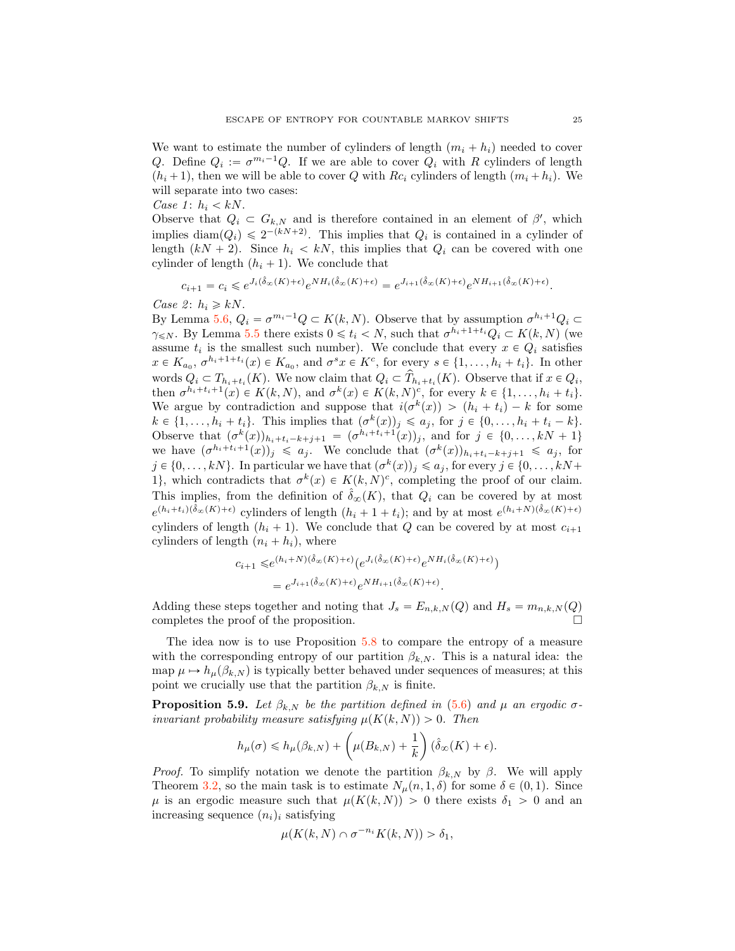We want to estimate the number of cylinders of length  $(m_i + h_i)$  needed to cover Q. Define  $Q_i := \sigma^{m_i-1}Q$ . If we are able to cover  $Q_i$  with R cylinders of length  $(h_i + 1)$ , then we will be able to cover Q with Rc<sub>i</sub> cylinders of length  $(m_i + h_i)$ . We will separate into two cases:

Case 1:  $h_i < kN$ .

Observe that  $Q_i \subset G_{k,N}$  and is therefore contained in an element of  $\beta'$ , which implies diam $(Q_i) \leq 2^{-(kN+2)}$ . This implies that  $Q_i$  is contained in a cylinder of length  $(kN + 2)$ . Since  $h_i < kN$ , this implies that  $Q_i$  can be covered with one cylinder of length  $(h_i + 1)$ . We conclude that

$$
c_{i+1} = c_i \leqslant e^{J_i(\hat{\delta}_{\infty}(K) + \epsilon)} e^{NH_i(\hat{\delta}_{\infty}(K) + \epsilon)} = e^{J_{i+1}(\hat{\delta}_{\infty}(K) + \epsilon)} e^{NH_{i+1}(\hat{\delta}_{\infty}(K) + \epsilon)}.
$$

Case 2:  $h_i \geq kN$ .

By Lemma [5.6,](#page-22-2)  $Q_i = \sigma^{m_i-1} Q \subset K(k, N)$ . Observe that by assumption  $\sigma^{h_i+1} Q_i \subset$  $\gamma_{\leq N}$ . By Lemma [5.5](#page-22-3) there exists  $0 \leq t_i \leq N$ , such that  $\sigma^{h_i+1+t_i}Q_i \subset K(k, N)$  (we assume  $t_i$  is the smallest such number). We conclude that every  $x \in Q_i$  satisfies  $x \in K_{a_0}$ ,  $\sigma^{h_i+1+t_i}(x) \in K_{a_0}$ , and  $\sigma^s x \in K^c$ , for every  $s \in \{1, \ldots, h_i + t_i\}$ . In other words  $Q_i \subset T_{h_i+t_i}(K)$ . We now claim that  $Q_i \subset \hat{T}_{h_i+t_i}(K)$ . Observe that if  $x \in Q_i$ , then  $\sigma^{h_i+t_i+1}(x) \in K(k, N)$ , and  $\sigma^k(x) \in K(k, N)^c$ , for every  $k \in \{1, \ldots, h_i + t_i\}$ . We argue by contradiction and suppose that  $i(\sigma^k(x)) > (h_i + t_i) - k$  for some  $k \in \{1, \ldots, h_i + t_i\}.$  This implies that  $(\sigma^k(x))_j \leq a_j$ , for  $j \in \{0, \ldots, h_i + t_i - k\}.$ Observe that  $(\sigma^k(x))_{h_i+t_i-k+j+1} = (\sigma^{h_i+t_i+1}(x))_j$ , and for  $j \in \{0, ..., kN + 1\}$ we have  $(\sigma^{h_i+t_i+1}(x))_j \leq a_j$ . We conclude that  $(\sigma^k(x))_{h_i+t_i-k+j+1} \leq a_j$ , for  $j \in \{0, \ldots, kN\}$ . In particular we have that  $(\sigma^k(x))_j \leq a_j$ , for every  $j \in \{0, \ldots, kN+\}$ 1, which contradicts that  $\sigma^k(x) \in K(k, N)^c$ , completing the proof of our claim. This implies, from the definition of  $\hat{\delta}_{\infty}(K)$ , that  $Q_i$  can be covered by at most  $e^{(h_i+t_i)(\hat{\delta}_{\infty}(K)+\epsilon)}$  cylinders of length  $(h_i+1+t_i)$ ; and by at most  $e^{(h_i+N)(\hat{\delta}_{\infty}(K)+\epsilon)}$ cylinders of length  $(h_i + 1)$ . We conclude that Q can be covered by at most  $c_{i+1}$ cylinders of length  $(n_i + h_i)$ , where

$$
c_{i+1} \leq e^{(h_i+N)(\hat{\delta}_{\infty}(K)+\epsilon)} \left(e^{J_i(\hat{\delta}_{\infty}(K)+\epsilon)} e^{NH_i(\hat{\delta}_{\infty}(K)+\epsilon)}\right)
$$

$$
= e^{J_{i+1}(\hat{\delta}_{\infty}(K)+\epsilon)} e^{NH_{i+1}(\hat{\delta}_{\infty}(K)+\epsilon)}.
$$

Adding these steps together and noting that  $J_s = E_{n,k,N}(Q)$  and  $H_s = m_{n,k,N}(Q)$ completes the proof of the proposition.

The idea now is to use Proposition [5.8](#page-23-0) to compare the entropy of a measure with the corresponding entropy of our partition  $\beta_{k,N}$ . This is a natural idea: the map  $\mu \mapsto h_\mu(\beta_{k,N})$  is typically better behaved under sequences of measures; at this point we crucially use that the partition  $\beta_{k,N}$  is finite.

<span id="page-24-0"></span>**Proposition 5.9.** Let  $\beta_{k,N}$  be the partition defined in [\(5.6\)](#page-22-1) and  $\mu$  an ergodic  $\sigma$ invariant probability measure satisfying  $\mu(K(k, N)) > 0$ . Then

$$
h_{\mu}(\sigma) \leq h_{\mu}(\beta_{k,N}) + \left(\mu(B_{k,N}) + \frac{1}{k}\right)(\hat{\delta}_{\infty}(K) + \epsilon).
$$

*Proof.* To simplify notation we denote the partition  $\beta_{k,N}$  by  $\beta$ . We will apply Theorem [3.2,](#page-13-1) so the main task is to estimate  $N_{\mu}(n, 1, \delta)$  for some  $\delta \in (0, 1)$ . Since  $\mu$  is an ergodic measure such that  $\mu(K(k, N)) > 0$  there exists  $\delta_1 > 0$  and an increasing sequence  $(n_i)_i$  satisfying

$$
\mu(K(k,N)\cap \sigma^{-n_i}K(k,N))>\delta_1,
$$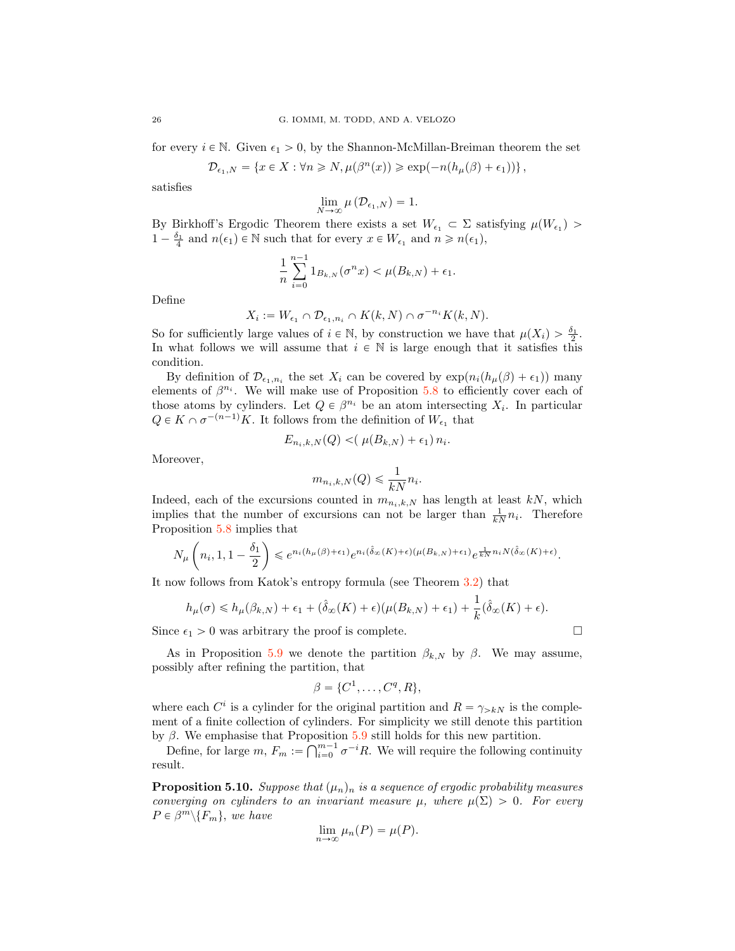for every  $i \in \mathbb{N}$ . Given  $\epsilon_1 > 0$ , by the Shannon-McMillan-Breiman theorem the set

$$
\mathcal{D}_{\epsilon_1,N} = \left\{ x \in X : \forall n \geqslant N, \mu\big(\beta^n(x)\big) \geqslant \exp\bigl(-n\bigl(h_\mu(\beta) + \epsilon_1\bigr)\bigr) \right\},
$$

satisfies

$$
\lim_{N\to\infty}\mu\left(\mathcal{D}_{\epsilon_1,N}\right)=1.
$$

By Birkhoff's Ergodic Theorem there exists a set  $W_{\epsilon_1} \subset \Sigma$  satisfying  $\mu(W_{\epsilon_1})$  $1 - \frac{\delta_1}{4}$  and  $n(\epsilon_1) \in \mathbb{N}$  such that for every  $x \in W_{\epsilon_1}$  and  $n \geq n(\epsilon_1)$ ,

$$
\frac{1}{n}\sum_{i=0}^{n-1}1_{B_{k,N}}(\sigma^nx)<\mu(B_{k,N})+\epsilon_1.
$$

Define

$$
X_i := W_{\epsilon_1} \cap \mathcal{D}_{\epsilon_1, n_i} \cap K(k, N) \cap \sigma^{-n_i} K(k, N).
$$

So for sufficiently large values of  $i \in \mathbb{N}$ , by construction we have that  $\mu(X_i) > \frac{\delta_1}{2}$ . In what follows we will assume that  $i \in \mathbb{N}$  is large enough that it satisfies this condition.

By definition of  $\mathcal{D}_{\epsilon_1,n_i}$  the set  $X_i$  can be covered by  $\exp(n_i(h_\mu(\beta) + \epsilon_1))$  many elements of  $\beta^{n_i}$ . We will make use of Proposition [5.8](#page-23-0) to efficiently cover each of those atoms by cylinders. Let  $Q \in \beta^{n_i}$  be an atom intersecting  $X_i$ . In particular  $Q \in K \cap \sigma^{-(n-1)}K$ . It follows from the definition of  $W_{\epsilon_1}$  that

$$
E_{n_i,k,N}(Q) < (\mu(B_{k,N}) + \epsilon_1) n_i.
$$

Moreover,

$$
m_{n_i,k,N}(Q) \leq \frac{1}{kN} n_i.
$$

Indeed, each of the excursions counted in  $m_{n_i,k,N}$  has length at least kN, which implies that the number of excursions can not be larger than  $\frac{1}{kN}n_i$ . Therefore Proposition [5.8](#page-23-0) implies that

$$
N_\mu\left(n_i,1,1-\frac{\delta_1}{2}\right)\leqslant e^{n_i(h_\mu(\beta)+\epsilon_1)}e^{n_i(\hat{\delta}_\infty(K)+\epsilon)(\mu(B_{k,N})+\epsilon_1)}e^{\frac{1}{kN}n_iN(\hat{\delta}_\infty(K)+\epsilon)}.
$$

It now follows from Katok's entropy formula (see Theorem [3.2\)](#page-13-1) that

$$
h_{\mu}(\sigma) \leq h_{\mu}(\beta_{k,N}) + \epsilon_1 + (\hat{\delta}_{\infty}(K) + \epsilon)(\mu(B_{k,N}) + \epsilon_1) + \frac{1}{k}(\hat{\delta}_{\infty}(K) + \epsilon).
$$

Since  $\epsilon_1 > 0$  was arbitrary the proof is complete.  $\Box$ 

As in Proposition [5.9](#page-24-0) we denote the partition  $\beta_{k,N}$  by  $\beta$ . We may assume, possibly after refining the partition, that

$$
\beta = \{C^1, \ldots, C^q, R\},\
$$

where each  $C^i$  is a cylinder for the original partition and  $R = \gamma_{>k}N$  is the complement of a finite collection of cylinders. For simplicity we still denote this partition by  $\beta$ . We emphasise that Proposition [5.9](#page-24-0) still holds for this new partition.

Define, for large  $m, F_m := \bigcap_{i=0}^{m-1} \sigma^{-i} R$ . We will require the following continuity result.

<span id="page-25-0"></span>**Proposition 5.10.** Suppose that  $(\mu_n)_n$  is a sequence of ergodic probability measures converging on cylinders to an invariant measure  $\mu$ , where  $\mu(\Sigma) > 0$ . For every  $P \in \beta^m \backslash \{F_m\}$ , we have

$$
\lim_{n \to \infty} \mu_n(P) = \mu(P).
$$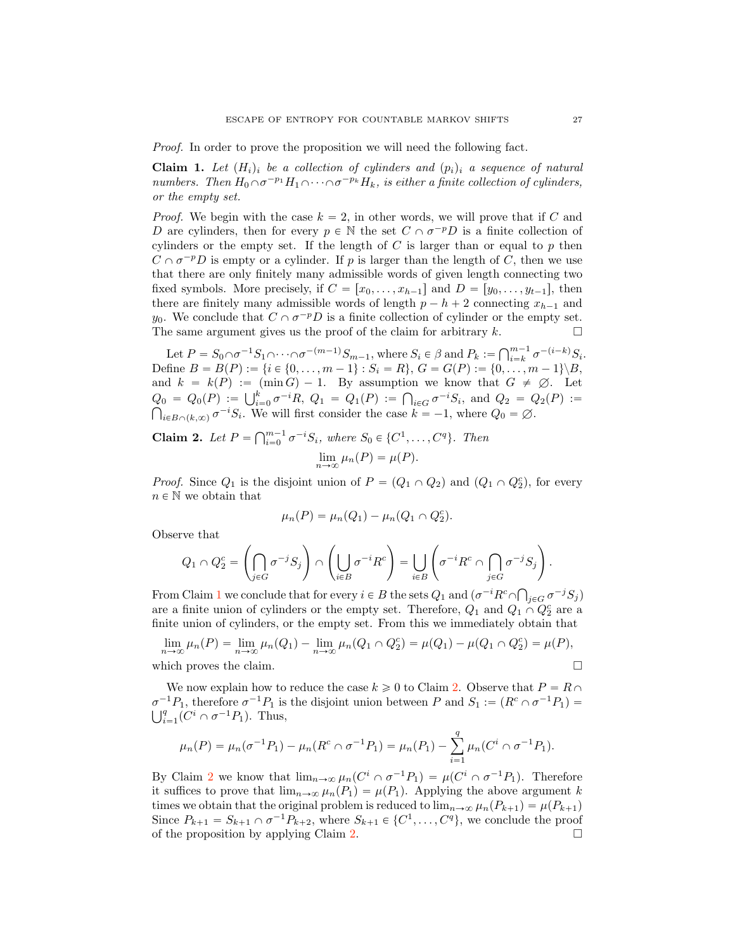Proof. In order to prove the proposition we will need the following fact.

<span id="page-26-1"></span>**Claim 1.** Let  $(H_i)$  be a collection of cylinders and  $(p_i)$  a sequence of natural numbers. Then  $H_0 \cap \sigma^{-p_1}H_1 \cap \cdots \cap \sigma^{-p_k}H_k$ , is either a finite collection of cylinders, or the empty set.

*Proof.* We begin with the case  $k = 2$ , in other words, we will prove that if C and D are cylinders, then for every  $p \in \mathbb{N}$  the set  $C \cap \sigma^{-p}D$  is a finite collection of cylinders or the empty set. If the length of  $C$  is larger than or equal to  $p$  then  $C \cap \sigma^{-p}D$  is empty or a cylinder. If p is larger than the length of C, then we use that there are only finitely many admissible words of given length connecting two fixed symbols. More precisely, if  $C = [x_0, \ldots, x_{h-1}]$  and  $D = [y_0, \ldots, y_{t-1}]$ , then there are finitely many admissible words of length  $p - h + 2$  connecting  $x_{h-1}$  and y<sub>0</sub>. We conclude that  $C \cap \sigma^{-p}D$  is a finite collection of cylinder or the empty set.<br>The same argument gives us the proof of the claim for arbitrary k. The same argument gives us the proof of the claim for arbitrary  $k$ .

Let  $P = S_0 \cap \sigma^{-1} S_1 \cap \cdots \cap \sigma^{-(m-1)} S_{m-1}$ , where  $S_i \in \beta$  and  $P_k := \bigcap_{i=k}^{m-1} \sigma^{-(i-k)} S_i$ . Define  $B = B(P) := \{i \in \{0, ..., m-1\} : S_i = R\}, G = G(P) := \{0, ..., m-1\} \setminus B,$ and  $k = k(P) := (\min G) - 1$ . By assumption we know that  $G \neq \emptyset$ . Let  $Q_0 = Q_0(P) := \bigcup_{i=0}^k \sigma^{-i} R$ ,  $Q_1 = Q_1(P) := \bigcap_{i \in G} \sigma^{-i} S_i$ , and  $Q_2 = Q_2(P) := \bigcap_{i \in R} Q_i$  or  $\sigma^{-i} S_i$ . We will first consider the case  $k = -1$ , where  $Q_0 = \emptyset$ .  $i\in B\cap (k,\infty)$   $\sigma^{-i}S_i$ . We will first consider the case  $k = -1$ , where  $Q_0 = \emptyset$ .

<span id="page-26-0"></span>**Claim 2.** Let  $P = \bigcap_{i=0}^{m-1} \sigma^{-i} S_i$ , where  $S_0 \in \{C^1, \ldots, C^q\}$ . Then  $\lim_{n\to\infty}\mu_n(P)=\mu(P).$ 

*Proof.* Since  $Q_1$  is the disjoint union of  $P = (Q_1 \cap Q_2)$  and  $(Q_1 \cap Q_2^c)$ , for every  $n \in \mathbb{N}$  we obtain that

$$
\mu_n(P) = \mu_n(Q_1) - \mu_n(Q_1 \cap Q_2^c).
$$

Observe that

$$
Q_1 \cap Q_2^c = \left(\bigcap_{j \in G} \sigma^{-j} S_j\right) \cap \left(\bigcup_{i \in B} \sigma^{-i} R^c\right) = \bigcup_{i \in B} \left(\sigma^{-i} R^c \cap \bigcap_{j \in G} \sigma^{-j} S_j\right).
$$

From Claim [1](#page-26-1) we conclude that for every  $i \in B$  the sets  $Q_1$  and  $(\sigma^{-i}R^c \cap \bigcap_{j\in G} \sigma^{-j}S_j)$ are a finite union of cylinders or the empty set. Therefore,  $Q_1$  and  $Q_1 \cap Q_2^c$  are a finite union of cylinders, or the empty set. From this we immediately obtain that

$$
\lim_{n \to \infty} \mu_n(P) = \lim_{n \to \infty} \mu_n(Q_1) - \lim_{n \to \infty} \mu_n(Q_1 \cap Q_2^c) = \mu(Q_1) - \mu(Q_1 \cap Q_2^c) = \mu(P),
$$
  
which proves the claim.

We now explain how to reduce the case  $k \geqslant 0$  to Claim [2.](#page-26-0) Observe that  $P = R \cap$  $\sigma^{-1}P_1$ , therefore  $\sigma^{-1}P_1$  is the disjoint union between P and  $S_1 := (R^c \cap \sigma^{-1}P_1)$  $\bigcup_{i=1}^q (C^i \cap \sigma^{-1}P_1)$ . Thus,

$$
\mu_n(P) = \mu_n(\sigma^{-1}P_1) - \mu_n(R^c \cap \sigma^{-1}P_1) = \mu_n(P_1) - \sum_{i=1}^q \mu_n(C^i \cap \sigma^{-1}P_1).
$$

By Claim [2](#page-26-0) we know that  $\lim_{n\to\infty} \mu_n(C^i \cap \sigma^{-1}P_1) = \mu(C^i \cap \sigma^{-1}P_1)$ . Therefore it suffices to prove that  $\lim_{n\to\infty} \mu_n(P_1) = \mu(P_1)$ . Applying the above argument k times we obtain that the original problem is reduced to  $\lim_{n\to\infty} \mu_n(P_{k+1}) = \mu(P_{k+1})$ Since  $P_{k+1} = S_{k+1} \cap \sigma^{-1}P_{k+2}$ , where  $S_{k+1} \in \{C^1, \ldots, C^q\}$ , we conclude the proof of the proposition by applying Claim 2. of the proposition by applying Claim [2.](#page-26-0) !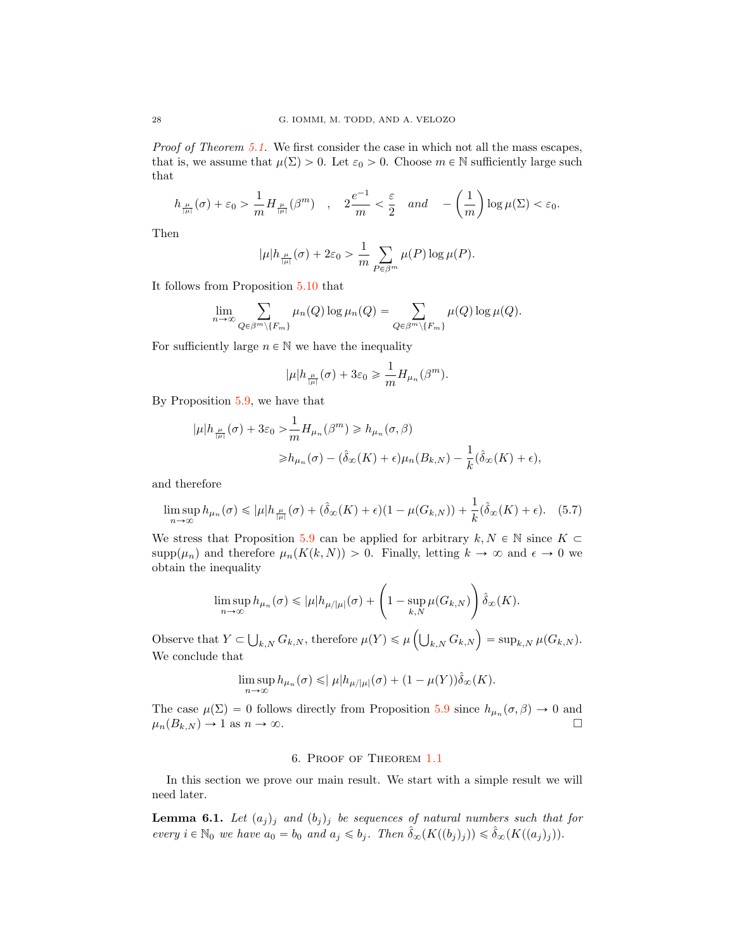Proof of Theorem [5.1.](#page-20-1) We first consider the case in which not all the mass escapes, that is, we assume that  $\mu(\Sigma) > 0$ . Let  $\varepsilon_0 > 0$ . Choose  $m \in \mathbb{N}$  sufficiently large such that

$$
h_{\frac{\mu}{|\mu|}}(\sigma)+\varepsilon_0>\frac{1}{m}H_{\frac{\mu}{|\mu|}}(\beta^m)\quad,\quad 2\frac{e^{-1}}{m}<\frac{\varepsilon}{2}\quad and\quad -\left(\frac{1}{m}\right)\log\mu(\Sigma)<\varepsilon_0.
$$

Then

$$
|\mu|h_{\frac{\mu}{|\mu|}}(\sigma)+2\varepsilon_0>\frac{1}{m}\sum_{P\in\beta^m}\mu(P)\log\mu(P).
$$

It follows from Proposition [5.10](#page-25-0) that

$$
\lim_{n\to\infty}\sum_{Q\in\beta^m\setminus\{F_m\}}\mu_n(Q)\log\mu_n(Q)=\sum_{Q\in\beta^m\setminus\{F_m\}}\mu(Q)\log\mu(Q).
$$

For sufficiently large  $n \in \mathbb{N}$  we have the inequality

<span id="page-27-2"></span>
$$
|\mu|h_{\frac{\mu}{|\mu|}}(\sigma)+3\varepsilon_0\geqslant \frac{1}{m}H_{\mu_n}(\beta^m).
$$

By Proposition [5.9,](#page-24-0) we have that

$$
\begin{aligned} |\mu|h_{\frac{\mu}{|\mu|}}(\sigma) + 3\varepsilon_0 &> \frac{1}{m} H_{\mu_n}(\beta^m) \ge h_{\mu_n}(\sigma, \beta) \\ &\ge h_{\mu_n}(\sigma) - (\hat{\delta}_{\infty}(K) + \epsilon)\mu_n(B_{k,N}) - \frac{1}{k}(\hat{\delta}_{\infty}(K) + \epsilon), \end{aligned}
$$

and therefore

$$
\limsup_{n \to \infty} h_{\mu_n}(\sigma) \leqslant |\mu| h_{\frac{\mu}{|\mu|}}(\sigma) + (\hat{\delta}_{\infty}(K) + \epsilon)(1 - \mu(G_{k,N})) + \frac{1}{k} (\hat{\delta}_{\infty}(K) + \epsilon). \tag{5.7}
$$

We stress that Proposition [5.9](#page-24-0) can be applied for arbitrary  $k, N \in \mathbb{N}$  since  $K \subset$  $supp(\mu_n)$  and therefore  $\mu_n(K(k, N)) > 0$ . Finally, letting  $k \to \infty$  and  $\epsilon \to 0$  we obtain the inequality

$$
\limsup_{n\to\infty} h_{\mu_n}(\sigma) \leqslant |\mu| h_{\mu/|\mu|}(\sigma) + \left(1 - \sup_{k,N}\mu(G_{k,N})\right) \hat{\delta}_{\infty}(K).
$$

Observe that  $Y \subset \bigcup_{k,N} G_{k,N}$ , therefore  $\mu(Y) \leq \mu\left(\bigcup_{k,N} G_{k,N}\right) = \sup_{k,N} \mu(G_{k,N}).$ We conclude that

$$
\limsup_{n\to\infty} h_{\mu_n}(\sigma) \leqslant |\mu| h_{\mu/|\mu|}(\sigma) + (1 - \mu(Y)) \hat{\delta}_{\infty}(K).
$$

The case  $\mu(\Sigma) = 0$  follows directly from Proposition [5.9](#page-24-0) since  $h_{\mu_n}(\sigma, \beta) \to 0$  and  $\mu_n(B_{k,N}) \to 1$  as  $n \to \infty$ .  $\mu_n(B_{k,N}) \to 1$  as  $n \to \infty$ .

# 6. Proof of Theorem [1.1](#page-0-0)

<span id="page-27-0"></span>In this section we prove our main result. We start with a simple result we will need later.

<span id="page-27-1"></span>**Lemma 6.1.** Let  $(a_j)_j$  and  $(b_j)_j$  be sequences of natural numbers such that for every  $i \in \mathbb{N}_0$  we have  $a_0 = b_0$  and  $a_j \leqslant b_j$ . Then  $\hat{\delta}_{\infty}(K((b_j)_j)) \leqslant \hat{\delta}_{\infty}(K((a_j)_j)).$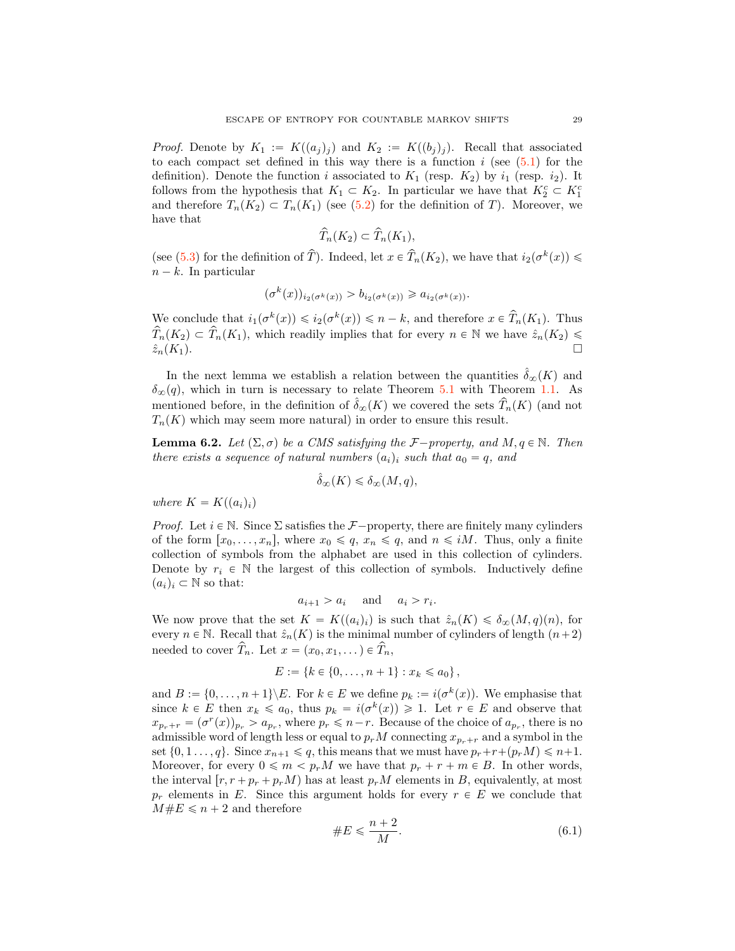*Proof.* Denote by  $K_1 := K((a_i)_i)$  and  $K_2 := K((b_i)_i)$ . Recall that associated to each compact set defined in this way there is a function  $i$  (see  $(5.1)$ ) for the definition). Denote the function i associated to  $K_1$  (resp.  $K_2$ ) by  $i_1$  (resp.  $i_2$ ). It follows from the hypothesis that  $K_1 \subset K_2$ . In particular we have that  $K_2^c \subset K_1^c$ and therefore  $T_n(K_2) \subset T_n(K_1)$  (see [\(5.2\)](#page-20-4) for the definition of T). Moreover, we have that

$$
\widehat{T}_n(K_2) \subset \widehat{T}_n(K_1),
$$

(see [\(5.3\)](#page-20-5) for the definition of  $\hat{T}$ ). Indeed, let  $x \in \hat{T}_n(K_2)$ , we have that  $i_2(\sigma^k(x)) \leq$  $n - k$ . In particular

$$
(\sigma^k(x))_{i_2(\sigma^k(x))} > b_{i_2(\sigma^k(x))} \ge a_{i_2(\sigma^k(x))}.
$$

We conclude that  $i_1(\sigma^k(x)) \leq i_2(\sigma^k(x)) \leq n - k$ , and therefore  $x \in \hat{T}_n(K_1)$ . Thus  $\widehat{T}_n(K_2) \subset \widehat{T}_n(K_1)$ , which readily implies that for every  $n \in \mathbb{N}$  we have  $\widehat{z}_n(K_2) \leq \widehat{z}_n(K_1)$ .  $\hat{z}_n(K_1)$ .

In the next lemma we establish a relation between the quantities  $\hat{\delta}_{\infty}(K)$  and  $\delta_{\infty}(q)$ , which in turn is necessary to relate Theorem [5.1](#page-20-1) with Theorem [1.1.](#page-0-0) As mentioned before, in the definition of  $\hat{\delta}_{\infty}(K)$  we covered the sets  $\hat{T}_n(K)$  (and not  $T_n(K)$  which may seem more natural) in order to ensure this result.

<span id="page-28-0"></span>**Lemma 6.2.** Let  $(\Sigma, \sigma)$  be a CMS satisfying the *F* $-p$ roperty, and M,  $q \in \mathbb{N}$ . Then there exists a sequence of natural numbers  $(a_i)_i$  such that  $a_0 = q$ , and

$$
\hat{\delta}_{\infty}(K) \leq \delta_{\infty}(M, q),
$$

where  $K = K((a_i)_i)$ 

*Proof.* Let  $i \in \mathbb{N}$ . Since  $\Sigma$  satisfies the  $\mathcal{F}-$ property, there are finitely many cylinders of the form  $[x_0, \ldots, x_n]$ , where  $x_0 \leq q$ ,  $x_n \leq q$ , and  $n \leq iM$ . Thus, only a finite collection of symbols from the alphabet are used in this collection of cylinders. Denote by  $r_i \in \mathbb{N}$  the largest of this collection of symbols. Inductively define  $(a_i)_i \subset \mathbb{N}$  so that:

$$
a_{i+1} > a_i \quad \text{and} \quad a_i > r_i.
$$

We now prove that the set  $K = K((a_i)_i)$  is such that  $\hat{z}_n(K) \leq \delta_{\infty}(M, q)(n)$ , for every  $n \in \mathbb{N}$ . Recall that  $\hat{z}_n(K)$  is the minimal number of cylinders of length  $(n+2)$ needed to cover  $\widehat{T}_n$ . Let  $x = (x_0, x_1, ...) \in \widehat{T}_n$ ,

$$
E := \{k \in \{0, \ldots, n+1\} : x_k \leq a_0\},\
$$

and  $B := \{0, \ldots, n + 1\} \backslash E$ . For  $k \in E$  we define  $p_k := i(\sigma^k(x))$ . We emphasise that since  $k \in E$  then  $x_k \leq a_0$ , thus  $p_k = i(\sigma^k(x)) \geq 1$ . Let  $r \in E$  and observe that  $x_{p_r+r} = (\sigma^r(x))_{p_r} > a_{p_r}$ , where  $p_r \leq n-r$ . Because of the choice of  $a_{p_r}$ , there is no admissible word of length less or equal to  $p_r M$  connecting  $x_{p_r+r}$  and a symbol in the set  $\{0, 1, \ldots, q\}$ . Since  $x_{n+1} \leqslant q$ , this means that we must have  $p_r+r+(p_rM) \leqslant n+1$ . Moreover, for every  $0 \leq m < p_r M$  we have that  $p_r + r + m \in B$ . In other words, the interval  $[r, r + p_r + p_r)$  has at least  $p_rM$  elements in B, equivalently, at most  $p_r$  elements in E. Since this argument holds for every  $r \in E$  we conclude that  $M \# E \leq n + 2$  and therefore

<span id="page-28-1"></span>
$$
\#E \le \frac{n+2}{M}.\tag{6.1}
$$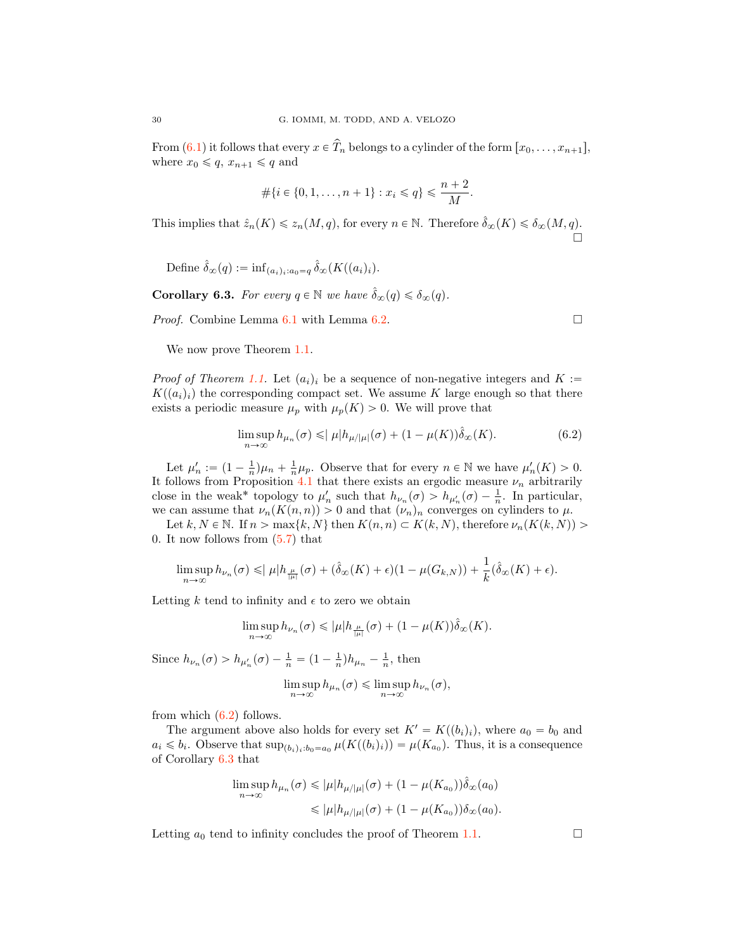From  $(6.1)$  it follows that every  $x \in \hat{T}_n$  belongs to a cylinder of the form  $[x_0, \ldots, x_{n+1}],$ where  $x_0 \leqslant q$ ,  $x_{n+1} \leqslant q$  and

$$
\#\{i \in \{0, 1, \dots, n+1\} : x_i \leq q\} \leq \frac{n+2}{M}.
$$

This implies that  $\hat{z}_n(K) \leq z_n(M, q)$ , for every  $n \in \mathbb{N}$ . Therefore  $\hat{\delta}_{\infty}(K) \leq \delta_{\infty}(M, q)$ .  $\Box$ 

Define 
$$
\hat{\delta}_{\infty}(q) := \inf_{(a_i)_i : a_0 = q} \hat{\delta}_{\infty}(K((a_i)_i)).
$$

<span id="page-29-1"></span>**Corollary 6.3.** For every  $q \in \mathbb{N}$  we have  $\hat{\delta}_{\infty}(q) \leq \delta_{\infty}(q)$ .

*Proof.* Combine Lemma  $6.1$  with Lemma  $6.2$ .

We now prove Theorem [1.1.](#page-0-0)

*Proof of Theorem [1.1.](#page-0-0)* Let  $(a_i)_i$  be a sequence of non-negative integers and K :=  $K(a_i)_i$  the corresponding compact set. We assume K large enough so that there exists a periodic measure  $\mu_p$  with  $\mu_p(K) > 0$ . We will prove that

$$
\limsup_{n \to \infty} h_{\mu_n}(\sigma) \leqslant |\mu| h_{\mu/|\mu|}(\sigma) + (1 - \mu(K)) \hat{\delta}_{\infty}(K).
$$
\n(6.2)

Let  $\mu'_n := (1 - \frac{1}{n})\mu_n + \frac{1}{n}\mu_p$ . Observe that for every  $n \in \mathbb{N}$  we have  $\mu'_n(K) > 0$ . It follows from Proposition [4.1](#page-17-0) that there exists an ergodic measure  $\nu_n$  arbitrarily close in the weak\* topology to  $\mu'_n$  such that  $h_{\nu_n}(\sigma) > h_{\mu'_n}(\sigma) - \frac{1}{n}$ . In particular, we can assume that  $\nu_n(K(n,n)) > 0$  and that  $(\nu_n)_n$  converges on cylinders to  $\mu$ .

Let k,  $N \in \mathbb{N}$ . If  $n > \max\{k, N\}$  then  $K(n, n) \subset K(k, N)$ , therefore  $\nu_n(K(k, N))$ 0. It now follows from  $(5.7)$  that

$$
\limsup_{n\to\infty} h_{\nu_n}(\sigma) \leqslant |\mu| h_{\frac{\mu}{|\mu|}}(\sigma) + (\hat{\delta}_{\infty}(K) + \epsilon)(1 - \mu(G_{k,N})) + \frac{1}{k}(\hat{\delta}_{\infty}(K) + \epsilon).
$$

Letting  $k$  tend to infinity and  $\epsilon$  to zero we obtain

$$
\limsup_{n\to\infty} h_{\nu_n}(\sigma) \leqslant |\mu| h_{\frac{\mu}{|\mu|}}(\sigma) + (1 - \mu(K)) \hat{\delta}_{\infty}(K).
$$

Since  $h_{\nu_n}(\sigma) > h_{\mu'_n}(\sigma) - \frac{1}{n} = (1 - \frac{1}{n})h_{\mu_n} - \frac{1}{n}$ , then

$$
\limsup_{n\to\infty} h_{\mu_n}(\sigma) \leq \limsup_{n\to\infty} h_{\nu_n}(\sigma),
$$

from which  $(6.2)$  follows.

The argument above also holds for every set  $K' = K((b_i)_i)$ , where  $a_0 = b_0$  and  $a_i \leq b_i$ . Observe that  $\sup_{(b_i)_i:b_0=a_0} \mu(K((b_i)_i)) = \mu(K_{a_0})$ . Thus, it is a consequence of Corollary [6.3](#page-29-1) that

$$
\limsup_{n \to \infty} h_{\mu_n}(\sigma) \leq |\mu| h_{\mu/|\mu|}(\sigma) + (1 - \mu(K_{a_0})) \hat{\delta}_{\infty}(a_0)
$$
  

$$
\leq |\mu| h_{\mu/|\mu|}(\sigma) + (1 - \mu(K_{a_0})) \delta_{\infty}(a_0).
$$

Letting  $a_0$  tend to infinity concludes the proof of Theorem [1.1.](#page-0-0)  $\Box$ 

<span id="page-29-0"></span>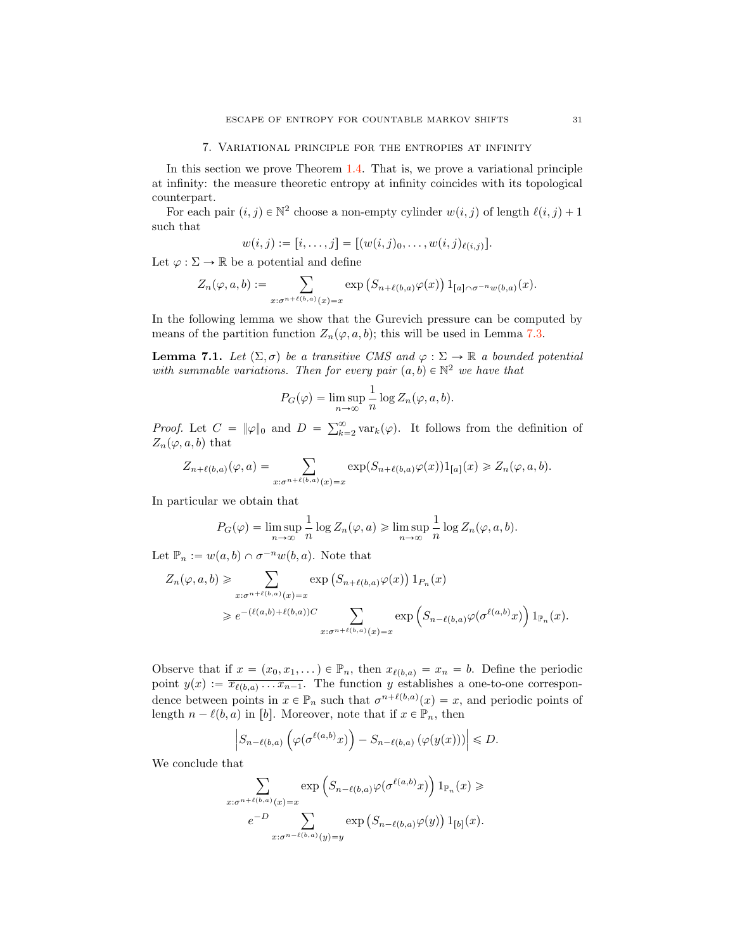## 7. Variational principle for the entropies at infinity

<span id="page-30-0"></span>In this section we prove Theorem [1.4.](#page-1-3) That is, we prove a variational principle at infinity: the measure theoretic entropy at infinity coincides with its topological counterpart.

For each pair  $(i, j) \in \mathbb{N}^2$  choose a non-empty cylinder  $w(i, j)$  of length  $\ell(i, j) + 1$ such that

$$
w(i,j):=[i,\ldots,j]=[(w(i,j)_0,\ldots,w(i,j)_{\ell(i,j)}].
$$

Let  $\varphi : \Sigma \to \mathbb{R}$  be a potential and define

$$
Z_n(\varphi, a, b) := \sum_{x: \sigma^{n+\ell(b,a)}(x) = x} \exp\left(S_{n+\ell(b,a)}\varphi(x)\right) 1_{[a] \cap \sigma^{-n}w(b,a)}(x).
$$

In the following lemma we show that the Gurevich pressure can be computed by means of the partition function  $Z_n(\varphi, a, b)$ ; this will be used in Lemma [7.3.](#page-31-0)

<span id="page-30-1"></span>**Lemma 7.1.** Let  $(\Sigma, \sigma)$  be a transitive CMS and  $\varphi : \Sigma \to \mathbb{R}$  a bounded potential with summable variations. Then for every pair  $(a, b) \in \mathbb{N}^2$  we have that

$$
P_G(\varphi) = \limsup_{n \to \infty} \frac{1}{n} \log Z_n(\varphi, a, b).
$$

*Proof.* Let  $C = ||\varphi||_0$  and  $D = \sum_{k=2}^{\infty} \text{var}_k(\varphi)$ . It follows from the definition of  $Z_n(\varphi, a, b)$  that

$$
Z_{n+\ell(b,a)}(\varphi,a) = \sum_{x:\sigma^{n+\ell(b,a)}(x)=x} \exp(S_{n+\ell(b,a)}\varphi(x))1_{[a]}(x) \ge Z_n(\varphi,a,b).
$$

In particular we obtain that

$$
P_G(\varphi) = \limsup_{n \to \infty} \frac{1}{n} \log Z_n(\varphi, a) \geqslant \limsup_{n \to \infty} \frac{1}{n} \log Z_n(\varphi, a, b).
$$

Let  $\mathbb{P}_n := w(a, b) \cap \sigma^{-n}w(b, a)$ . Note that

$$
\begin{split} Z_n(\varphi,a,b) & \geqslant \sum_{x: \sigma^{n+\ell(b,a)}(x)=x} \exp\left(S_{n+\ell(b,a)}\varphi(x)\right)1_{P_n}(x) \\ & \geqslant e^{-(\ell(a,b)+\ell(b,a))C} \sum_{x: \sigma^{n+\ell(b,a)}(x)=x} \exp\left(S_{n-\ell(b,a)}\varphi\bigl(\sigma^{\ell(a,b)}x\bigr)\right)1_{\mathbb{P}_n}(x). \end{split}
$$

Observe that if  $x = (x_0, x_1, \dots) \in \mathbb{P}_n$ , then  $x_{\ell(b,a)} = x_n = b$ . Define the periodic point  $y(x) := \overline{x_{\ell(b,a)} \dots x_{n-1}}$ . The function y establishes a one-to-one correspondence between points in  $x \in \mathbb{P}_n$  such that  $\sigma^{n+\ell(b,a)}(x) = x$ , and periodic points of length  $n - \ell(b, a)$  in [b]. Moreover, note that if  $x \in \mathbb{P}_n$ , then

$$
\Big|S_{n-\ell(b,a)}\left(\varphi(\sigma^{\ell(a,b)}x)\right)-S_{n-\ell(b,a)}\left(\varphi(y(x))\right)\Big|\leqslant D.
$$

We conclude that

$$
\sum_{x:\sigma^{n+\ell(b,a)}(x)=x} \exp\left(S_{n-\ell(b,a)}\varphi(\sigma^{\ell(a,b)}x)\right)1_{\mathbb{P}_n}(x) \geqslant
$$

$$
e^{-D} \sum_{x:\sigma^{n-\ell(b,a)}(y)=y} \exp\left(S_{n-\ell(b,a)}\varphi(y)\right)1_{[b]}(x).
$$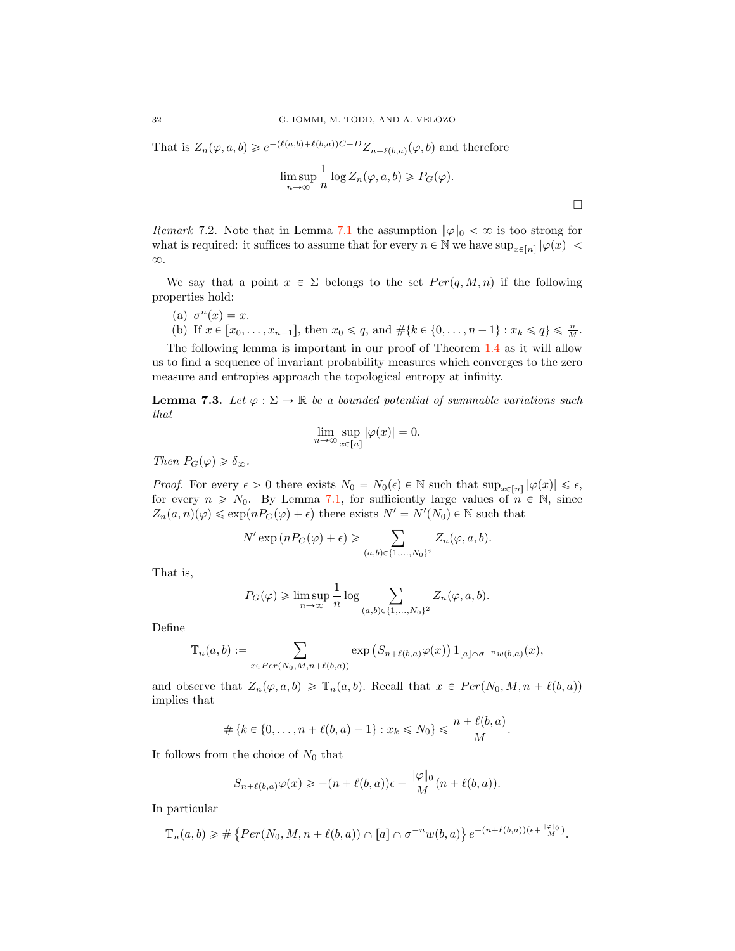That is  $Z_n(\varphi, a, b) \geq e^{-(\ell(a,b)+\ell(b,a))C-D} Z_{n-\ell(b,a)}(\varphi, b)$  and therefore

$$
\limsup_{n \to \infty} \frac{1}{n} \log Z_n(\varphi, a, b) \geqslant P_G(\varphi).
$$

 $\Box$ 

*Remark* 7.2. Note that in Lemma [7.1](#page-30-1) the assumption  $\|\varphi\|_0 < \infty$  is too strong for what is required: it suffices to assume that for every  $n \in \mathbb{N}$  we have  $\sup_{x \in [n]} |\varphi(x)|$  $\infty$ .

We say that a point  $x \in \Sigma$  belongs to the set  $Per(q, M, n)$  if the following properties hold:

- (a)  $\sigma^n(x) = x$ .
- (b) If  $x \in [x_0, \ldots, x_{n-1}],$  then  $x_0 \leq q$ , and  $\#\{k \in \{0, \ldots, n-1\} : x_k \leq q\} \leq \frac{n}{M}$ .

The following lemma is important in our proof of Theorem [1.4](#page-1-3) as it will allow us to find a sequence of invariant probability measures which converges to the zero measure and entropies approach the topological entropy at infinity.

<span id="page-31-0"></span>**Lemma 7.3.** Let  $\varphi : \Sigma \to \mathbb{R}$  be a bounded potential of summable variations such that

$$
\lim_{n \to \infty} \sup_{x \in [n]} |\varphi(x)| = 0.
$$

Then  $P_G(\varphi) \geq \delta_\infty$ .

*Proof.* For every  $\epsilon > 0$  there exists  $N_0 = N_0(\epsilon) \in \mathbb{N}$  such that  $\sup_{x \in [n]} |\varphi(x)| \leq \epsilon$ , for every  $n \geq N_0$ . By Lemma [7.1,](#page-30-1) for sufficiently large values of  $n \in \mathbb{N}$ , since  $Z_n(a, n) (\varphi) \leq \exp(n P_G(\varphi) + \epsilon)$  there exists  $N' = N'(N_0) \in \mathbb{N}$  such that

$$
N' \exp (nP_G(\varphi) + \epsilon) \geqslant \sum_{(a,b)\in\{1,\ldots,N_0\}^2} Z_n(\varphi, a, b).
$$

That is,

$$
P_G(\varphi) \geq \limsup_{n \to \infty} \frac{1}{n} \log \sum_{(a,b) \in \{1, \dots, N_0\}^2} Z_n(\varphi, a, b).
$$

Define

$$
\mathbb{T}_n(a,b) := \sum_{x \in Per(N_0,M,n+\ell(b,a))} \exp\left(S_{n+\ell(b,a)}\varphi(x)\right) 1_{[a] \cap \sigma^{-n}w(b,a)}(x),
$$

and observe that  $Z_n(\varphi, a, b) \geq \mathbb{T}_n(a, b)$ . Recall that  $x \in Per(N_0, M, n + \ell(b, a))$ implies that

$$
\# \{k \in \{0, \ldots, n + \ell(b, a) - 1\} : x_k \le N_0\} \le \frac{n + \ell(b, a)}{M}.
$$

It follows from the choice of  $N_0$  that

$$
S_{n+\ell(b,a)}\varphi(x) \geqslant -(n+\ell(b,a))\epsilon - \frac{\|\varphi\|_0}{M}(n+\ell(b,a)).
$$

In particular

$$
\mathbb{T}_n(a,b) \geq \#\left\{Per(N_0,M,n+\ell(b,a)) \cap [a] \cap \sigma^{-n}w(b,a)\right\}e^{-(n+\ell(b,a))(\epsilon+\frac{\|\varphi\|_0}{M})}.
$$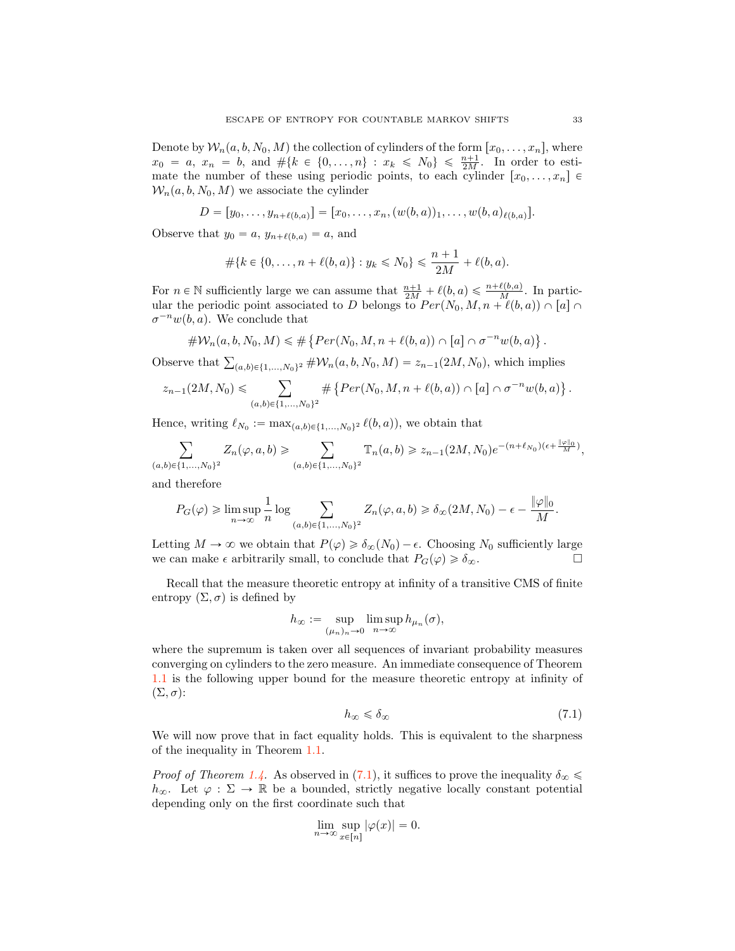Denote by  $W_n(a, b, N_0, M)$  the collection of cylinders of the form  $[x_0, \ldots, x_n]$ , where  $x_0 = a, x_n = b, \text{ and } \# \{k \in \{0, ..., n\} : x_k \leq N_0\} \leq \frac{n+1}{2M}.$  In order to estimate the number of these using periodic points, to each cylinder  $[x_0, \ldots, x_n]$   $\in$  $W_n(a, b, N_0, M)$  we associate the cylinder

$$
D = [y_0, \ldots, y_{n+\ell(b,a)}] = [x_0, \ldots, x_n, (w(b,a))_1, \ldots, w(b,a)_{\ell(b,a)}].
$$

Observe that  $y_0 = a$ ,  $y_{n+\ell(b,a)} = a$ , and

$$
\#\{k \in \{0, \ldots, n + \ell(b, a)\} : y_k \le N_0\} \le \frac{n+1}{2M} + \ell(b, a).
$$

For  $n \in \mathbb{N}$  sufficiently large we can assume that  $\frac{n+1}{2M} + \ell(b, a) \leq \frac{n+\ell(b, a)}{M}$ . In particular the periodic point associated to D belongs to  $Per(N_0, M, n + \ell(b, a)) \cap [a] \cap$  $\sigma^{-n}w(b, a)$ . We conclude that

$$
\# \mathcal{W}_n(a, b, N_0, M) \leq \#\left\{Per(N_0, M, n + \ell(b, a)) \cap [a] \cap \sigma^{-n}w(b, a)\right\}.
$$

Observe that  $\sum_{(a,b)\in\{1,...,N_0\}^2} \#W_n(a,b,N_0,M) = z_{n-1}(2M, N_0)$ , which implies

$$
z_{n-1}(2M, N_0) \leq \sum_{(a,b)\in \{1,\ldots,N_0\}^2} \# \left\{ Per(N_0, M, n+\ell(b,a)) \cap [a] \cap \sigma^{-n}w(b,a) \right\}.
$$

Hence, writing  $\ell_{N_0} := \max_{(a,b)\in\{1,\ldots,N_0\}^2} \ell(b, a)$ , we obtain that

$$
\sum_{(a,b)\in\{1,\ldots,N_0\}^2} Z_n(\varphi,a,b) \geqslant \sum_{(a,b)\in\{1,\ldots,N_0\}^2} \mathbb{T}_n(a,b) \geqslant z_{n-1}(2M,N_0)e^{-(n+\ell_{N_0})(\epsilon + \frac{||\varphi||_0}{M})},
$$

and therefore

$$
P_G(\varphi) \geq \limsup_{n \to \infty} \frac{1}{n} \log \sum_{(a,b) \in \{1,\dots,N_0\}^2} Z_n(\varphi, a, b) \geq \delta_{\infty}(2M, N_0) - \epsilon - \frac{\|\varphi\|_0}{M}.
$$

Letting  $M \to \infty$  we obtain that  $P(\varphi) \geq \delta_{\infty}(N_0) - \epsilon$ . Choosing  $N_0$  sufficiently large we can make  $\epsilon$  arbitrarily small to conclude that  $P_G(\varphi) \geq \delta_{\infty}$ we can make  $\epsilon$  arbitrarily small, to conclude that  $P_G(\varphi) \geq \delta_{\infty}$ .

Recall that the measure theoretic entropy at infinity of a transitive CMS of finite entropy  $(\Sigma, \sigma)$  is defined by

$$
h_{\infty} := \sup_{(\mu_n)_n \to 0} \limsup_{n \to \infty} h_{\mu_n}(\sigma),
$$

where the supremum is taken over all sequences of invariant probability measures converging on cylinders to the zero measure. An immediate consequence of Theorem [1.1](#page-0-0) is the following upper bound for the measure theoretic entropy at infinity of  $(\Sigma, \sigma)$ :

<span id="page-32-0"></span>
$$
h_{\infty} \leqslant \delta_{\infty} \tag{7.1}
$$

We will now prove that in fact equality holds. This is equivalent to the sharpness of the inequality in Theorem [1.1.](#page-0-0)

*Proof of Theorem [1.4.](#page-1-3)* As observed in [\(7.1\)](#page-32-0), it suffices to prove the inequality  $\delta_{\infty} \leq$  $h_{\infty}$ . Let  $\varphi : \Sigma \to \mathbb{R}$  be a bounded, strictly negative locally constant potential depending only on the first coordinate such that

$$
\lim_{n \to \infty} \sup_{x \in [n]} |\varphi(x)| = 0.
$$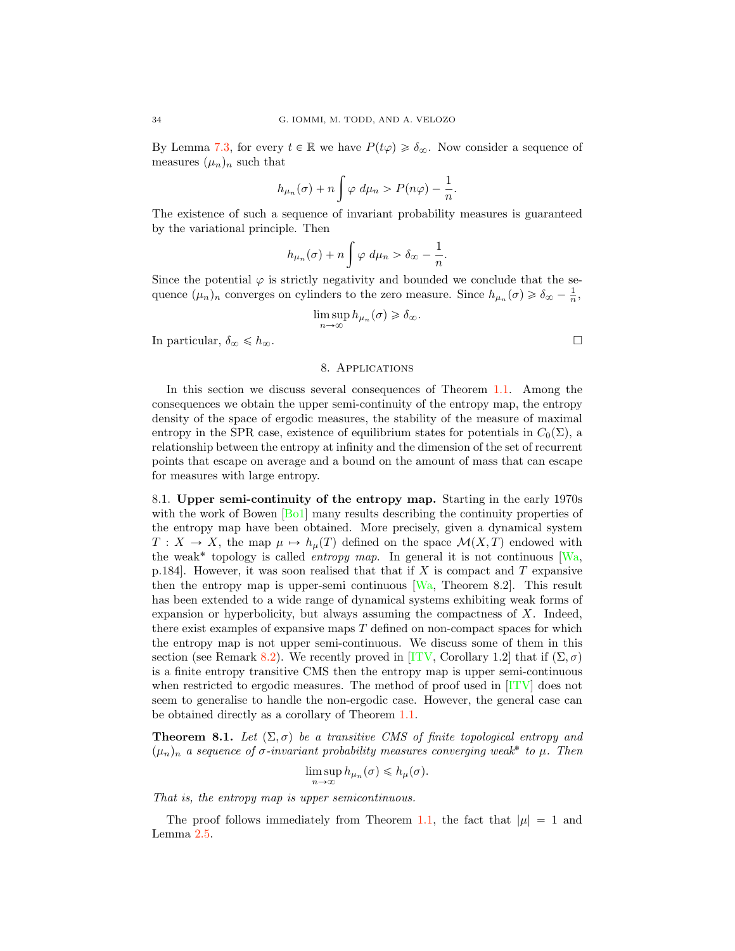By Lemma [7.3,](#page-31-0) for every  $t \in \mathbb{R}$  we have  $P(t\varphi) \geq \delta_{\infty}$ . Now consider a sequence of measures  $(\mu_n)_n$  such that

$$
h_{\mu_n}(\sigma) + n \int \varphi \, d\mu_n > P(n\varphi) - \frac{1}{n}.
$$

The existence of such a sequence of invariant probability measures is guaranteed by the variational principle. Then

$$
h_{\mu_n}(\sigma) + n \int \varphi \ d\mu_n > \delta_\infty - \frac{1}{n}.
$$

Since the potential  $\varphi$  is strictly negativity and bounded we conclude that the sequence  $(\mu_n)_n$  converges on cylinders to the zero measure. Since  $h_{\mu_n}(\sigma) \geq \delta_{\infty} - \frac{1}{n}$ ,

$$
\limsup_{n \to \infty} h_{\mu_n}(\sigma) \geq \delta_{\infty}.
$$

<span id="page-33-0"></span>In particular,  $\delta_{\infty} \leq h_{\infty}$ .

## 8. Applications

In this section we discuss several consequences of Theorem [1.1.](#page-0-0) Among the consequences we obtain the upper semi-continuity of the entropy map, the entropy density of the space of ergodic measures, the stability of the measure of maximal entropy in the SPR case, existence of equilibrium states for potentials in  $C_0(\Sigma)$ , a relationship between the entropy at infinity and the dimension of the set of recurrent points that escape on average and a bound on the amount of mass that can escape for measures with large entropy.

8.1. Upper semi-continuity of the entropy map. Starting in the early 1970s with the work of Bowen [\[Bo1\]](#page-41-22) many results describing the continuity properties of the entropy map have been obtained. More precisely, given a dynamical system  $T: X \to X$ , the map  $\mu \mapsto h_{\mu}(T)$  defined on the space  $\mathcal{M}(X, T)$  endowed with the weak<sup>\*</sup> topology is called *entropy map*. In general it is not continuous [\[Wa,](#page-43-1) p.184. However, it was soon realised that that if X is compact and T expansive then the entropy map is upper-semi continuous  $[Wa,$  Theorem 8.2. This result has been extended to a wide range of dynamical systems exhibiting weak forms of expansion or hyperbolicity, but always assuming the compactness of X. Indeed, there exist examples of expansive maps  $T$  defined on non-compact spaces for which the entropy map is not upper semi-continuous. We discuss some of them in this section (see Remark [8.2\)](#page-34-0). We recently proved in [\[ITV,](#page-42-5) Corollary 1.2] that if  $(\Sigma, \sigma)$ is a finite entropy transitive CMS then the entropy map is upper semi-continuous when restricted to ergodic measures. The method of proof used in [\[ITV\]](#page-42-5) does not seem to generalise to handle the non-ergodic case. However, the general case can be obtained directly as a corollary of Theorem [1.1.](#page-0-0)

<span id="page-33-1"></span>**Theorem 8.1.** Let  $(\Sigma, \sigma)$  be a transitive CMS of finite topological entropy and  $(\mu_n)_n$  a sequence of  $\sigma$ -invariant probability measures converging weak<sup>\*</sup> to  $\mu$ . Then

$$
\limsup_{n\to\infty} h_{\mu_n}(\sigma) \leq h_{\mu}(\sigma).
$$

That is, the entropy map is upper semicontinuous.

The proof follows immediately from Theorem [1.1,](#page-0-0) the fact that  $|\mu| = 1$  and Lemma [2.5.](#page-6-1)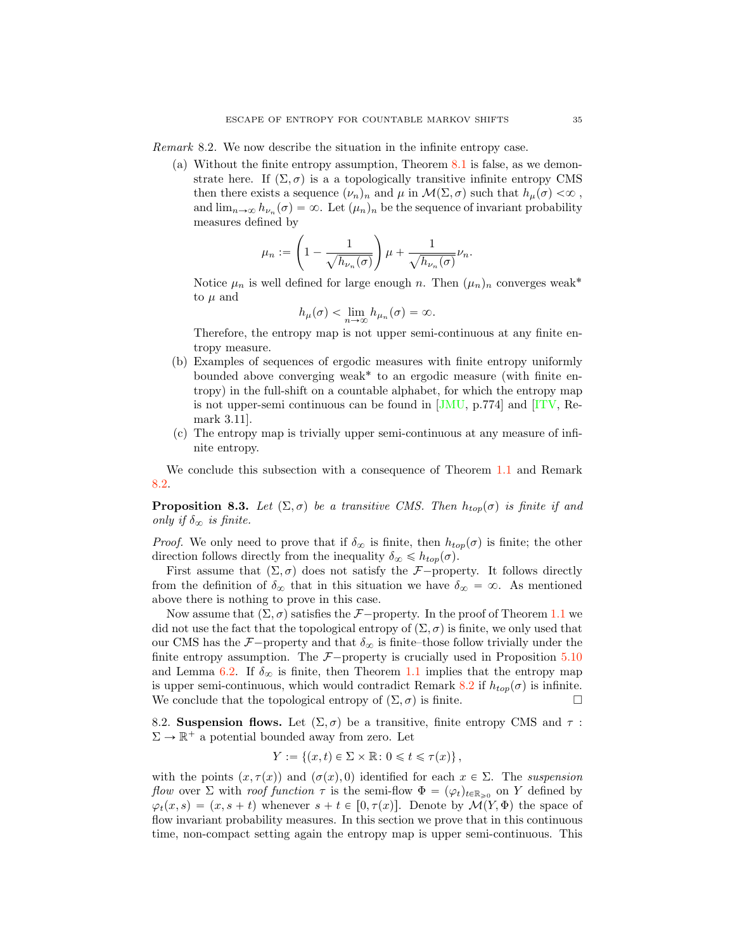<span id="page-34-0"></span>Remark 8.2. We now describe the situation in the infinite entropy case.

(a) Without the finite entropy assumption, Theorem [8.1](#page-33-1) is false, as we demonstrate here. If  $(\Sigma, \sigma)$  is a a topologically transitive infinite entropy CMS then there exists a sequence  $(\nu_n)_n$  and  $\mu$  in  $\mathcal{M}(\Sigma, \sigma)$  such that  $h_\mu(\sigma) < \infty$ , and  $\lim_{n\to\infty} h_{\nu_n}(\sigma) = \infty$ . Let  $(\mu_n)_n$  be the sequence of invariant probability measures defined by

$$
\mu_n := \left(1 - \frac{1}{\sqrt{h_{\nu_n}(\sigma)}}\right) \mu + \frac{1}{\sqrt{h_{\nu_n}(\sigma)}} \nu_n.
$$

Notice  $\mu_n$  is well defined for large enough n. Then  $(\mu_n)_n$  converges weak<sup>\*</sup> to  $\mu$  and

$$
h_{\mu}(\sigma)<\lim_{n\to\infty}h_{\mu_n}(\sigma)>\infty.
$$

Therefore, the entropy map is not upper semi-continuous at any finite entropy measure.

- (b) Examples of sequences of ergodic measures with finite entropy uniformly bounded above converging weak<sup>\*</sup> to an ergodic measure (with finite entropy) in the full-shift on a countable alphabet, for which the entropy map is not upper-semi continuous can be found in [\[JMU,](#page-42-23) p.774] and [\[ITV,](#page-42-5) Remark 3.11].
- (c) The entropy map is trivially upper semi-continuous at any measure of infinite entropy.

We conclude this subsection with a consequence of Theorem [1.1](#page-0-0) and Remark [8.2.](#page-34-0)

<span id="page-34-1"></span>**Proposition 8.3.** Let  $(\Sigma, \sigma)$  be a transitive CMS. Then  $h_{top}(\sigma)$  is finite if and only if  $\delta_{\infty}$  is finite.

*Proof.* We only need to prove that if  $\delta_{\infty}$  is finite, then  $h_{top}(\sigma)$  is finite; the other direction follows directly from the inequality  $\delta_{\infty} \leq h_{ton}(\sigma)$ 

First assume that  $(\Sigma, \sigma)$  does not satisfy the *F*<sup>-</sup>property. It follows directly from the definition of  $\delta_{\infty}$  that in this situation we have  $\delta_{\infty} = \infty$ . As mentioned above there is nothing to prove in this case.

Now assume that  $(\Sigma, \sigma)$  satisfies the *F*<sup>-</sup>property. In the proof of Theorem [1.1](#page-0-0) we did not use the fact that the topological entropy of  $(\Sigma, \sigma)$  is finite, we only used that our CMS has the  $\mathcal{F}-$ property and that  $\delta_{\infty}$  is finite–those follow trivially under the finite entropy assumption. The  $F$ -property is crucially used in Proposition [5.10](#page-25-0) and Lemma [6.2.](#page-28-0) If  $\delta_{\infty}$  is finite, then Theorem [1.1](#page-0-0) implies that the entropy map is upper semi-continuous, which would contradict Remark [8.2](#page-34-0) if  $h_{top}(\sigma)$  is infinite. We conclude that the topological entropy of  $(\Sigma, \sigma)$  is finite.

8.2. Suspension flows. Let  $(\Sigma, \sigma)$  be a transitive, finite entropy CMS and  $\tau$ :  $\Sigma \to \mathbb{R}^+$  a potential bounded away from zero. Let

$$
Y := \{(x, t) \in \Sigma \times \mathbb{R} : 0 \leq t \leq \tau(x)\},\
$$

with the points  $(x, \tau(x))$  and  $(\sigma(x), 0)$  identified for each  $x \in \Sigma$ . The suspension flow over  $\Sigma$  with roof function  $\tau$  is the semi-flow  $\Phi = (\varphi_t)_{t \in \mathbb{R}_{\geq 0}}$  on Y defined by  $\varphi_t(x, s) = (x, s + t)$  whenever  $s + t \in [0, \tau(x)]$ . Denote by  $\mathcal{M}(Y, \Phi)$  the space of flow invariant probability measures. In this section we prove that in this continuous time, non-compact setting again the entropy map is upper semi-continuous. This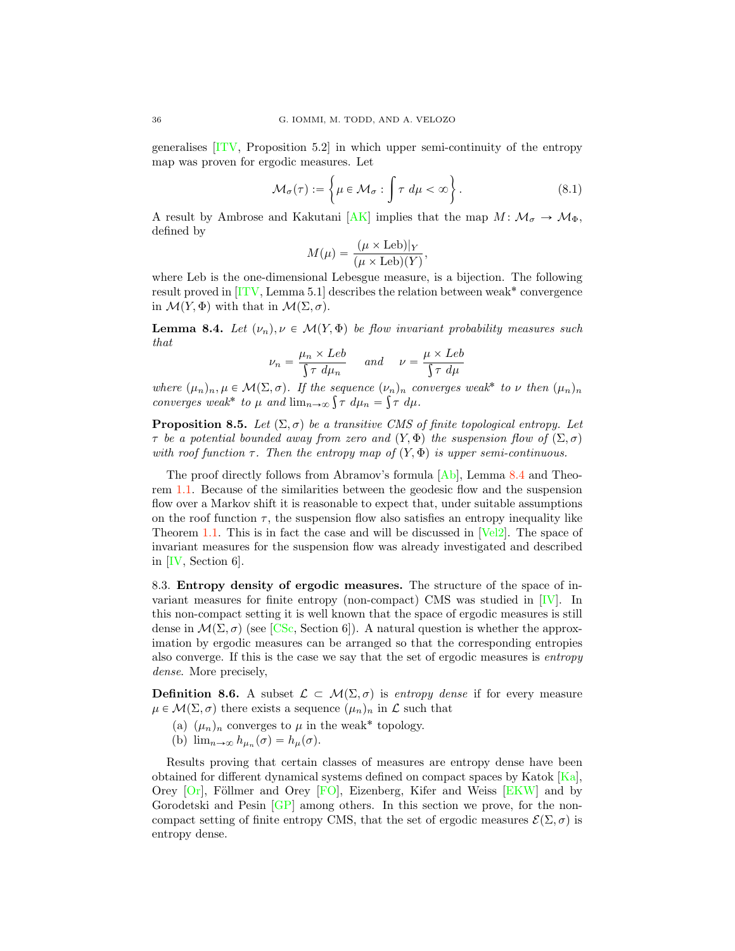generalises [\[ITV,](#page-42-5) Proposition 5.2] in which upper semi-continuity of the entropy map was proven for ergodic measures. Let

$$
\mathcal{M}_{\sigma}(\tau) := \left\{ \mu \in \mathcal{M}_{\sigma} : \int \tau \, d\mu < \infty \right\}. \tag{8.1}
$$

A result by Ambrose and Kakutani [\[AK\]](#page-41-24) implies that the map  $M: \mathcal{M}_{\sigma} \to \mathcal{M}_{\Phi}$ , defined by

$$
M(\mu) = \frac{(\mu \times \text{Leb})|_Y}{(\mu \times \text{Leb})(Y)},
$$

where Leb is the one-dimensional Lebesgue measure, is a bijection. The following result proved in  $[TV, Lemma 5.1]$  describes the relation between weak<sup>\*</sup> convergence in  $\mathcal{M}(Y, \Phi)$  with that in  $\mathcal{M}(\Sigma, \sigma)$ .

<span id="page-35-1"></span>**Lemma 8.4.** Let  $(\nu_n), \nu \in \mathcal{M}(Y, \Phi)$  be flow invariant probability measures such that

$$
\nu_n = \frac{\mu_n \times Leb}{\int \tau \ d\mu_n} \quad \text{and} \quad \nu = \frac{\mu \times Leb}{\int \tau \ d\mu}
$$

where  $(\mu_n)_n, \mu \in \mathcal{M}(\Sigma, \sigma)$ . If the sequence  $(\nu_n)_n$  converges weak<sup>\*</sup> to  $\nu$  then  $(\mu_n)_n$ converges weak\* to  $\mu$  and  $\lim_{n\to\infty} \int \tau \ d\mu_n = \int \tau \ d\mu$ .

**Proposition 8.5.** Let  $(\Sigma, \sigma)$  be a transitive CMS of finite topological entropy. Let  $\tau$  be a potential bounded away from zero and  $(Y, \Phi)$  the suspension flow of  $(\Sigma, \sigma)$ with roof function  $\tau$ . Then the entropy map of  $(Y, \Phi)$  is upper semi-continuous.

The proof directly follows from Abramov's formula  $[A_b]$ , Lemma [8.4](#page-35-1) and Theorem [1.1.](#page-0-0) Because of the similarities between the geodesic flow and the suspension flow over a Markov shift it is reasonable to expect that, under suitable assumptions on the roof function  $\tau$ , the suspension flow also satisfies an entropy inequality like Theorem [1.1.](#page-0-0) This is in fact the case and will be discussed in [\[Vel2\]](#page-43-4). The space of invariant measures for the suspension flow was already investigated and described in [\[IV,](#page-42-0) Section 6].

<span id="page-35-0"></span>8.3. Entropy density of ergodic measures. The structure of the space of invariant measures for finite entropy (non-compact) CMS was studied in [\[IV\]](#page-42-0). In this non-compact setting it is well known that the space of ergodic measures is still dense in  $\mathcal{M}(\Sigma, \sigma)$  (see [\[CSc,](#page-41-21) Section 6]). A natural question is whether the approximation by ergodic measures can be arranged so that the corresponding entropies also converge. If this is the case we say that the set of ergodic measures is entropy dense. More precisely,

**Definition 8.6.** A subset  $\mathcal{L} \subset \mathcal{M}(\Sigma, \sigma)$  is entropy dense if for every measure  $\mu \in \mathcal{M}(\Sigma, \sigma)$  there exists a sequence  $(\mu_n)_n$  in  $\mathcal L$  such that

- (a)  $(\mu_n)_n$  converges to  $\mu$  in the weak\* topology.
- (b)  $\lim_{n\to\infty} h_{\mu_n}(\sigma) = h_{\mu}(\sigma)$ .

Results proving that certain classes of measures are entropy dense have been obtained for different dynamical systems defined on compact spaces by Katok  $|Ka|$ , Orey  $[Or]$ , Föllmer and Orey  $[FO]$ , Eizenberg, Kifer and Weiss  $[EKW]$  and by Gorodetski and Pesin [\[GP\]](#page-41-23) among others. In this section we prove, for the noncompact setting of finite entropy CMS, that the set of ergodic measures  $\mathcal{E}(\Sigma, \sigma)$  is entropy dense.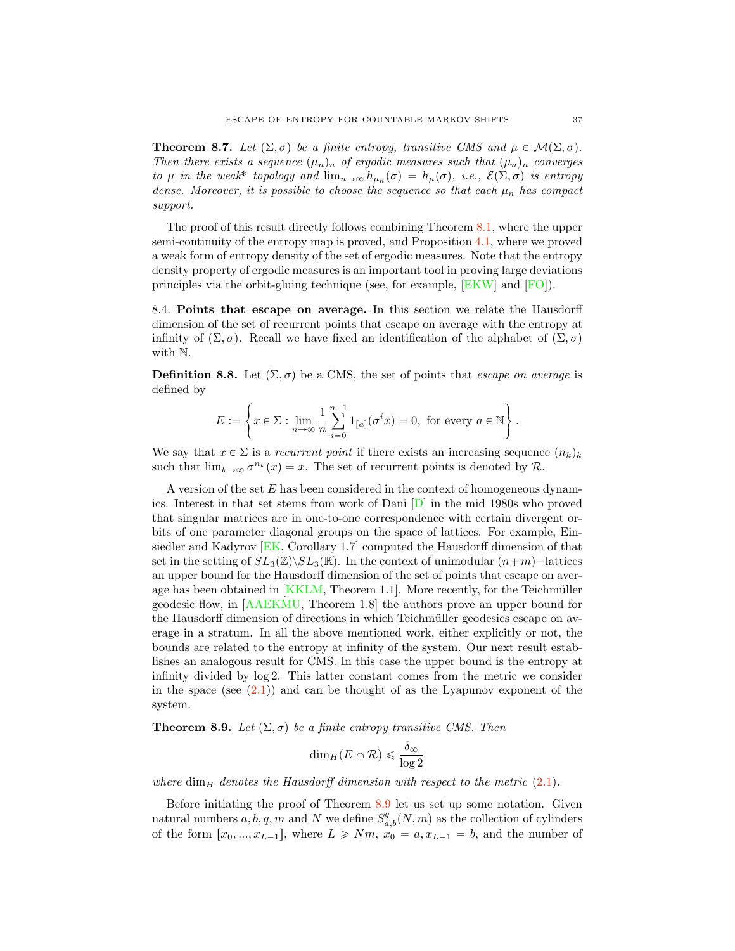<span id="page-36-1"></span>**Theorem 8.7.** Let  $(\Sigma, \sigma)$  be a finite entropy, transitive CMS and  $\mu \in \mathcal{M}(\Sigma, \sigma)$ . Then there exists a sequence  $(\mu_n)_n$  of ergodic measures such that  $(\mu_n)_n$  converges to  $\mu$  in the weak<sup>\*</sup> topology and  $\lim_{n\to\infty} h_{\mu_n}(\sigma) = h_{\mu}(\sigma)$ , i.e.,  $\mathcal{E}(\Sigma, \sigma)$  is entropy dense. Moreover, it is possible to choose the sequence so that each  $\mu_n$  has compact support.

The proof of this result directly follows combining Theorem [8.1,](#page-33-1) where the upper semi-continuity of the entropy map is proved, and Proposition [4.1,](#page-17-0) where we proved a weak form of entropy density of the set of ergodic measures. Note that the entropy density property of ergodic measures is an important tool in proving large deviations principles via the orbit-gluing technique (see, for example, [\[EKW\]](#page-41-20) and [\[FO\]](#page-41-25)).

8.4. Points that escape on average. In this section we relate the Hausdorff dimension of the set of recurrent points that escape on average with the entropy at infinity of  $(\Sigma, \sigma)$ . Recall we have fixed an identification of the alphabet of  $(\Sigma, \sigma)$ with N.

**Definition 8.8.** Let  $(\Sigma, \sigma)$  be a CMS, the set of points that *escape on average* is defined by

$$
E := \left\{ x \in \Sigma : \lim_{n \to \infty} \frac{1}{n} \sum_{i=0}^{n-1} 1_{[a]}(\sigma^i x) = 0, \text{ for every } a \in \mathbb{N} \right\}.
$$

We say that  $x \in \Sigma$  is a recurrent point if there exists an increasing sequence  $(n_k)_k$ such that  $\lim_{k\to\infty} \sigma^{n_k}(x) = x$ . The set of recurrent points is denoted by *R*.

A version of the set E has been considered in the context of homogeneous dynamics. Interest in that set stems from work of Dani [\[D\]](#page-41-6) in the mid 1980s who proved that singular matrices are in one-to-one correspondence with certain divergent orbits of one parameter diagonal groups on the space of lattices. For example, Einsiedler and Kadyrov [\[EK,](#page-41-2) Corollary 1.7] computed the Hausdorff dimension of that set in the setting of  $SL_3(\mathbb{Z})\backslash SL_3(\mathbb{R})$ . In the context of unimodular  $(n+m)-$ lattices an upper bound for the Hausdorff dimension of the set of points that escape on average has been obtained in  $[KKLM, Theorem 1.1]$  $[KKLM, Theorem 1.1]$ . More recently, for the Teichmüller geodesic flow, in [\[AAEKMU,](#page-40-1) Theorem 1.8] the authors prove an upper bound for the Hausdorff dimension of directions in which Teichmüller geodesics escape on average in a stratum. In all the above mentioned work, either explicitly or not, the bounds are related to the entropy at infinity of the system. Our next result establishes an analogous result for CMS. In this case the upper bound is the entropy at infinity divided by log 2. This latter constant comes from the metric we consider in the space (see  $(2.1)$ ) and can be thought of as the Lyapunov exponent of the system.

<span id="page-36-0"></span>**Theorem 8.9.** Let  $(\Sigma, \sigma)$  be a finite entropy transitive CMS. Then

$$
\dim_H(E \cap \mathcal{R}) \leq \frac{\delta_{\infty}}{\log 2}
$$

where  $\dim_H$  denotes the Hausdorff dimension with respect to the metric  $(2.1)$ .

Before initiating the proof of Theorem [8.9](#page-36-0) let us set up some notation. Given natural numbers  $a, b, q, m$  and N we define  $S_{a,b}^q(N,m)$  as the collection of cylinders of the form  $[x_0, ..., x_{L-1}]$ , where  $L \ge Nm$ ,  $x_0 = a, x_{L-1} = b$ , and the number of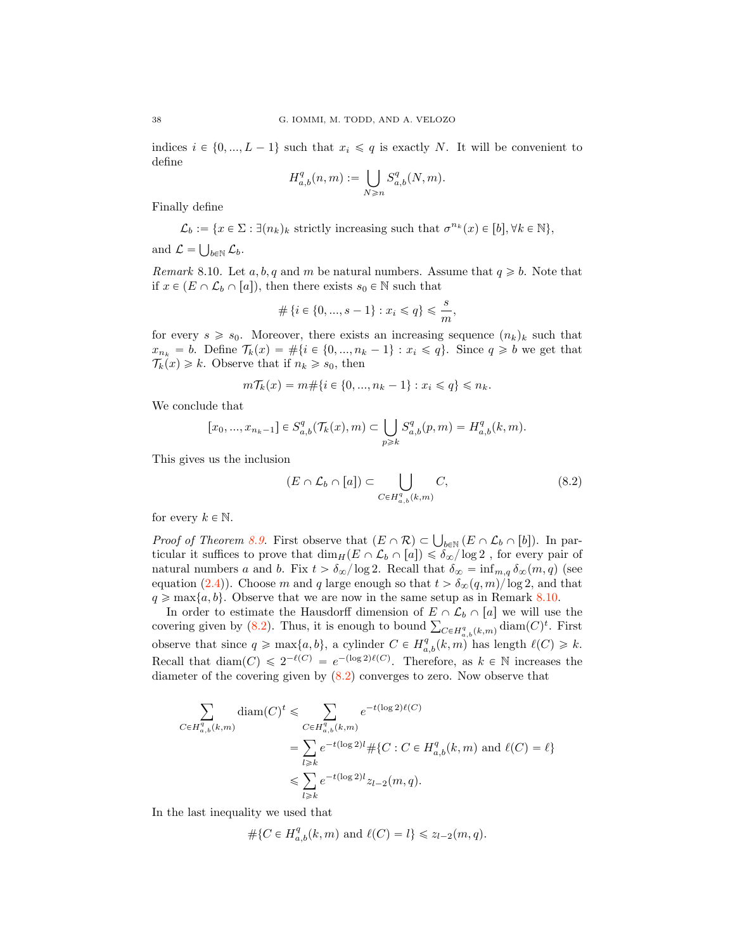indices  $i \in \{0, ..., L - 1\}$  such that  $x_i \leq q$  is exactly N. It will be convenient to define

$$
H_{a,b}^q(n,m) := \bigcup_{N \ge n} S_{a,b}^q(N,m).
$$

Finally define

$$
\mathcal{L}_b := \{ x \in \Sigma : \exists (n_k)_k \text{ strictly increasing such that } \sigma^{n_k}(x) \in [b], \forall k \in \mathbb{N} \},
$$

and  $\mathcal{L} = \bigcup_{b \in \mathbb{N}} \mathcal{L}_b$ .

<span id="page-37-1"></span>Remark 8.10. Let a, b, q and m be natural numbers. Assume that  $q \geq b$ . Note that if  $x \in (E \cap \mathcal{L}_b \cap [a])$ , then there exists  $s_0 \in \mathbb{N}$  such that

$$
\#\{i \in \{0, ..., s-1\} : x_i \leq q\} \leq \frac{s}{m},
$$

for every  $s \geq s_0$ . Moreover, there exists an increasing sequence  $(n_k)_k$  such that  $x_{n_k} = b$ . Define  $\mathcal{T}_k(x) = \#\{i \in \{0, ..., n_k - 1\} : x_i \leqslant q\}$ . Since  $q \geqslant b$  we get that  $\mathcal{T}_k(x) \geq k$ . Observe that if  $n_k \geq s_0$ , then

$$
m\mathcal{T}_k(x) = m \# \{ i \in \{0, ..., n_k - 1\} : x_i \leq q \} \leq n_k.
$$

We conclude that

$$
[x_0,...,x_{n_k-1}]\in S^q_{a,b}(\mathcal{T}_k(x),m)\subset \bigcup_{p\geqslant k} S^q_{a,b}(p,m)=H^q_{a,b}(k,m).
$$

This gives us the inclusion

<span id="page-37-0"></span>
$$
(E \cap \mathcal{L}_b \cap [a]) \subset \bigcup_{C \in H_{a,b}^q(k,m)} C,
$$
\n
$$
(8.2)
$$

for every  $k \in \mathbb{N}$ .

*Proof of Theorem [8.9.](#page-36-0)* First observe that  $(E \cap \mathcal{R}) \subset \bigcup_{b \in \mathbb{N}} (E \cap \mathcal{L}_b \cap [b])$ . In particular it suffices to prove that  $\dim_H(E \cap \mathcal{L}_b \cap [a]) \leq \delta_{\infty}/\log 2$ , for every pair of natural numbers a and b. Fix  $t > \delta_{\infty}/\log 2$ . Recall that  $\delta_{\infty} = \inf_{m,q} \delta_{\infty}(m, q)$  (see equation [\(2.4\)](#page-11-0)). Choose m and q large enough so that  $t > \delta_{\infty}(q, m)/\log 2$ , and that  $q \geq \max\{a, b\}$ . Observe that we are now in the same setup as in Remark [8.10.](#page-37-1)

In order to estimate the Hausdorff dimension of  $E \cap \mathcal{L}_b \cap [a]$  we will use the covering given by [\(8.2\)](#page-37-0). Thus, it is enough to bound  $\sum_{C \in H_{a,b}^q(k,m)} \text{diam}(C)^t$ . First observe that since  $q \ge \max\{a, b\}$ , a cylinder  $C \in H_{a,b}^q(k,m)$  has length  $\ell(C) \ge k$ . Recall that  $\text{diam}(C) \leq 2^{-\ell(C)} = e^{-(\log 2)\ell(C)}$ . Therefore, as  $k \in \mathbb{N}$  increases the diameter of the covering given by  $(8.2)$  converges to zero. Now observe that

$$
\sum_{C \in H_{a,b}^q(k,m)} \text{diam}(C)^t \leq \sum_{C \in H_{a,b}^q(k,m)} e^{-t(\log 2)\ell(C)}
$$
\n
$$
= \sum_{l \geq k} e^{-t(\log 2)l} \# \{C : C \in H_{a,b}^q(k,m) \text{ and } \ell(C) = \ell \}
$$
\n
$$
\leq \sum_{l \geq k} e^{-t(\log 2)l} z_{l-2}(m,q).
$$

In the last inequality we used that

$$
#{C \in H_{a,b}^q(k, m) \text{ and } \ell(C) = l} \le z_{l-2}(m, q).
$$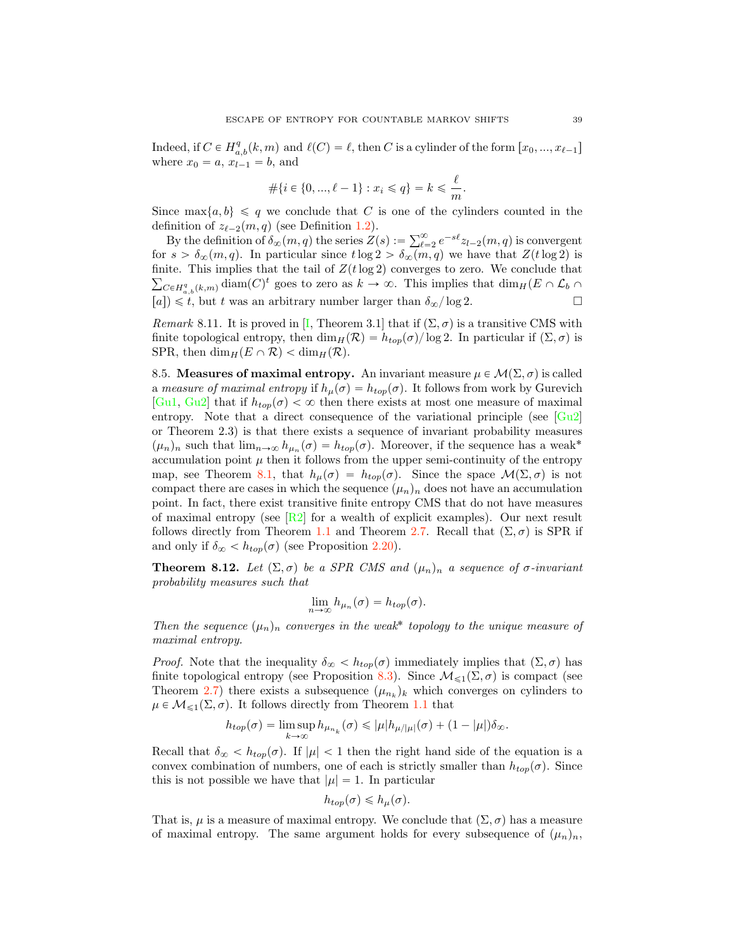Indeed, if  $C \in H_{a,b}^q(k, m)$  and  $\ell(C) = \ell$ , then C is a cylinder of the form  $[x_0, ..., x_{\ell-1}]$ where  $x_0 = a$ ,  $x_{l-1} = b$ , and

$$
\#\{i \in \{0, ..., \ell - 1\} : x_i \leq q\} = k \leq \frac{\ell}{m}.
$$

Since  $\max\{a, b\} \leq q$  we conclude that C is one of the cylinders counted in the definition of  $z_{\ell-2}(m, q)$  (see Definition [1.2\)](#page-1-2).

By the definition of  $\delta_{\infty}(m, q)$  the series  $Z(s) := \sum_{\ell=2}^{\infty} e^{-s\ell} z_{l-2}(m, q)$  is convergent for  $s > \delta_{\infty}(m, q)$ . In particular since  $t \log 2 > \delta_{\infty}(m, q)$  we have that  $Z(t \log 2)$  is finite. This implies that the tail of  $Z(t \log 2)$  converges to zero. We conclude that  $\sum_{C \in H_{a,b}^q(k,m)} \text{diam}(C)^t$  goes to zero as  $k \to \infty$ . This implies that  $\dim_H(E \cap \mathcal{L}_b \cap$  $[a]$ )  $\leq t$ , but t was an arbitrary number larger than  $\delta_{\infty}/\log 2$ .  $\Box$ 

Remark 8.11. It is proved in [\[I,](#page-42-25) Theorem 3.1] that if  $(\Sigma, \sigma)$  is a transitive CMS with finite topological entropy, then  $\dim_H(\mathcal{R}) = h_{top}(\sigma)/\log 2$ . In particular if  $(\Sigma, \sigma)$  is SPR, then  $\dim_H(E \cap \mathcal{R}) < \dim_H(\mathcal{R})$ .

<span id="page-38-0"></span>8.5. Measures of maximal entropy. An invariant measure  $\mu \in \mathcal{M}(\Sigma, \sigma)$  is called a measure of maximal entropy if  $h_{\mu}(\sigma) = h_{top}(\sigma)$ . It follows from work by Gurevich [\[Gu1,](#page-41-16) [Gu2\]](#page-41-13) that if  $h_{top}(\sigma) < \infty$  then there exists at most one measure of maximal entropy. Note that a direct consequence of the variational principle (see [\[Gu2\]](#page-41-13) or Theorem 2.3) is that there exists a sequence of invariant probability measures  $(\mu_n)_n$  such that  $\lim_{n\to\infty} h_{\mu_n}(\sigma) = h_{top}(\sigma)$ . Moreover, if the sequence has a weak<sup>\*</sup> accumulation point  $\mu$  then it follows from the upper semi-continuity of the entropy map, see Theorem [8.1,](#page-33-1) that  $h_{\mu}(\sigma) = h_{top}(\sigma)$ . Since the space  $\mathcal{M}(\Sigma, \sigma)$  is not compact there are cases in which the sequence  $(\mu_n)_n$  does not have an accumulation point. In fact, there exist transitive finite entropy CMS that do not have measures of maximal entropy (see  $\left[R2\right]$  for a wealth of explicit examples). Our next result follows directly from Theorem [1.1](#page-0-0) and Theorem [2.7.](#page-7-1) Recall that  $(\Sigma, \sigma)$  is SPR if and only if  $\delta_{\infty} < h_{top}(\sigma)$  (see Proposition [2.20\)](#page-12-0).

<span id="page-38-1"></span>**Theorem 8.12.** Let  $(\Sigma, \sigma)$  be a SPR CMS and  $(\mu_n)_n$  a sequence of  $\sigma$ -invariant probability measures such that

$$
\lim_{n\to\infty}h_{\mu_n}(\sigma)=h_{top}(\sigma).
$$

Then the sequence  $(\mu_n)_n$  converges in the weak<sup>\*</sup> topology to the unique measure of maximal entropy.

*Proof.* Note that the inequality  $\delta_{\infty} < h_{top}(\sigma)$  immediately implies that  $(\Sigma, \sigma)$  has finite topological entropy (see Proposition [8.3\)](#page-34-1). Since  $\mathcal{M}_{\leq 1}(\Sigma, \sigma)$  is compact (see Theorem [2.7\)](#page-7-1) there exists a subsequence  $(\mu_{n_k})_k$  which converges on cylinders to  $\mu \in \mathcal{M}_{\leq 1}(\Sigma, \sigma)$ . It follows directly from Theorem [1.1](#page-0-0) that

$$
h_{top}(\sigma) = \limsup_{k \to \infty} h_{\mu_{n_k}}(\sigma) \leqslant |\mu| h_{\mu/|\mu|}(\sigma) + (1 - |\mu|) \delta_{\infty}.
$$

Recall that  $\delta_{\infty} < h_{top}(\sigma)$ . If  $|\mu| < 1$  then the right hand side of the equation is a convex combination of numbers, one of each is strictly smaller than  $h_{top}(\sigma)$ . Since this is not possible we have that  $|\mu| = 1$ . In particular

$$
h_{top}(\sigma) \leq h_{\mu}(\sigma).
$$

That is,  $\mu$  is a measure of maximal entropy. We conclude that  $(\Sigma, \sigma)$  has a measure of maximal entropy. The same argument holds for every subsequence of  $(\mu_n)_n$ ,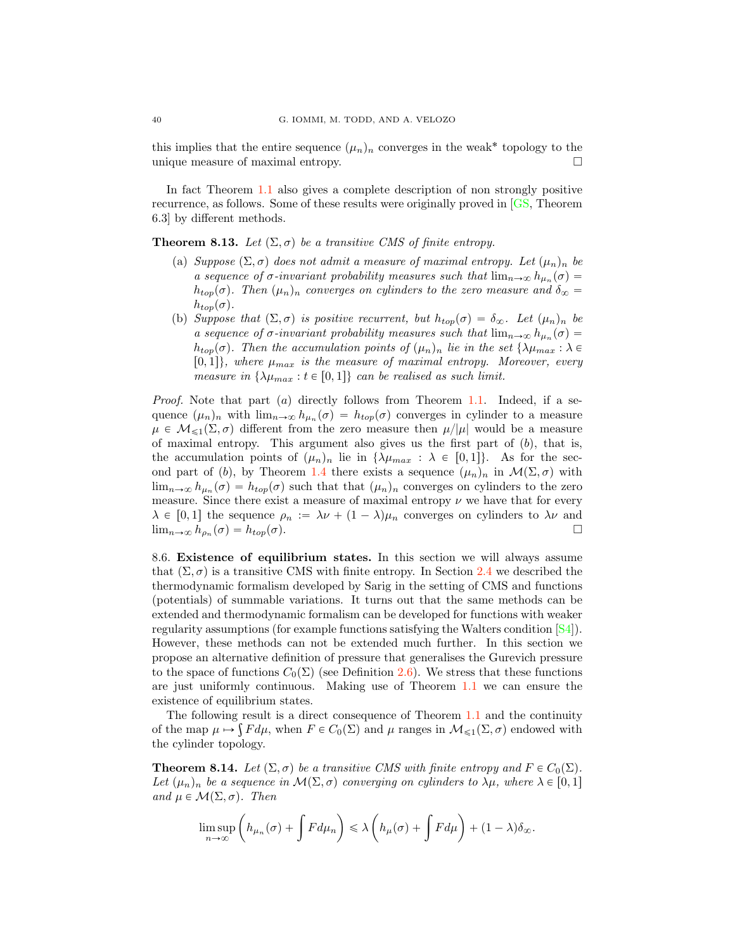this implies that the entire sequence  $(\mu_n)_n$  converges in the weak<sup>\*</sup> topology to the unique measure of maximal entropy. unique measure of maximal entropy. !

In fact Theorem [1.1](#page-0-0) also gives a complete description of non strongly positive recurrence, as follows. Some of these results were originally proved in [\[GS,](#page-41-5) Theorem 6.3] by different methods.

**Theorem 8.13.** Let  $(\Sigma, \sigma)$  be a transitive CMS of finite entropy.

- (a) Suppose  $(\Sigma, \sigma)$  does not admit a measure of maximal entropy. Let  $(\mu_n)_n$  be a sequence of  $\sigma$ -invariant probability measures such that  $\lim_{n\to\infty} h_{\mu_n}(\sigma) =$  $h_{top}(\sigma)$ . Then  $(\mu_n)_n$  converges on cylinders to the zero measure and  $\delta_{\infty} =$  $h_{top}(\sigma)$ .
- (b) Suppose that  $(\Sigma, \sigma)$  is positive recurrent, but  $h_{top}(\sigma) = \delta_{\infty}$ . Let  $(\mu_n)_n$  be a sequence of  $\sigma$ -invariant probability measures such that  $\lim_{n\to\infty} h_{\mu_n}(\sigma) =$  $h_{top}(\sigma)$ . Then the accumulation points of  $(\mu_n)_n$  lie in the set  $\{\lambda\mu_{max} : \lambda \in$  $[0, 1]$ , where  $\mu_{max}$  is the measure of maximal entropy. Moreover, every measure in  $\{\lambda\mu_{max} : t \in [0, 1]\}$  can be realised as such limit.

*Proof.* Note that part (a) directly follows from Theorem [1.1.](#page-0-0) Indeed, if a sequence  $(\mu_n)_n$  with  $\lim_{n\to\infty} h_{\mu_n}(\sigma) = h_{top}(\sigma)$  converges in cylinder to a measure  $\mu \in \mathcal{M}_{\leq 1}(\Sigma, \sigma)$  different from the zero measure then  $\mu/|\mu|$  would be a measure of maximal entropy. This argument also gives us the first part of  $(b)$ , that is, the accumulation points of  $(\mu_n)_n$  lie in  $\{\lambda\mu_{max} : \lambda \in [0, 1]\}.$  As for the sec-ond part of (b), by Theorem [1.4](#page-1-3) there exists a sequence  $(\mu_n)_n$  in  $\mathcal{M}(\Sigma, \sigma)$  with  $\lim_{n\to\infty} h_{\mu_n}(\sigma) = h_{top}(\sigma)$  such that that  $(\mu_n)_n$  converges on cylinders to the zero measure. Since there exist a measure of maximal entropy  $\nu$  we have that for every  $\lambda \in [0, 1]$  the sequence  $\rho_n := \lambda \nu + (1 - \lambda)\mu_n$  converges on cylinders to  $\lambda \nu$  and  $\lim_{n \to \infty} h_{\rho_n}(\sigma) = h_{top}(\sigma)$ .  $\lim_{n\to\infty} h_{\rho_n}(\sigma) = h_{top}(\sigma).$ 

<span id="page-39-0"></span>8.6. Existence of equilibrium states. In this section we will always assume that  $(\Sigma, \sigma)$  is a transitive CMS with finite entropy. In Section [2.4](#page-8-1) we described the thermodynamic formalism developed by Sarig in the setting of CMS and functions (potentials) of summable variations. It turns out that the same methods can be extended and thermodynamic formalism can be developed for functions with weaker regularity assumptions (for example functions satisfying the Walters condition [\[S4\]](#page-42-13)). However, these methods can not be extended much further. In this section we propose an alternative definition of pressure that generalises the Gurevich pressure to the space of functions  $C_0(\Sigma)$  (see Definition [2.6\)](#page-7-2). We stress that these functions are just uniformly continuous. Making use of Theorem [1.1](#page-0-0) we can ensure the existence of equilibrium states.

The following result is a direct consequence of Theorem [1.1](#page-0-0) and the continuity of the map  $\mu \mapsto \int F d\mu$ , when  $F \in C_0(\Sigma)$  and  $\mu$  ranges in  $\mathcal{M}_{\leq 1}(\Sigma, \sigma)$  endowed with the cylinder topology.

<span id="page-39-1"></span>**Theorem 8.14.** Let  $(\Sigma, \sigma)$  be a transitive CMS with finite entropy and  $F \in C_0(\Sigma)$ . Let  $(\mu_n)_n$  be a sequence in  $\mathcal{M}(\Sigma, \sigma)$  converging on cylinders to  $\lambda \mu$ , where  $\lambda \in [0, 1]$ and  $\mu \in \mathcal{M}(\Sigma, \sigma)$ . Then

$$
\limsup_{n\to\infty}\left(h_{\mu_n}(\sigma)+\int F d\mu_n\right)\leq \lambda\left(h_{\mu}(\sigma)+\int F d\mu\right)+(1-\lambda)\delta_{\infty}.
$$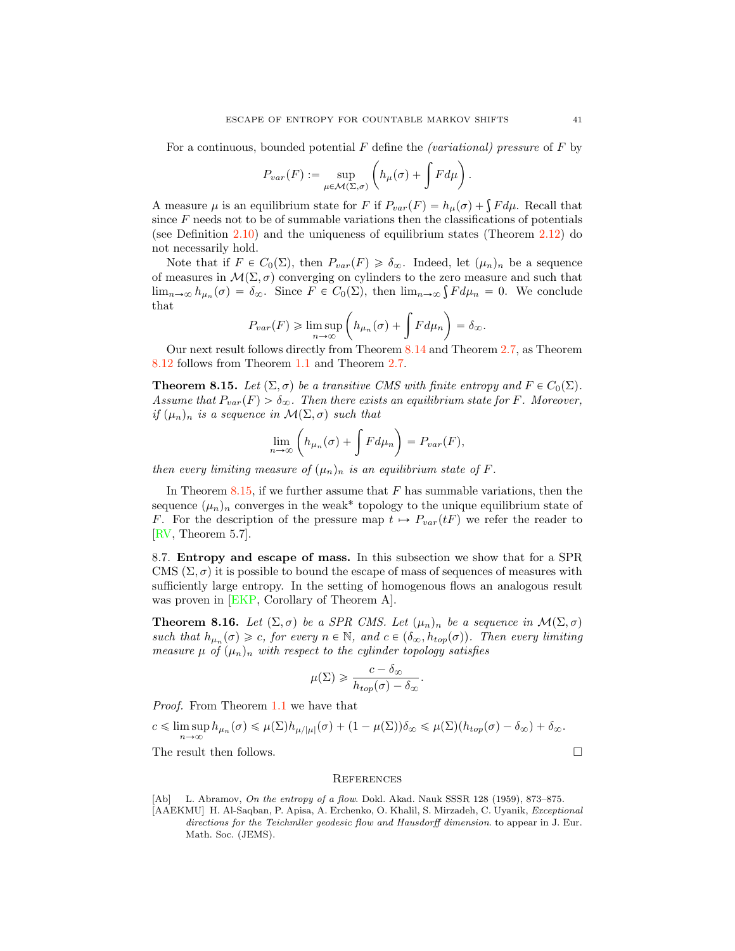For a continuous, bounded potential F define the *(variational)* pressure of F by

$$
P_{var}(F) := \sup_{\mu \in \mathcal{M}(\Sigma, \sigma)} \left( h_{\mu}(\sigma) + \int F d\mu \right).
$$

A measure  $\mu$  is an equilibrium state for F if  $P_{var}(F) = h_{\mu}(\sigma) + \int F d\mu$ . Recall that since  $F$  needs not to be of summable variations then the classifications of potentials (see Definition [2.10\)](#page-8-0) and the uniqueness of equilibrium states (Theorem [2.12\)](#page-9-2) do not necessarily hold.

Note that if  $F \in C_0(\Sigma)$ , then  $P_{var}(F) \geq \delta_{\infty}$ . Indeed, let  $(\mu_n)_n$  be a sequence of measures in  $\mathcal{M}(\Sigma, \sigma)$  converging on cylinders to the zero measure and such that  $\lim_{n\to\infty} h_{\mu_n}(\sigma) = \delta_{\infty}$ . Since  $F \in C_0(\Sigma)$ , then  $\lim_{n\to\infty} \int F d\mu_n = 0$ . We conclude that

$$
P_{var}(F) \geq \limsup_{n \to \infty} \left( h_{\mu_n}(\sigma) + \int F d\mu_n \right) = \delta_{\infty}.
$$

Our next result follows directly from Theorem [8.14](#page-39-1) and Theorem [2.7,](#page-7-1) as Theorem [8.12](#page-38-1) follows from Theorem [1.1](#page-0-0) and Theorem [2.7.](#page-7-1)

<span id="page-40-3"></span>**Theorem 8.15.** Let  $(\Sigma, \sigma)$  be a transitive CMS with finite entropy and  $F \in C_0(\Sigma)$ . Assume that  $P_{var}(F) > \delta_{\infty}$ . Then there exists an equilibrium state for F. Moreover, if  $(\mu_n)_n$  is a sequence in  $\mathcal{M}(\Sigma, \sigma)$  such that

$$
\lim_{n \to \infty} \left( h_{\mu_n}(\sigma) + \int F d\mu_n \right) = P_{var}(F),
$$

then every limiting measure of  $(\mu_n)_n$  is an equilibrium state of F.

In Theorem [8.15,](#page-40-3) if we further assume that  $F$  has summable variations, then the sequence  $(\mu_n)_n$  converges in the weak<sup>\*</sup> topology to the unique equilibrium state of F. For the description of the pressure map  $t \mapsto P_{var}(tF)$  we refer the reader to [\[RV,](#page-42-2) Theorem 5.7].

8.7. Entropy and escape of mass. In this subsection we show that for a SPR CMS  $(\Sigma, \sigma)$  it is possible to bound the escape of mass of sequences of measures with sufficiently large entropy. In the setting of homogenous flows an analogous result was proven in [\[EKP,](#page-41-3) Corollary of Theorem A].

<span id="page-40-0"></span>**Theorem 8.16.** Let  $(\Sigma, \sigma)$  be a SPR CMS. Let  $(\mu_n)_n$  be a sequence in  $\mathcal{M}(\Sigma, \sigma)$ such that  $h_{\mu_n}(\sigma) \geq c$ , for every  $n \in \mathbb{N}$ , and  $c \in (\delta_\infty, h_{top}(\sigma))$ . Then every limiting measure  $\mu$  of  $(\mu_n)_n$  with respect to the cylinder topology satisfies

$$
\mu(\Sigma) \geqslant \frac{c - \delta_{\infty}}{h_{top}(\sigma) - \delta_{\infty}}.
$$

Proof. From Theorem [1.1](#page-0-0) we have that

$$
c \leq \limsup_{n \to \infty} h_{\mu_n}(\sigma) \leq \mu(\Sigma) h_{\mu/|\mu|}(\sigma) + (1 - \mu(\Sigma)) \delta_{\infty} \leq \mu(\Sigma) (h_{top}(\sigma) - \delta_{\infty}) + \delta_{\infty}.
$$

The result then follows.  $\Box$ 

#### **REFERENCES**

<span id="page-40-2"></span>[Ab] L. Abramov, On the entropy of a flow. Dokl. Akad. Nauk SSSR 128 (1959), 873–875.

<span id="page-40-1"></span><sup>[</sup>AAEKMU] H. Al-Saqban, P. Apisa, A. Erchenko, O. Khalil, S. Mirzadeh, C. Uyanik, Exceptional directions for the Teichmller geodesic flow and Hausdorff dimension. to appear in J. Eur. Math. Soc. (JEMS).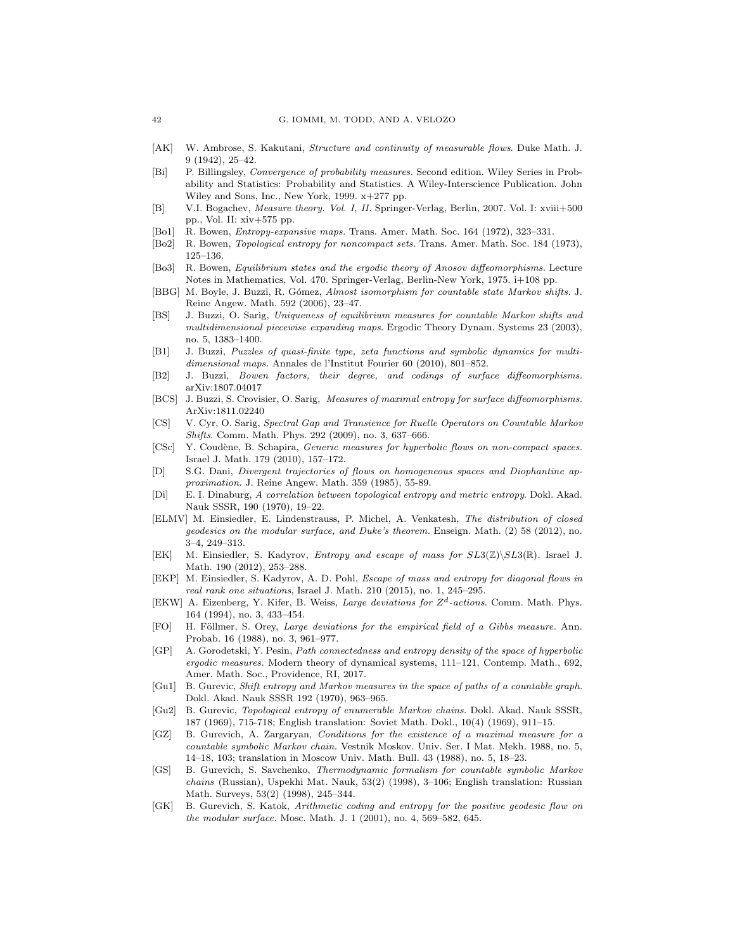- <span id="page-41-24"></span>[AK] W. Ambrose, S. Kakutani, Structure and continuity of measurable flows. Duke Math. J. 9 (1942), 25–42.
- <span id="page-41-11"></span>[Bi] P. Billingsley, Convergence of probability measures. Second edition. Wiley Series in Probability and Statistics: Probability and Statistics. A Wiley-Interscience Publication. John Wiley and Sons, Inc., New York, 1999. x+277 pp.
- <span id="page-41-12"></span>[B] V.I. Bogachev, Measure theory. Vol. I, II. Springer-Verlag, Berlin, 2007. Vol. I: xviii+500 pp., Vol. II: xiv+575 pp.
- <span id="page-41-22"></span>[Bo1] R. Bowen, Entropy-expansive maps. Trans. Amer. Math. Soc. 164 (1972), 323–331.
- <span id="page-41-10"></span>[Bo2] R. Bowen, Topological entropy for noncompact sets. Trans. Amer. Math. Soc. 184 (1973), 125–136.
- <span id="page-41-7"></span>[Bo3] R. Bowen, Equilibrium states and the ergodic theory of Anosov diffeomorphisms. Lecture Notes in Mathematics, Vol. 470. Springer-Verlag, Berlin-New York, 1975. i+108 pp.
- <span id="page-41-17"></span>[BBG] M. Boyle, J. Buzzi, R. Gómez, Almost isomorphism for countable state Markov shifts. J. Reine Angew. Math. 592 (2006), 23–47.
- <span id="page-41-15"></span>[BS] J. Buzzi, O. Sarig, Uniqueness of equilibrium measures for countable Markov shifts and multidimensional piecewise expanding maps. Ergodic Theory Dynam. Systems 23 (2003), no. 5, 1383–1400.
- <span id="page-41-0"></span>[B1] J. Buzzi, Puzzles of quasi-finite type, zeta functions and symbolic dynamics for multidimensional maps. Annales de l'Institut Fourier 60 (2010), 801–852.
- <span id="page-41-8"></span>[B2] J. Buzzi, Bowen factors, their degree, and codings of surface diffeomorphisms. arXiv:1807.04017
- <span id="page-41-9"></span>[BCS] J. Buzzi, S. Crovisier, O. Sarig, Measures of maximal entropy for surface diffeomorphisms. ArXiv:1811.02240
- <span id="page-41-14"></span>[CS] V. Cyr, O. Sarig, Spectral Gap and Transience for Ruelle Operators on Countable Markov Shifts. Comm. Math. Phys. 292 (2009), no. 3, 637–666.
- <span id="page-41-21"></span>[CSc] Y. Coudène, B. Schapira, Generic measures for hyperbolic flows on non-compact spaces. Israel J. Math. 179 (2010), 157–172.
- <span id="page-41-6"></span>[D] S.G. Dani, Divergent trajectories of flows on homogeneous spaces and Diophantine approximation. J. Reine Angew. Math. 359 (1985), 55-89.
- <span id="page-41-4"></span>[Di] E. I. Dinaburg, A correlation between topological entropy and metric entropy. Dokl. Akad. Nauk SSSR, 190 (1970), 19–22.
- <span id="page-41-1"></span>[ELMV] M. Einsiedler, E. Lindenstrauss, P. Michel, A. Venkatesh, The distribution of closed geodesics on the modular surface, and Duke's theorem. Enseign. Math. (2) 58 (2012), no. 3–4, 249–313.
- <span id="page-41-2"></span>[EK] M. Einsiedler, S. Kadyrov, *Entropy and escape of mass for*  $SL3(\mathbb{Z})\backslash SL3(\mathbb{R})$ *. Israel J.* Math. 190 (2012), 253–288.
- <span id="page-41-3"></span>[EKP] M. Einsiedler, S. Kadyrov, A. D. Pohl, Escape of mass and entropy for diagonal flows in real rank one situations, Israel J. Math. 210 (2015), no. 1, 245–295.
- <span id="page-41-20"></span>[EKW] A. Eizenberg, Y. Kifer, B. Weiss, Large deviations for *Zd*-actions. Comm. Math. Phys. 164 (1994), no. 3, 433–454.
- <span id="page-41-25"></span>[FO] H. Föllmer, S. Orey, Large deviations for the empirical field of a Gibbs measure. Ann. Probab. 16 (1988), no. 3, 961–977.
- <span id="page-41-23"></span>[GP] A. Gorodetski, Y. Pesin, Path connectedness and entropy density of the space of hyperbolic ergodic measures. Modern theory of dynamical systems, 111–121, Contemp. Math., 692, Amer. Math. Soc., Providence, RI, 2017.
- <span id="page-41-16"></span>[Gu1] B. Gurevic, Shift entropy and Markov measures in the space of paths of a countable graph. Dokl. Akad. Nauk SSSR 192 (1970), 963–965.
- <span id="page-41-13"></span>[Gu2] B. Gurevic, Topological entropy of enumerable Markov chains. Dokl. Akad. Nauk SSSR, 187 (1969), 715-718; English translation: Soviet Math. Dokl., 10(4) (1969), 911–15.
- <span id="page-41-18"></span>[GZ] B. Gurevich, A. Zargaryan, Conditions for the existence of a maximal measure for a countable symbolic Markov chain. Vestnik Moskov. Univ. Ser. I Mat. Mekh. 1988, no. 5, 14–18, 103; translation in Moscow Univ. Math. Bull. 43 (1988), no. 5, 18–23.
- <span id="page-41-5"></span>[GS] B. Gurevich, S. Savchenko, Thermodynamic formalism for countable symbolic Markov chains (Russian), Uspekhi Mat. Nauk, 53(2) (1998), 3–106; English translation: Russian Math. Surveys, 53(2) (1998), 245–344.
- <span id="page-41-19"></span>[GK] B. Gurevich, S. Katok, Arithmetic coding and entropy for the positive geodesic flow on the modular surface. Mosc. Math. J. 1 (2001), no. 4, 569–582, 645.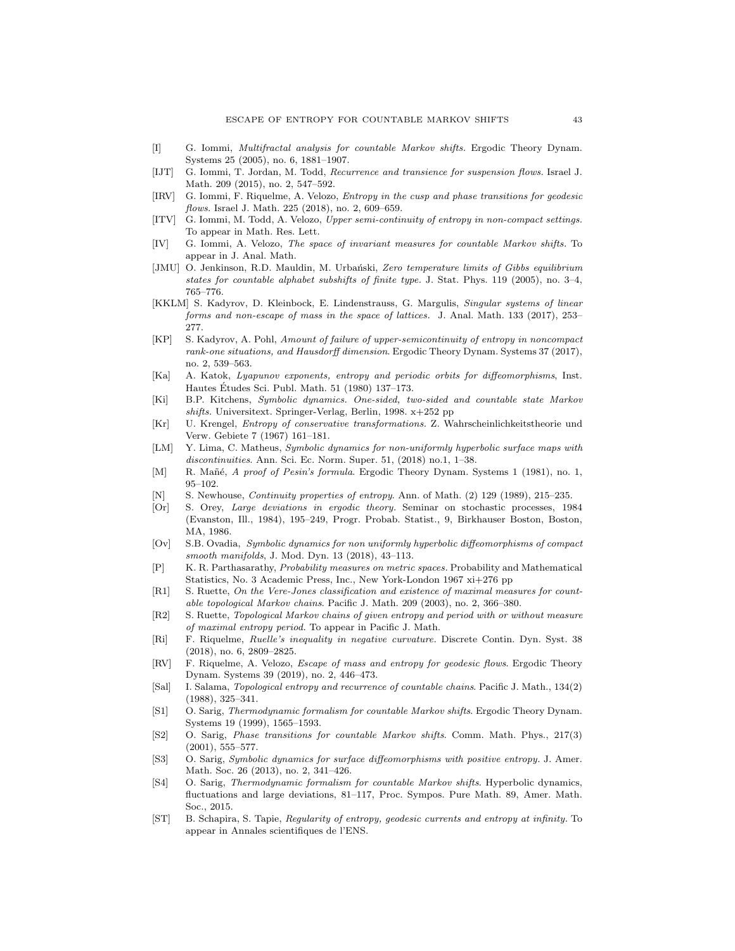- <span id="page-42-25"></span>[I] G. Iommi, Multifractal analysis for countable Markov shifts. Ergodic Theory Dynam. Systems 25 (2005), no. 6, 1881–1907.
- <span id="page-42-16"></span>[IJT] G. Iommi, T. Jordan, M. Todd, Recurrence and transience for suspension flows. Israel J. Math. 209 (2015), no. 2, 547–592.
- <span id="page-42-1"></span>[IRV] G. Iommi, F. Riquelme, A. Velozo, Entropy in the cusp and phase transitions for geodesic flows. Israel J. Math. 225 (2018), no. 2, 609–659.
- <span id="page-42-5"></span>[ITV] G. Iommi, M. Todd, A. Velozo, Upper semi-continuity of entropy in non-compact settings. To appear in Math. Res. Lett.
- <span id="page-42-0"></span>[IV] G. Iommi, A. Velozo, The space of invariant measures for countable Markov shifts. To appear in J. Anal. Math.
- <span id="page-42-23"></span>[JMU] O. Jenkinson, R.D. Mauldin, M. Urbański, Zero temperature limits of Gibbs equilibrium states for countable alphabet subshifts of finite type. J. Stat. Phys. 119 (2005), no. 3–4, 765–776.
- <span id="page-42-6"></span>[KKLM] S. Kadyrov, D. Kleinbock, E. Lindenstrauss, G. Margulis, Singular systems of linear forms and non-escape of mass in the space of lattices. J. Anal. Math. 133 (2017), 253– 277.
- <span id="page-42-7"></span>[KP] S. Kadyrov, A. Pohl, Amount of failure of upper-semicontinuity of entropy in noncompact rank-one situations, and Hausdorff dimension. Ergodic Theory Dynam. Systems 37 (2017), no. 2, 539–563.
- <span id="page-42-11"></span>[Ka] A. Katok, Lyapunov exponents, entropy and periodic orbits for diffeomorphisms, Inst. Hautes Etudes Sci. Publ. Math. 51 (1980) 137–173. ´
- <span id="page-42-12"></span>[Ki] B.P. Kitchens, Symbolic dynamics. One-sided, two-sided and countable state Markov shifts. Universitext. Springer-Verlag, Berlin, 1998. x+252 pp
- <span id="page-42-15"></span>[Kr] U. Krengel, Entropy of conservative transformations. Z. Wahrscheinlichkeitstheorie und Verw. Gebiete 7 (1967) 161–181.
- <span id="page-42-10"></span>[LM] Y. Lima, C. Matheus, Symbolic dynamics for non-uniformly hyperbolic surface maps with discontinuities. Ann. Sci. Ec. Norm. Super. 51, (2018) no.1, 1–38.
- <span id="page-42-22"></span>[M] R. Mañé, A proof of Pesin's formula. Ergodic Theory Dynam. Systems 1 (1981), no. 1, 95–102.
- <span id="page-42-4"></span>[N] S. Newhouse, Continuity properties of entropy. Ann. of Math. (2) 129 (1989), 215–235.
- <span id="page-42-24"></span>[Or] S. Orey, Large deviations in ergodic theory. Seminar on stochastic processes, 1984 (Evanston, Ill., 1984), 195–249, Progr. Probab. Statist., 9, Birkhauser Boston, Boston, MA, 1986.
- <span id="page-42-9"></span>[Ov] S.B. Ovadia, Symbolic dynamics for non uniformly hyperbolic diffeomorphisms of compact smooth manifolds, J. Mod. Dyn. 13 (2018), 43–113.
- <span id="page-42-21"></span>[P] K. R. Parthasarathy, Probability measures on metric spaces. Probability and Mathematical Statistics, No. 3 Academic Press, Inc., New York-London 1967 xi+276 pp
- <span id="page-42-19"></span>[R1] S. Ruette, On the Vere-Jones classification and existence of maximal measures for countable topological Markov chains. Pacific J. Math. 209 (2003), no. 2, 366–380.
- <span id="page-42-26"></span>[R2] S. Ruette, Topological Markov chains of given entropy and period with or without measure of maximal entropy period. To appear in Pacific J. Math.
- <span id="page-42-20"></span>[Ri] F. Riquelme, Ruelle's inequality in negative curvature. Discrete Contin. Dyn. Syst. 38 (2018), no. 6, 2809–2825.
- <span id="page-42-2"></span>[RV] F. Riquelme, A. Velozo, *Escape of mass and entropy for geodesic flows*. Ergodic Theory Dynam. Systems 39 (2019), no. 2, 446–473.
- <span id="page-42-17"></span>[Sal] I. Salama, Topological entropy and recurrence of countable chains. Pacific J. Math., 134(2) (1988), 325–341.
- <span id="page-42-14"></span>[S1] O. Sarig, Thermodynamic formalism for countable Markov shifts. Ergodic Theory Dynam. Systems 19 (1999), 1565–1593.
- <span id="page-42-18"></span>[S2] O. Sarig, Phase transitions for countable Markov shifts. Comm. Math. Phys., 217(3) (2001), 555–577.
- <span id="page-42-8"></span>[S3] O. Sarig, Symbolic dynamics for surface diffeomorphisms with positive entropy. J. Amer. Math. Soc. 26 (2013), no. 2, 341–426.
- <span id="page-42-13"></span>[S4] O. Sarig, Thermodynamic formalism for countable Markov shifts. Hyperbolic dynamics, fluctuations and large deviations, 81–117, Proc. Sympos. Pure Math. 89, Amer. Math. Soc., 2015.
- <span id="page-42-3"></span>[ST] B. Schapira, S. Tapie, Regularity of entropy, geodesic currents and entropy at infinity. To appear in Annales scientifiques de l'ENS.